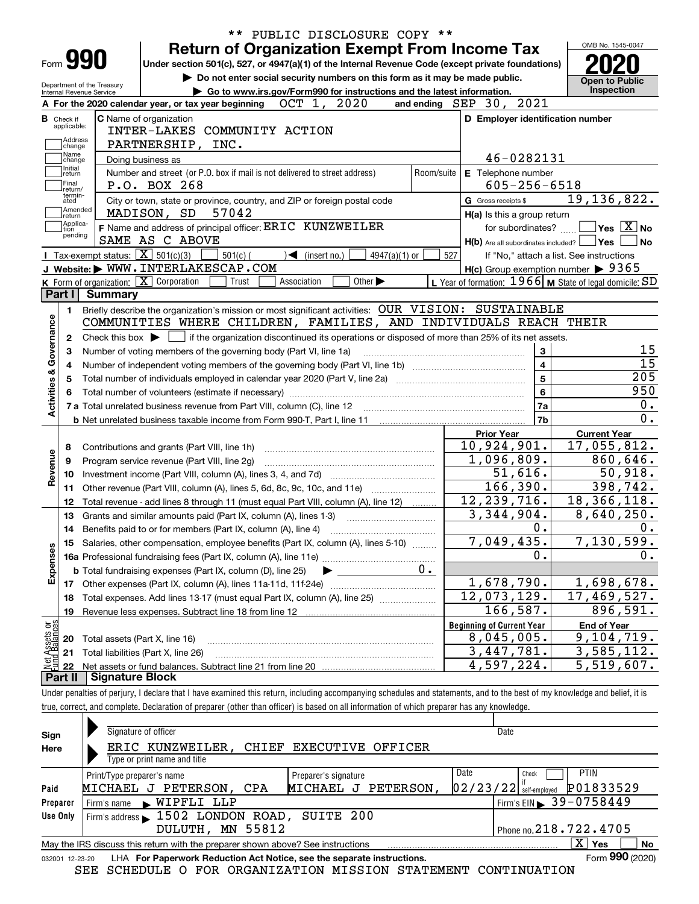| Form 990                                                                                                                                                                                                        |                                                   |                                               | <b>Return of Organization Exempt From Income Tax</b><br>Under section 501(c), 527, or 4947(a)(1) of the Internal Revenue Code (except private foundations)               |             |                              |                             |                 |            |                                  |                                     | OMB No. 1545-0047                                                                          |
|-----------------------------------------------------------------------------------------------------------------------------------------------------------------------------------------------------------------|---------------------------------------------------|-----------------------------------------------|--------------------------------------------------------------------------------------------------------------------------------------------------------------------------|-------------|------------------------------|-----------------------------|-----------------|------------|----------------------------------|-------------------------------------|--------------------------------------------------------------------------------------------|
| Do not enter social security numbers on this form as it may be made public.<br>Department of the Treasury<br>Go to www.irs.gov/Form990 for instructions and the latest information.<br>Internal Revenue Service |                                                   |                                               |                                                                                                                                                                          |             |                              |                             |                 |            |                                  | <b>Open to Public</b><br>Inspection |                                                                                            |
|                                                                                                                                                                                                                 |                                                   |                                               | A For the 2020 calendar year, or tax year beginning                                                                                                                      | OCT 1,      |                              | 2020                        |                 |            | and ending SEP 30, 2021          |                                     |                                                                                            |
| <b>B</b> Check if<br>applicable:<br>Address<br>change                                                                                                                                                           |                                                   | C Name of organization<br>PARTNERSHIP, INC.   | INTER-LAKES COMMUNITY ACTION                                                                                                                                             |             |                              |                             |                 |            |                                  |                                     | D Employer identification number                                                           |
| Name<br>change                                                                                                                                                                                                  |                                                   | Doing business as                             |                                                                                                                                                                          |             |                              |                             |                 |            |                                  | 46-0282131                          |                                                                                            |
| Initial<br>return<br> Final<br>return/                                                                                                                                                                          |                                                   | P.O. BOX 268                                  | Number and street (or P.O. box if mail is not delivered to street address)                                                                                               |             |                              |                             |                 | Room/suite | E Telephone number               | $605 - 256 - 6518$                  |                                                                                            |
| termin-<br>ated<br>Amended<br>∣return                                                                                                                                                                           |                                                   | MADISON, SD                                   | City or town, state or province, country, and ZIP or foreign postal code<br>57042                                                                                        |             |                              |                             |                 |            | G Gross receipts \$              | H(a) Is this a group return         | 19, 136, 822.                                                                              |
| Applica-<br>tion<br>pending                                                                                                                                                                                     |                                                   | SAME AS C ABOVE                               | F Name and address of principal officer: ERIC KUNZWEILER                                                                                                                 |             |                              |                             |                 |            |                                  | for subordinates?                   | $\sqrt{}$ Yes $\sqrt{}$ X $\sqrt{}$ No<br>$H(b)$ Are all subordinates included? $\Box$ Yes |
|                                                                                                                                                                                                                 | Tax-exempt status: $\boxed{\mathbf{X}}$ 501(c)(3) |                                               | $501(c)$ (                                                                                                                                                               |             | $\triangleleft$ (insert no.) |                             | $4947(a)(1)$ or | 527        |                                  |                                     | If "No," attach a list. See instructions                                                   |
|                                                                                                                                                                                                                 |                                                   |                                               | J Website: WWW. INTERLAKESCAP.COM                                                                                                                                        |             |                              |                             |                 |            |                                  |                                     | $H(c)$ Group exemption number $\triangleright$ 9365                                        |
| Part I                                                                                                                                                                                                          | <b>Summary</b>                                    | K Form of organization: X Corporation         | Trust                                                                                                                                                                    | Association |                              | Other $\blacktriangleright$ |                 |            |                                  |                                     | L Year of formation: $1966$ M State of legal domicile: SD                                  |
| 1.                                                                                                                                                                                                              |                                                   |                                               | Briefly describe the organization's mission or most significant activities: OUR VISION: SUSTAINABLE<br>COMMUNITIES WHERE CHILDREN, FAMILIES, AND INDIVIDUALS REACH THEIR |             |                              |                             |                 |            |                                  |                                     |                                                                                            |
| 2                                                                                                                                                                                                               |                                                   |                                               | Check this box $\blacktriangleright$ $\Box$ if the organization discontinued its operations or disposed of more than 25% of its net assets.                              |             |                              |                             |                 |            |                                  |                                     |                                                                                            |
|                                                                                                                                                                                                                 |                                                   |                                               |                                                                                                                                                                          |             |                              |                             |                 |            |                                  |                                     |                                                                                            |
| з                                                                                                                                                                                                               |                                                   |                                               | Number of voting members of the governing body (Part VI, line 1a)                                                                                                        |             |                              |                             |                 |            |                                  | 3                                   |                                                                                            |
| 4                                                                                                                                                                                                               |                                                   |                                               |                                                                                                                                                                          |             |                              |                             |                 |            |                                  |                                     |                                                                                            |
| 5                                                                                                                                                                                                               |                                                   |                                               |                                                                                                                                                                          |             |                              |                             |                 |            |                                  | 5                                   |                                                                                            |
|                                                                                                                                                                                                                 |                                                   |                                               |                                                                                                                                                                          |             |                              |                             |                 |            |                                  | 6                                   |                                                                                            |
|                                                                                                                                                                                                                 |                                                   |                                               |                                                                                                                                                                          |             |                              |                             |                 |            |                                  | 7a                                  |                                                                                            |
|                                                                                                                                                                                                                 |                                                   |                                               |                                                                                                                                                                          |             |                              |                             |                 |            |                                  | 7 <sub>b</sub>                      |                                                                                            |
|                                                                                                                                                                                                                 |                                                   |                                               |                                                                                                                                                                          |             |                              |                             |                 |            | <b>Prior Year</b>                |                                     | <b>Current Year</b>                                                                        |
| 8                                                                                                                                                                                                               |                                                   | Contributions and grants (Part VIII, line 1h) |                                                                                                                                                                          |             |                              |                             |                 |            | 10,924,901.                      |                                     | $\overline{17,055,812}$ .                                                                  |
| 9                                                                                                                                                                                                               |                                                   | Program service revenue (Part VIII, line 2g)  |                                                                                                                                                                          |             |                              |                             |                 |            | 1,096,809.                       |                                     | 860,646.                                                                                   |
| 10                                                                                                                                                                                                              |                                                   |                                               |                                                                                                                                                                          |             |                              |                             |                 |            |                                  | 51,616.                             | 50,918.                                                                                    |
| 11                                                                                                                                                                                                              |                                                   |                                               | Other revenue (Part VIII, column (A), lines 5, 6d, 8c, 9c, 10c, and 11e)                                                                                                 |             |                              |                             |                 |            |                                  | 166, 390.                           | $\overline{398,742}$ .                                                                     |
| 12                                                                                                                                                                                                              |                                                   |                                               | Total revenue - add lines 8 through 11 (must equal Part VIII, column (A), line 12)                                                                                       |             |                              |                             |                 |            | 12, 239, 716.                    |                                     | 18, 366, 118.                                                                              |
| 13                                                                                                                                                                                                              |                                                   |                                               | Grants and similar amounts paid (Part IX, column (A), lines 1-3)                                                                                                         |             |                              |                             |                 |            | 3,344,904.                       |                                     | 8,640,250.                                                                                 |
| 14                                                                                                                                                                                                              |                                                   |                                               |                                                                                                                                                                          |             |                              |                             |                 |            |                                  | 0.                                  |                                                                                            |
|                                                                                                                                                                                                                 |                                                   |                                               | 15 Salaries, other compensation, employee benefits (Part IX, column (A), lines 5-10)                                                                                     |             |                              |                             |                 |            | 7,049,435.                       |                                     | 7,130,599.                                                                                 |
|                                                                                                                                                                                                                 |                                                   |                                               |                                                                                                                                                                          |             |                              |                             |                 |            |                                  | 0.                                  |                                                                                            |
|                                                                                                                                                                                                                 |                                                   |                                               | <b>b</b> Total fundraising expenses (Part IX, column (D), line 25)                                                                                                       |             |                              |                             |                 | 0.         |                                  |                                     |                                                                                            |
| 17                                                                                                                                                                                                              |                                                   |                                               | Other expenses (Part IX, column (A), lines 11a-11d, 11f-24e)                                                                                                             |             |                              |                             |                 |            | 1,678,790.                       |                                     | 1,698,678.                                                                                 |
| 18                                                                                                                                                                                                              |                                                   |                                               | Total expenses. Add lines 13-17 (must equal Part IX, column (A), line 25)                                                                                                |             |                              |                             |                 |            | 12,073,129.                      |                                     | 17,469,527.                                                                                |
| 19                                                                                                                                                                                                              |                                                   |                                               | Revenue less expenses. Subtract line 18 from line 12                                                                                                                     |             |                              |                             |                 |            |                                  | 166,587.                            | 896,591.                                                                                   |
|                                                                                                                                                                                                                 |                                                   |                                               |                                                                                                                                                                          |             |                              |                             |                 |            | <b>Beginning of Current Year</b> |                                     | <b>End of Year</b>                                                                         |
| 20                                                                                                                                                                                                              |                                                   | Total assets (Part X, line 16)                |                                                                                                                                                                          |             |                              |                             |                 |            | 8,045,005.                       |                                     | 9,104,719.                                                                                 |
| Activities & Governance<br>Revenue<br>Expenses<br>t Assets or<br>d Balances<br>21                                                                                                                               |                                                   | Total liabilities (Part X, line 26)           |                                                                                                                                                                          |             |                              |                             |                 |            | 3,447,781.<br>4,597,224.         |                                     | 3,585,112.<br>5,519,607.                                                                   |

| Sign            | Signature of officer                                                            | Date                                  |  |  |  |  |  |  |  |  |  |
|-----------------|---------------------------------------------------------------------------------|---------------------------------------|--|--|--|--|--|--|--|--|--|
| Here            | ERIC KUNZWEILER,<br>CHIEF EXECUTIVE OFFICER                                     |                                       |  |  |  |  |  |  |  |  |  |
|                 | Type or print name and title                                                    |                                       |  |  |  |  |  |  |  |  |  |
|                 | Preparer's signature<br>Print/Type preparer's name                              | Date<br><b>PTIN</b><br>Check          |  |  |  |  |  |  |  |  |  |
| Paid            | MICHAEL J PETERSON,<br>PETERSON<br>MICHAEL<br>CPA<br>ு                          | P01833529<br>$02/23/22$ self-employed |  |  |  |  |  |  |  |  |  |
| Preparer        | WIPFLI LLP<br>Firm's name<br>$\mathbf{r}$                                       | Firm's EIN 39-0758449                 |  |  |  |  |  |  |  |  |  |
| Use Only        | Firm's address 1502 LONDON ROAD, SUITE 200                                      |                                       |  |  |  |  |  |  |  |  |  |
|                 | Phone no. 218.722.4705<br>DULUTH, MN 55812                                      |                                       |  |  |  |  |  |  |  |  |  |
|                 | May the IRS discuss this return with the preparer shown above? See instructions | x<br><b>No</b><br>Yes                 |  |  |  |  |  |  |  |  |  |
| 032001 12-23-20 | LHA For Paperwork Reduction Act Notice, see the separate instructions.          | Form 990 (2020)                       |  |  |  |  |  |  |  |  |  |

SEE SCHEDULE O FOR ORGANIZATION MISSION STATEMENT CONTINUATION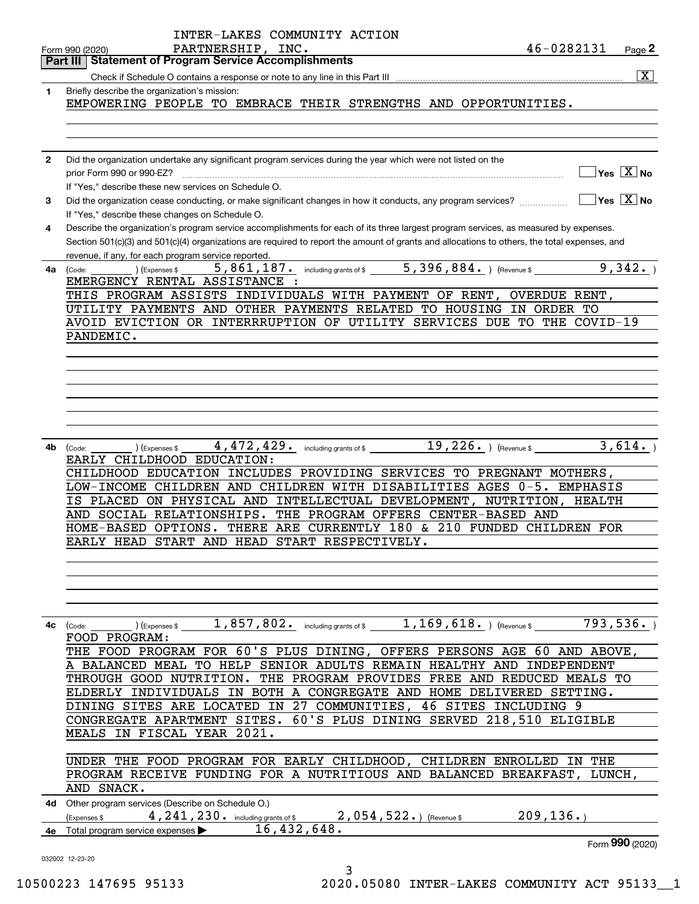|              | INTER-LAKES COMMUNITY ACTION                                                                                                                                    |
|--------------|-----------------------------------------------------------------------------------------------------------------------------------------------------------------|
|              | 46-0282131<br>PARTNERSHIP, INC.<br>Page 2<br>Form 990 (2020)                                                                                                    |
|              | <b>Part III   Statement of Program Service Accomplishments</b>                                                                                                  |
|              | $\overline{\mathbf{x}}$                                                                                                                                         |
| 1            | Briefly describe the organization's mission:                                                                                                                    |
|              | EMPOWERING PEOPLE TO EMBRACE THEIR STRENGTHS AND OPPORTUNITIES.                                                                                                 |
|              |                                                                                                                                                                 |
|              |                                                                                                                                                                 |
| $\mathbf{2}$ | Did the organization undertake any significant program services during the year which were not listed on the                                                    |
|              | $\Box$ Yes $[\overline{\mathrm{X}}]$ No<br>prior Form 990 or 990-EZ?                                                                                            |
|              | If "Yes," describe these new services on Schedule O.                                                                                                            |
| 3            | $\boxed{\phantom{1}}$ Yes $\boxed{\text{X}}$ No<br>Did the organization cease conducting, or make significant changes in how it conducts, any program services? |
|              | If "Yes," describe these changes on Schedule O.                                                                                                                 |
| 4            | Describe the organization's program service accomplishments for each of its three largest program services, as measured by expenses.                            |
|              | Section 501(c)(3) and 501(c)(4) organizations are required to report the amount of grants and allocations to others, the total expenses, and                    |
|              | revenue, if any, for each program service reported.                                                                                                             |
| 4a           | $5,861,187$ . including grants of \$ $5,396,884$ . (Revenue \$<br>9,342.<br>(Expenses \$<br>(Code:                                                              |
|              | EMERGENCY RENTAL ASSISTANCE :                                                                                                                                   |
|              | THIS PROGRAM ASSISTS INDIVIDUALS WITH PAYMENT OF RENT,<br>OVERDUE RENT,                                                                                         |
|              | UTILITY PAYMENTS AND OTHER PAYMENTS RELATED TO HOUSING IN ORDER TO                                                                                              |
|              | AVOID EVICTION OR INTERRRUPTION OF UTILITY SERVICES DUE TO THE COVID-19                                                                                         |
|              | PANDEMIC.                                                                                                                                                       |
|              |                                                                                                                                                                 |
|              |                                                                                                                                                                 |
|              |                                                                                                                                                                 |
|              |                                                                                                                                                                 |
|              |                                                                                                                                                                 |
|              |                                                                                                                                                                 |
|              |                                                                                                                                                                 |
| 4b           | 3,614.<br>4,472,429. including grants of \$19,226. The revenue \$19,226. The revenue \$19,226. The revenue \$1,472,429.<br>(Expenses \$<br>(Code:               |
|              | EARLY CHILDHOOD EDUCATION:                                                                                                                                      |
|              | CHILDHOOD EDUCATION INCLUDES PROVIDING SERVICES TO PREGNANT MOTHERS,                                                                                            |
|              | LOW-INCOME CHILDREN AND CHILDREN WITH DISABILITIES AGES 0-5. EMPHASIS                                                                                           |
|              | PLACED ON PHYSICAL AND INTELLECTUAL DEVELOPMENT,<br>NUTRITION,<br>HEALTH<br>IS.                                                                                 |
|              | AND SOCIAL RELATIONSHIPS. THE PROGRAM OFFERS CENTER-BASED AND                                                                                                   |
|              | HOME-BASED OPTIONS. THERE ARE CURRENTLY 180 & 210 FUNDED CHILDREN FOR                                                                                           |
|              | EARLY HEAD START AND HEAD START RESPECTIVELY.                                                                                                                   |
|              |                                                                                                                                                                 |
|              |                                                                                                                                                                 |
|              |                                                                                                                                                                 |
|              |                                                                                                                                                                 |
|              |                                                                                                                                                                 |
| 4с           | 793,536.<br>$(1, 857, 802 - 10)$ including grants of $$1, 169, 618.$ (Revenue \$<br>$\left(\text{Code:}\ \_\_\_\_\_\$                                           |
|              | FOOD PROGRAM:                                                                                                                                                   |
|              | THE FOOD PROGRAM FOR 60'S PLUS DINING, OFFERS PERSONS AGE 60 AND ABOVE,                                                                                         |
|              | A BALANCED MEAL TO HELP SENIOR ADULTS REMAIN HEALTHY AND INDEPENDENT                                                                                            |
|              | THROUGH GOOD NUTRITION. THE PROGRAM PROVIDES FREE AND REDUCED MEALS TO                                                                                          |
|              | ELDERLY INDIVIDUALS IN BOTH A CONGREGATE AND HOME DELIVERED SETTING.                                                                                            |
|              | DINING SITES ARE LOCATED IN 27 COMMUNITIES, 46 SITES INCLUDING 9                                                                                                |
|              | 60'S PLUS DINING SERVED 218,510 ELIGIBLE<br>CONGREGATE APARTMENT SITES.                                                                                         |
|              | MEALS IN FISCAL YEAR 2021.                                                                                                                                      |
|              |                                                                                                                                                                 |
|              | UNDER THE FOOD PROGRAM FOR EARLY CHILDHOOD, CHILDREN ENROLLED IN THE                                                                                            |
|              | PROGRAM RECEIVE FUNDING FOR A NUTRITIOUS AND BALANCED BREAKFAST,<br>LUNCH,                                                                                      |
|              | AND SNACK.                                                                                                                                                      |
|              | 4d Other program services (Describe on Schedule O.)                                                                                                             |
|              | 209, 136.<br>4, 241, 230. including grants of \$2, 054, 522. ) (Revenue \$<br>(Expenses \$                                                                      |
| 4e           | 16,432,648.<br>Total program service expenses                                                                                                                   |
|              | Form 990 (2020)                                                                                                                                                 |
|              | 032002 12-23-20                                                                                                                                                 |
|              | 3                                                                                                                                                               |

10500223 147695 95133 2020.05080 INTER-LAKES COMMUNITY ACT 95133\_\_1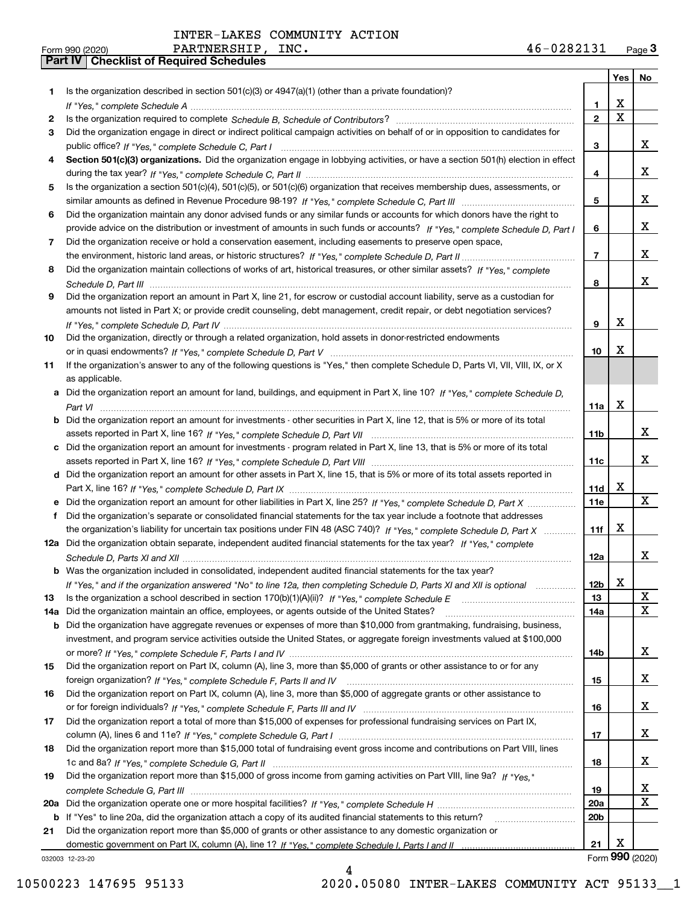|     |                                                                                                                                                                                                                                                            |                 | Yes         | No              |
|-----|------------------------------------------------------------------------------------------------------------------------------------------------------------------------------------------------------------------------------------------------------------|-----------------|-------------|-----------------|
| 1   | Is the organization described in section 501(c)(3) or 4947(a)(1) (other than a private foundation)?                                                                                                                                                        |                 |             |                 |
|     |                                                                                                                                                                                                                                                            | 1               | X           |                 |
| 2   |                                                                                                                                                                                                                                                            | $\overline{2}$  | $\mathbf X$ |                 |
| 3   | Did the organization engage in direct or indirect political campaign activities on behalf of or in opposition to candidates for                                                                                                                            |                 |             |                 |
|     |                                                                                                                                                                                                                                                            | 3               |             | X.              |
| 4   | Section 501(c)(3) organizations. Did the organization engage in lobbying activities, or have a section 501(h) election in effect                                                                                                                           |                 |             |                 |
|     |                                                                                                                                                                                                                                                            | 4               |             | X.              |
| 5   | Is the organization a section 501(c)(4), 501(c)(5), or 501(c)(6) organization that receives membership dues, assessments, or                                                                                                                               |                 |             |                 |
|     |                                                                                                                                                                                                                                                            | 5               |             | x               |
| 6   | Did the organization maintain any donor advised funds or any similar funds or accounts for which donors have the right to                                                                                                                                  |                 |             |                 |
|     | provide advice on the distribution or investment of amounts in such funds or accounts? If "Yes," complete Schedule D, Part I                                                                                                                               | 6               |             | X.              |
| 7   | Did the organization receive or hold a conservation easement, including easements to preserve open space,                                                                                                                                                  |                 |             | x               |
|     |                                                                                                                                                                                                                                                            | 7               |             |                 |
| 8   | Did the organization maintain collections of works of art, historical treasures, or other similar assets? If "Yes," complete                                                                                                                               |                 |             | x               |
|     |                                                                                                                                                                                                                                                            | 8               |             |                 |
| 9   | Did the organization report an amount in Part X, line 21, for escrow or custodial account liability, serve as a custodian for<br>amounts not listed in Part X; or provide credit counseling, debt management, credit repair, or debt negotiation services? |                 |             |                 |
|     |                                                                                                                                                                                                                                                            | 9               | х           |                 |
| 10  | Did the organization, directly or through a related organization, hold assets in donor-restricted endowments                                                                                                                                               |                 |             |                 |
|     |                                                                                                                                                                                                                                                            | 10              | x           |                 |
| 11  | If the organization's answer to any of the following questions is "Yes," then complete Schedule D, Parts VI, VII, VIII, IX, or X                                                                                                                           |                 |             |                 |
|     | as applicable.                                                                                                                                                                                                                                             |                 |             |                 |
|     | a Did the organization report an amount for land, buildings, and equipment in Part X, line 10? If "Yes," complete Schedule D,                                                                                                                              |                 |             |                 |
|     |                                                                                                                                                                                                                                                            | 11a             | X           |                 |
| b   | Did the organization report an amount for investments - other securities in Part X, line 12, that is 5% or more of its total                                                                                                                               |                 |             |                 |
|     |                                                                                                                                                                                                                                                            | 11b             |             | X.              |
|     | c Did the organization report an amount for investments - program related in Part X, line 13, that is 5% or more of its total                                                                                                                              |                 |             |                 |
|     |                                                                                                                                                                                                                                                            | 11c             |             | x               |
|     | d Did the organization report an amount for other assets in Part X, line 15, that is 5% or more of its total assets reported in                                                                                                                            |                 |             |                 |
|     |                                                                                                                                                                                                                                                            | 11d             | X.          |                 |
|     | Did the organization report an amount for other liabilities in Part X, line 25? If "Yes," complete Schedule D, Part X                                                                                                                                      | 11e             |             | X               |
| f   | Did the organization's separate or consolidated financial statements for the tax year include a footnote that addresses                                                                                                                                    |                 |             |                 |
|     | the organization's liability for uncertain tax positions under FIN 48 (ASC 740)? If "Yes," complete Schedule D, Part X                                                                                                                                     | 11f             | x           |                 |
|     | 12a Did the organization obtain separate, independent audited financial statements for the tax year? If "Yes," complete                                                                                                                                    |                 |             |                 |
|     |                                                                                                                                                                                                                                                            | 12a             |             | x               |
|     | <b>b</b> Was the organization included in consolidated, independent audited financial statements for the tax year?                                                                                                                                         |                 |             |                 |
|     | If "Yes," and if the organization answered "No" to line 12a, then completing Schedule D, Parts XI and XII is optional                                                                                                                                      | 12 <sub>b</sub> | х           |                 |
| 13  | Is the organization a school described in section 170(b)(1)(A)(ii)? If "Yes," complete Schedule E                                                                                                                                                          | 13              |             | X               |
| 14a | Did the organization maintain an office, employees, or agents outside of the United States?                                                                                                                                                                | 14a             |             | X               |
| b   | Did the organization have aggregate revenues or expenses of more than \$10,000 from grantmaking, fundraising, business,                                                                                                                                    |                 |             |                 |
|     | investment, and program service activities outside the United States, or aggregate foreign investments valued at \$100,000                                                                                                                                 |                 |             |                 |
|     |                                                                                                                                                                                                                                                            | 14b             |             | X               |
| 15  | Did the organization report on Part IX, column (A), line 3, more than \$5,000 of grants or other assistance to or for any                                                                                                                                  |                 |             |                 |
|     |                                                                                                                                                                                                                                                            | 15              |             | X               |
| 16  | Did the organization report on Part IX, column (A), line 3, more than \$5,000 of aggregate grants or other assistance to                                                                                                                                   |                 |             |                 |
|     |                                                                                                                                                                                                                                                            | 16              |             | X               |
| 17  | Did the organization report a total of more than \$15,000 of expenses for professional fundraising services on Part IX,                                                                                                                                    |                 |             |                 |
|     |                                                                                                                                                                                                                                                            | 17              |             | X               |
| 18  | Did the organization report more than \$15,000 total of fundraising event gross income and contributions on Part VIII, lines                                                                                                                               |                 |             |                 |
|     |                                                                                                                                                                                                                                                            | 18              |             | X.              |
| 19  | Did the organization report more than \$15,000 of gross income from gaming activities on Part VIII, line 9a? If "Yes."                                                                                                                                     |                 |             |                 |
|     |                                                                                                                                                                                                                                                            | 19              |             | X               |
| 20a |                                                                                                                                                                                                                                                            | 20a             |             | $\mathbf X$     |
|     | b If "Yes" to line 20a, did the organization attach a copy of its audited financial statements to this return?                                                                                                                                             | 20 <sub>b</sub> |             |                 |
| 21  | Did the organization report more than \$5,000 of grants or other assistance to any domestic organization or                                                                                                                                                |                 |             |                 |
|     |                                                                                                                                                                                                                                                            | 21              | x           |                 |
|     | 032003 12-23-20                                                                                                                                                                                                                                            |                 |             | Form 990 (2020) |

032003 12-23-20

4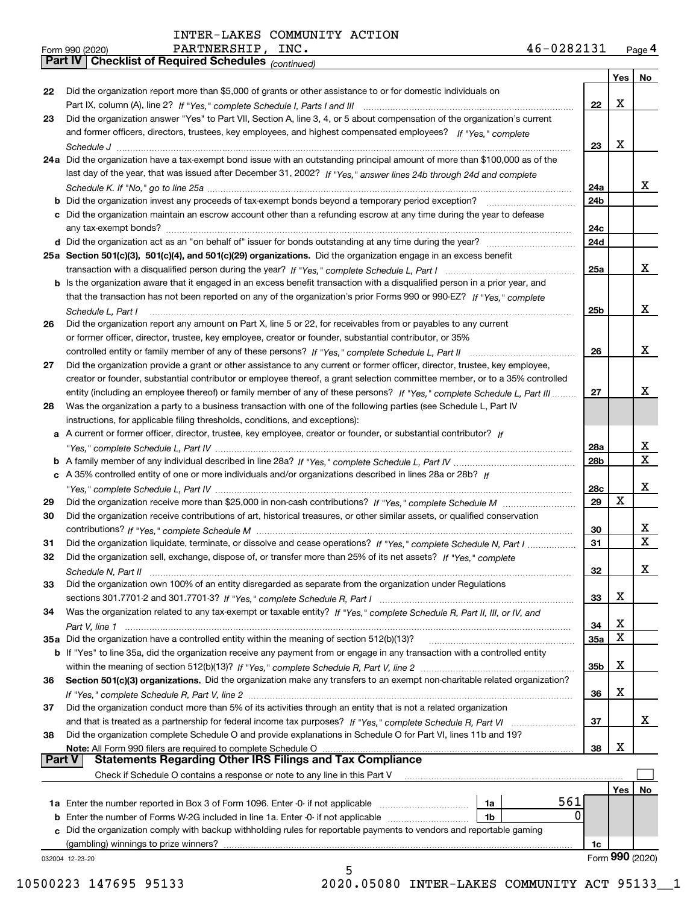*(continued)*

|               |                                                                                                                              |                 | Yes | No.             |
|---------------|------------------------------------------------------------------------------------------------------------------------------|-----------------|-----|-----------------|
| 22            | Did the organization report more than \$5,000 of grants or other assistance to or for domestic individuals on                |                 |     |                 |
|               |                                                                                                                              | 22              | x   |                 |
| 23            | Did the organization answer "Yes" to Part VII, Section A, line 3, 4, or 5 about compensation of the organization's current   |                 |     |                 |
|               | and former officers, directors, trustees, key employees, and highest compensated employees? If "Yes." complete               |                 |     |                 |
|               |                                                                                                                              | 23              | х   |                 |
|               | 24a Did the organization have a tax-exempt bond issue with an outstanding principal amount of more than \$100,000 as of the  |                 |     |                 |
|               | last day of the year, that was issued after December 31, 2002? If "Yes," answer lines 24b through 24d and complete           |                 |     |                 |
|               |                                                                                                                              | 24a             |     | x               |
| b             |                                                                                                                              | 24 <sub>b</sub> |     |                 |
|               | c Did the organization maintain an escrow account other than a refunding escrow at any time during the year to defease       |                 |     |                 |
|               |                                                                                                                              | 24c             |     |                 |
|               |                                                                                                                              | 24d             |     |                 |
|               | 25a Section 501(c)(3), 501(c)(4), and 501(c)(29) organizations. Did the organization engage in an excess benefit             |                 |     |                 |
|               |                                                                                                                              | 25a             |     | x               |
|               | b Is the organization aware that it engaged in an excess benefit transaction with a disqualified person in a prior year, and |                 |     |                 |
|               | that the transaction has not been reported on any of the organization's prior Forms 990 or 990-EZ? If "Yes," complete        |                 |     |                 |
|               | Schedule L, Part I                                                                                                           | 25b             |     | x               |
| 26            | Did the organization report any amount on Part X, line 5 or 22, for receivables from or payables to any current              |                 |     |                 |
|               | or former officer, director, trustee, key employee, creator or founder, substantial contributor, or 35%                      |                 |     |                 |
|               |                                                                                                                              | 26              |     | x               |
| 27            | Did the organization provide a grant or other assistance to any current or former officer, director, trustee, key employee,  |                 |     |                 |
|               | creator or founder, substantial contributor or employee thereof, a grant selection committee member, or to a 35% controlled  |                 |     |                 |
|               | entity (including an employee thereof) or family member of any of these persons? If "Yes," complete Schedule L, Part III     | 27              |     | x               |
| 28            | Was the organization a party to a business transaction with one of the following parties (see Schedule L, Part IV            |                 |     |                 |
|               | instructions, for applicable filing thresholds, conditions, and exceptions):                                                 |                 |     |                 |
|               | a A current or former officer, director, trustee, key employee, creator or founder, or substantial contributor? If           |                 |     |                 |
|               |                                                                                                                              | 28a             |     | x               |
|               |                                                                                                                              | 28b             |     | X.              |
|               |                                                                                                                              |                 |     |                 |
|               | c A 35% controlled entity of one or more individuals and/or organizations described in lines 28a or 28b? If                  |                 |     | x               |
|               |                                                                                                                              | 28c             | х   |                 |
| 29            |                                                                                                                              | 29              |     |                 |
| 30            | Did the organization receive contributions of art, historical treasures, or other similar assets, or qualified conservation  |                 |     | х               |
|               |                                                                                                                              | 30              |     | X               |
| 31            | Did the organization liquidate, terminate, or dissolve and cease operations? If "Yes," complete Schedule N, Part I           | 31              |     |                 |
| 32            | Did the organization sell, exchange, dispose of, or transfer more than 25% of its net assets? If "Yes," complete             |                 |     |                 |
|               |                                                                                                                              | 32              |     | х               |
| 33            | Did the organization own 100% of an entity disregarded as separate from the organization under Regulations                   |                 |     |                 |
|               |                                                                                                                              | 33              | Χ   |                 |
| 34            | Was the organization related to any tax-exempt or taxable entity? If "Yes," complete Schedule R, Part II, III, or IV, and    |                 |     |                 |
|               | Part V. line 1                                                                                                               | 34              | х   |                 |
|               | 35a Did the organization have a controlled entity within the meaning of section 512(b)(13)?                                  | 35a             | X   |                 |
|               | b If "Yes" to line 35a, did the organization receive any payment from or engage in any transaction with a controlled entity  |                 |     |                 |
|               |                                                                                                                              | 35b             | х   |                 |
| 36            | Section 501(c)(3) organizations. Did the organization make any transfers to an exempt non-charitable related organization?   |                 |     |                 |
|               |                                                                                                                              | 36              | х   |                 |
| 37            | Did the organization conduct more than 5% of its activities through an entity that is not a related organization             |                 |     |                 |
|               | and that is treated as a partnership for federal income tax purposes? If "Yes," complete Schedule R, Part VI                 | 37              |     | X.              |
| 38            | Did the organization complete Schedule O and provide explanations in Schedule O for Part VI, lines 11b and 19?               |                 |     |                 |
|               | Note: All Form 990 filers are required to complete Schedule O                                                                | 38              | х   |                 |
| <b>Part V</b> | <b>Statements Regarding Other IRS Filings and Tax Compliance</b>                                                             |                 |     |                 |
|               | Check if Schedule O contains a response or note to any line in this Part V                                                   |                 |     |                 |
|               |                                                                                                                              |                 | Yes | No              |
|               | 561<br>1a Enter the number reported in Box 3 of Form 1096. Enter -0- if not applicable<br>1a                                 |                 |     |                 |
| b             | 0<br>Enter the number of Forms W-2G included in line 1a. Enter -0- if not applicable<br>1b                                   |                 |     |                 |
|               | Did the organization comply with backup withholding rules for reportable payments to vendors and reportable gaming           |                 |     |                 |
|               | (gambling) winnings to prize winners?                                                                                        | 1c              |     |                 |
|               | 032004 12-23-20                                                                                                              |                 |     | Form 990 (2020) |
|               | 5                                                                                                                            |                 |     |                 |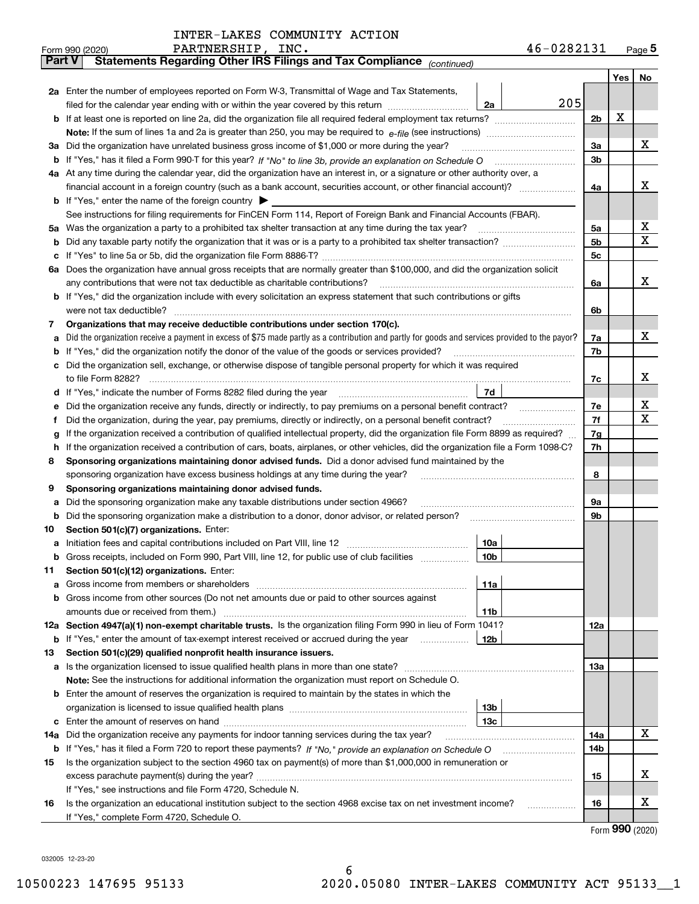| INTER-LAKES COMMUNITY ACTION |  |  |
|------------------------------|--|--|
|------------------------------|--|--|

|               | PARTNERSHIP, INC.<br>Form 990 (2020)                                                                                                                                                                    | 46-0282131  |     |     | $_{\text{Page}}$ 5 |  |  |  |  |  |  |
|---------------|---------------------------------------------------------------------------------------------------------------------------------------------------------------------------------------------------------|-------------|-----|-----|--------------------|--|--|--|--|--|--|
| <b>Part V</b> | Statements Regarding Other IRS Filings and Tax Compliance (continued)                                                                                                                                   |             |     |     |                    |  |  |  |  |  |  |
|               |                                                                                                                                                                                                         |             |     | Yes | No                 |  |  |  |  |  |  |
|               | 2a Enter the number of employees reported on Form W-3, Transmittal of Wage and Tax Statements,                                                                                                          |             |     |     |                    |  |  |  |  |  |  |
|               | filed for the calendar year ending with or within the year covered by this return                                                                                                                       | 205<br>2a   |     |     |                    |  |  |  |  |  |  |
|               |                                                                                                                                                                                                         |             |     |     |                    |  |  |  |  |  |  |
|               |                                                                                                                                                                                                         |             |     |     |                    |  |  |  |  |  |  |
|               | 3a Did the organization have unrelated business gross income of \$1,000 or more during the year?                                                                                                        |             | За  |     | х                  |  |  |  |  |  |  |
|               |                                                                                                                                                                                                         |             | 3b  |     |                    |  |  |  |  |  |  |
|               | 4a At any time during the calendar year, did the organization have an interest in, or a signature or other authority over, a                                                                            |             |     |     |                    |  |  |  |  |  |  |
|               |                                                                                                                                                                                                         |             | 4a  |     | х                  |  |  |  |  |  |  |
|               | <b>b</b> If "Yes," enter the name of the foreign country $\blacktriangleright$                                                                                                                          |             |     |     |                    |  |  |  |  |  |  |
|               | See instructions for filing requirements for FinCEN Form 114, Report of Foreign Bank and Financial Accounts (FBAR).                                                                                     |             |     |     |                    |  |  |  |  |  |  |
|               |                                                                                                                                                                                                         |             | 5a  |     | х                  |  |  |  |  |  |  |
| b             |                                                                                                                                                                                                         |             | 5b  |     | Χ                  |  |  |  |  |  |  |
| c             |                                                                                                                                                                                                         |             | 5c  |     |                    |  |  |  |  |  |  |
|               | 6a Does the organization have annual gross receipts that are normally greater than \$100,000, and did the organization solicit                                                                          |             |     |     |                    |  |  |  |  |  |  |
|               |                                                                                                                                                                                                         |             | 6a  |     | х                  |  |  |  |  |  |  |
|               | <b>b</b> If "Yes," did the organization include with every solicitation an express statement that such contributions or gifts                                                                           |             |     |     |                    |  |  |  |  |  |  |
|               | were not tax deductible?                                                                                                                                                                                |             | 6b  |     |                    |  |  |  |  |  |  |
| 7             | Organizations that may receive deductible contributions under section 170(c).                                                                                                                           |             |     |     |                    |  |  |  |  |  |  |
| а             | Did the organization receive a payment in excess of \$75 made partly as a contribution and partly for goods and services provided to the payor?                                                         |             | 7a  |     | х                  |  |  |  |  |  |  |
|               | <b>b</b> If "Yes," did the organization notify the donor of the value of the goods or services provided?                                                                                                |             | 7b  |     |                    |  |  |  |  |  |  |
|               | c Did the organization sell, exchange, or otherwise dispose of tangible personal property for which it was required                                                                                     |             |     |     |                    |  |  |  |  |  |  |
|               |                                                                                                                                                                                                         |             | 7c  |     | х                  |  |  |  |  |  |  |
|               | d If "Yes," indicate the number of Forms 8282 filed during the year [11] [11] The System manuscription of Forms 8282 filed during the year [11] [12] The System manuscription of the Year [12] $\sigma$ | 7d          |     |     |                    |  |  |  |  |  |  |
| е             | Did the organization receive any funds, directly or indirectly, to pay premiums on a personal benefit contract?                                                                                         |             | 7е  |     | х                  |  |  |  |  |  |  |
| f             | Did the organization, during the year, pay premiums, directly or indirectly, on a personal benefit contract?                                                                                            |             | 7f  |     | Χ                  |  |  |  |  |  |  |
| g             | If the organization received a contribution of qualified intellectual property, did the organization file Form 8899 as required?                                                                        |             | 7g  |     |                    |  |  |  |  |  |  |
| h.            | If the organization received a contribution of cars, boats, airplanes, or other vehicles, did the organization file a Form 1098-C?                                                                      |             | 7h  |     |                    |  |  |  |  |  |  |
| 8             | Sponsoring organizations maintaining donor advised funds. Did a donor advised fund maintained by the                                                                                                    |             |     |     |                    |  |  |  |  |  |  |
|               | sponsoring organization have excess business holdings at any time during the year?                                                                                                                      |             | 8   |     |                    |  |  |  |  |  |  |
| 9             | Sponsoring organizations maintaining donor advised funds.                                                                                                                                               |             |     |     |                    |  |  |  |  |  |  |
| а             | Did the sponsoring organization make any taxable distributions under section 4966?                                                                                                                      |             | 9а  |     |                    |  |  |  |  |  |  |
| b             |                                                                                                                                                                                                         |             | 9b  |     |                    |  |  |  |  |  |  |
| 10            | Section 501(c)(7) organizations. Enter:                                                                                                                                                                 |             |     |     |                    |  |  |  |  |  |  |
|               |                                                                                                                                                                                                         | 10a<br> 10b |     |     |                    |  |  |  |  |  |  |
|               | Gross receipts, included on Form 990, Part VIII, line 12, for public use of club facilities                                                                                                             |             |     |     |                    |  |  |  |  |  |  |
| 11            | Section 501(c)(12) organizations. Enter:                                                                                                                                                                |             |     |     |                    |  |  |  |  |  |  |
| a             | Gross income from members or shareholders<br>b Gross income from other sources (Do not net amounts due or paid to other sources against                                                                 | 11a         |     |     |                    |  |  |  |  |  |  |
|               |                                                                                                                                                                                                         | 11b         |     |     |                    |  |  |  |  |  |  |
|               | 12a Section 4947(a)(1) non-exempt charitable trusts. Is the organization filing Form 990 in lieu of Form 1041?                                                                                          |             | 12a |     |                    |  |  |  |  |  |  |
|               | <b>b</b> If "Yes," enter the amount of tax-exempt interest received or accrued during the year                                                                                                          | 12b         |     |     |                    |  |  |  |  |  |  |
| 13            | Section 501(c)(29) qualified nonprofit health insurance issuers.                                                                                                                                        |             |     |     |                    |  |  |  |  |  |  |
|               | <b>a</b> Is the organization licensed to issue qualified health plans in more than one state?                                                                                                           |             | 13a |     |                    |  |  |  |  |  |  |
|               | Note: See the instructions for additional information the organization must report on Schedule O.                                                                                                       |             |     |     |                    |  |  |  |  |  |  |
|               | <b>b</b> Enter the amount of reserves the organization is required to maintain by the states in which the                                                                                               |             |     |     |                    |  |  |  |  |  |  |
|               |                                                                                                                                                                                                         | 13b         |     |     |                    |  |  |  |  |  |  |
|               |                                                                                                                                                                                                         | 13с         |     |     |                    |  |  |  |  |  |  |
| 14a           | Did the organization receive any payments for indoor tanning services during the tax year?                                                                                                              |             | 14a |     | x                  |  |  |  |  |  |  |
|               | <b>b</b> If "Yes," has it filed a Form 720 to report these payments? If "No," provide an explanation on Schedule O                                                                                      |             | 14b |     |                    |  |  |  |  |  |  |
| 15            | Is the organization subject to the section 4960 tax on payment(s) of more than \$1,000,000 in remuneration or                                                                                           |             |     |     |                    |  |  |  |  |  |  |
|               |                                                                                                                                                                                                         |             | 15  |     | х                  |  |  |  |  |  |  |
|               | If "Yes," see instructions and file Form 4720, Schedule N.                                                                                                                                              |             |     |     |                    |  |  |  |  |  |  |
| 16            | Is the organization an educational institution subject to the section 4968 excise tax on net investment income?                                                                                         |             | 16  |     | х                  |  |  |  |  |  |  |
|               | If "Yes," complete Form 4720, Schedule O.                                                                                                                                                               |             |     |     |                    |  |  |  |  |  |  |

Form (2020) **990**

032005 12-23-20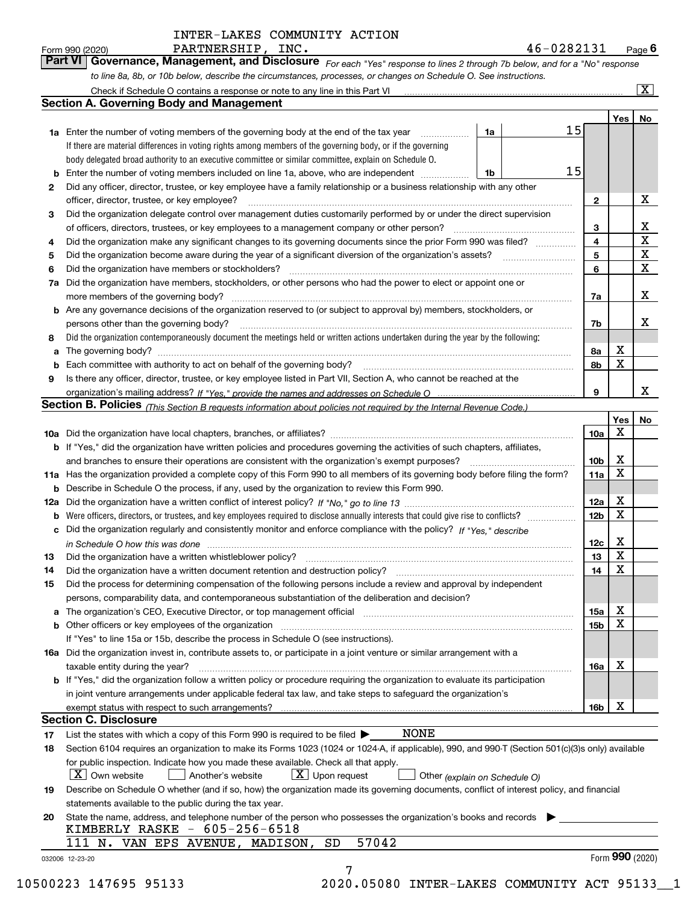*For each "Yes" response to lines 2 through 7b below, and for a "No" response to line 8a, 8b, or 10b below, describe the circumstances, processes, or changes on Schedule O. See instructions.* Form 990 (2020) **PARTNERSHIP, INC.**<br>**Part VI Governance, Management, and Disclosure** For each "Yes" response to lines 2 through 7b below, and for a "No" response

|    |                                                                                                                                                                               |    |    |                         | Yes | No                      |
|----|-------------------------------------------------------------------------------------------------------------------------------------------------------------------------------|----|----|-------------------------|-----|-------------------------|
|    | <b>1a</b> Enter the number of voting members of the governing body at the end of the tax year                                                                                 | 1a | 15 |                         |     |                         |
|    | If there are material differences in voting rights among members of the governing body, or if the governing                                                                   |    |    |                         |     |                         |
|    | body delegated broad authority to an executive committee or similar committee, explain on Schedule O.                                                                         |    |    |                         |     |                         |
|    |                                                                                                                                                                               | 1b | 15 |                         |     |                         |
| 2  | Did any officer, director, trustee, or key employee have a family relationship or a business relationship with any other                                                      |    |    |                         |     |                         |
|    | officer, director, trustee, or key employee?                                                                                                                                  |    |    | $\mathbf{2}$            |     | X                       |
| 3  | Did the organization delegate control over management duties customarily performed by or under the direct supervision                                                         |    |    |                         |     |                         |
|    |                                                                                                                                                                               |    |    | 3                       |     | X                       |
| 4  | Did the organization make any significant changes to its governing documents since the prior Form 990 was filed?                                                              |    |    | $\overline{\mathbf{4}}$ |     | $\overline{\textbf{X}}$ |
| 5  |                                                                                                                                                                               |    |    | 5                       |     | $\mathbf X$             |
| 6  | Did the organization have members or stockholders?                                                                                                                            |    |    | 6                       |     | $\mathbf x$             |
|    | 7a Did the organization have members, stockholders, or other persons who had the power to elect or appoint one or                                                             |    |    |                         |     |                         |
|    |                                                                                                                                                                               |    |    | 7a                      |     | x                       |
|    | <b>b</b> Are any governance decisions of the organization reserved to (or subject to approval by) members, stockholders, or                                                   |    |    |                         |     |                         |
|    | persons other than the governing body?                                                                                                                                        |    |    | 7b                      |     | х                       |
| 8  | Did the organization contemporaneously document the meetings held or written actions undertaken during the year by the following:                                             |    |    |                         |     |                         |
| a  |                                                                                                                                                                               |    |    | 8a                      | X   |                         |
|    |                                                                                                                                                                               |    |    | 8b                      | X   |                         |
| 9  | Is there any officer, director, trustee, or key employee listed in Part VII, Section A, who cannot be reached at the                                                          |    |    |                         |     |                         |
|    |                                                                                                                                                                               |    |    | 9                       |     | х                       |
|    | Section B. Policies (This Section B requests information about policies not required by the Internal Revenue Code.)                                                           |    |    |                         |     |                         |
|    |                                                                                                                                                                               |    |    |                         | Yes | No                      |
|    |                                                                                                                                                                               |    |    |                         | Χ   |                         |
|    |                                                                                                                                                                               |    |    | 10a                     |     |                         |
|    | <b>b</b> If "Yes," did the organization have written policies and procedures governing the activities of such chapters, affiliates,                                           |    |    |                         | Х   |                         |
|    |                                                                                                                                                                               |    |    | 10 <sub>b</sub>         | X   |                         |
|    | 11a Has the organization provided a complete copy of this Form 990 to all members of its governing body before filing the form?                                               |    |    | 11a                     |     |                         |
|    | <b>b</b> Describe in Schedule O the process, if any, used by the organization to review this Form 990.                                                                        |    |    |                         |     |                         |
|    |                                                                                                                                                                               |    |    | 12a                     | X   |                         |
| b  |                                                                                                                                                                               |    |    | 12b                     | X   |                         |
|    | c Did the organization regularly and consistently monitor and enforce compliance with the policy? If "Yes," describe                                                          |    |    |                         |     |                         |
|    | in Schedule O how this was done manufactured and continuum control of the Schedule O how this was done manufactured and continuum control of the Schedule O how this was done |    |    | 12c                     | х   |                         |
| 13 |                                                                                                                                                                               |    |    | 13                      | X   |                         |
| 14 | Did the organization have a written document retention and destruction policy? manufactured and the organization have a written document retention and destruction policy?    |    |    | 14                      | X   |                         |
| 15 | Did the process for determining compensation of the following persons include a review and approval by independent                                                            |    |    |                         |     |                         |
|    | persons, comparability data, and contemporaneous substantiation of the deliberation and decision?                                                                             |    |    |                         |     |                         |
|    | a The organization's CEO, Executive Director, or top management official manufactured content of the organization's CEO, Executive Director, or top management official       |    |    | 15a                     | X   |                         |
|    |                                                                                                                                                                               |    |    | 15 <sub>b</sub>         | X   |                         |
|    | If "Yes" to line 15a or 15b, describe the process in Schedule O (see instructions).                                                                                           |    |    |                         |     |                         |
|    | 16a Did the organization invest in, contribute assets to, or participate in a joint venture or similar arrangement with a                                                     |    |    |                         |     |                         |
|    | taxable entity during the year?                                                                                                                                               |    |    | 16a                     | X   |                         |
|    | b If "Yes," did the organization follow a written policy or procedure requiring the organization to evaluate its participation                                                |    |    |                         |     |                         |
|    | in joint venture arrangements under applicable federal tax law, and take steps to safequard the organization's                                                                |    |    |                         |     |                         |
|    | exempt status with respect to such arrangements?                                                                                                                              |    |    | 16b                     | X   |                         |
|    | <b>Section C. Disclosure</b>                                                                                                                                                  |    |    |                         |     |                         |
| 17 | <b>NONE</b><br>List the states with which a copy of this Form 990 is required to be filed $\blacktriangleright$                                                               |    |    |                         |     |                         |
| 18 | Section 6104 requires an organization to make its Forms 1023 (1024 or 1024-A, if applicable), 990, and 990-T (Section 501(c)(3)s only) available                              |    |    |                         |     |                         |
|    | for public inspection. Indicate how you made these available. Check all that apply.                                                                                           |    |    |                         |     |                         |
|    | $\lfloor X \rfloor$ Own website<br>$X$ Upon request<br>  Another's website<br>Other (explain on Schedule O)                                                                   |    |    |                         |     |                         |
| 19 | Describe on Schedule O whether (and if so, how) the organization made its governing documents, conflict of interest policy, and financial                                     |    |    |                         |     |                         |
|    | statements available to the public during the tax year.                                                                                                                       |    |    |                         |     |                         |
| 20 | State the name, address, and telephone number of the person who possesses the organization's books and records                                                                |    |    |                         |     |                         |
|    | KIMBERLY RASKE - 605-256-6518                                                                                                                                                 |    |    |                         |     |                         |
|    | 57042<br>111 N. VAN EPS AVENUE, MADISON,<br>SD                                                                                                                                |    |    |                         |     |                         |
|    |                                                                                                                                                                               |    |    |                         |     |                         |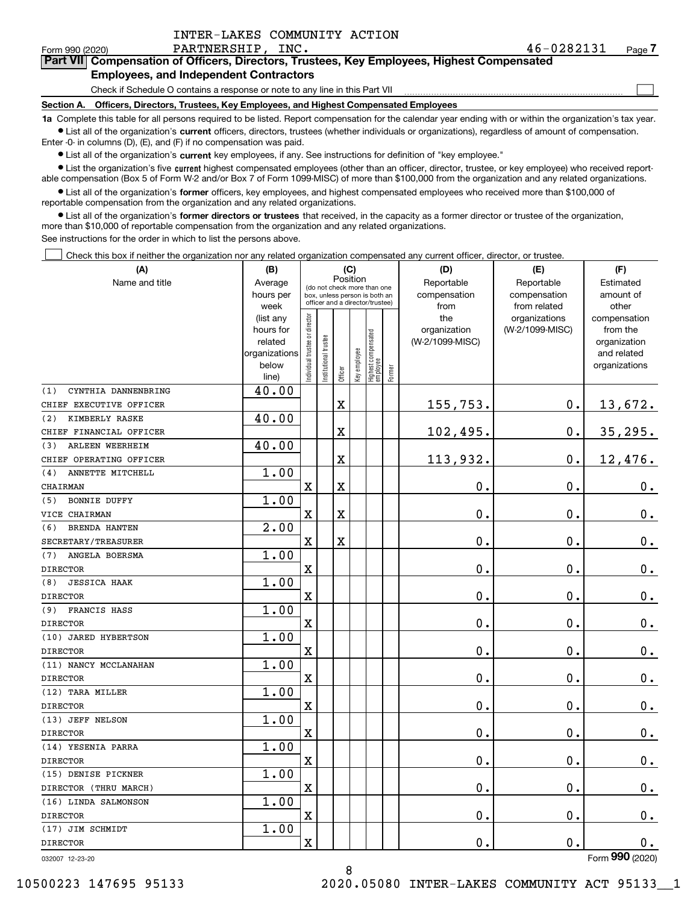$\mathcal{L}^{\text{max}}$ 

# Form 990 (2020) PARTNERSHIP, INC. 4 6-0 2 8 2 1 3 1 <sub>Page</sub> **7Part VII Compensation of Officers, Directors, Trustees, Key Employees, Highest Compensated**

### **Employees, and Independent Contractors**

Check if Schedule O contains a response or note to any line in this Part VII

**Section A. Officers, Directors, Trustees, Key Employees, and Highest Compensated Employees**

**1a**  Complete this table for all persons required to be listed. Report compensation for the calendar year ending with or within the organization's tax year. **•** List all of the organization's current officers, directors, trustees (whether individuals or organizations), regardless of amount of compensation.

Enter -0- in columns (D), (E), and (F) if no compensation was paid.

 $\bullet$  List all of the organization's  $\,$ current key employees, if any. See instructions for definition of "key employee."

**•** List the organization's five current highest compensated employees (other than an officer, director, trustee, or key employee) who received reportable compensation (Box 5 of Form W-2 and/or Box 7 of Form 1099-MISC) of more than \$100,000 from the organization and any related organizations.

**•** List all of the organization's former officers, key employees, and highest compensated employees who received more than \$100,000 of reportable compensation from the organization and any related organizations.

**former directors or trustees**  ¥ List all of the organization's that received, in the capacity as a former director or trustee of the organization, more than \$10,000 of reportable compensation from the organization and any related organizations.

See instructions for the order in which to list the persons above.

Check this box if neither the organization nor any related organization compensated any current officer, director, or trustee.  $\mathcal{L}^{\text{max}}$ 

| (A)                         | (C)<br>(B)             |                               |                                                                  |             | (D)          | (E)                              | (F)          |                     |                                  |                                |
|-----------------------------|------------------------|-------------------------------|------------------------------------------------------------------|-------------|--------------|----------------------------------|--------------|---------------------|----------------------------------|--------------------------------|
| Name and title              | Average                |                               | Position<br>(do not check more than one                          |             | Reportable   | Reportable                       | Estimated    |                     |                                  |                                |
|                             | hours per              |                               | box, unless person is both an<br>officer and a director/trustee) |             |              | compensation                     | compensation | amount of           |                                  |                                |
|                             | week                   |                               |                                                                  |             |              |                                  |              | from                | from related                     | other                          |
|                             | (list any<br>hours for |                               |                                                                  |             |              |                                  |              | the<br>organization | organizations<br>(W-2/1099-MISC) | compensation<br>from the       |
|                             | related                |                               |                                                                  |             |              |                                  |              | (W-2/1099-MISC)     |                                  | organization                   |
|                             | organizations          |                               |                                                                  |             |              |                                  |              |                     |                                  | and related                    |
|                             | below                  | ndividual trustee or director | nstitutional trustee                                             |             | key employee | Highest compensated<br> employee |              |                     |                                  | organizations                  |
|                             | line)                  |                               |                                                                  | Officer     |              |                                  | Former       |                     |                                  |                                |
| CYNTHIA DANNENBRING<br>(1)  | 40.00                  |                               |                                                                  |             |              |                                  |              |                     |                                  |                                |
| CHIEF EXECUTIVE OFFICER     |                        |                               |                                                                  | $\mathbf X$ |              |                                  |              | 155,753.            | $\mathbf 0$ .                    | 13,672.                        |
| KIMBERLY RASKE<br>(2)       | 40.00                  |                               |                                                                  |             |              |                                  |              |                     |                                  |                                |
| CHIEF FINANCIAL OFFICER     |                        |                               |                                                                  | X           |              |                                  |              | 102,495.            | $\mathbf{0}$ .                   | 35, 295.                       |
| ARLEEN WEERHEIM<br>(3)      | 40.00                  |                               |                                                                  |             |              |                                  |              |                     |                                  |                                |
| CHIEF OPERATING OFFICER     |                        |                               |                                                                  | $\mathbf X$ |              |                                  |              | 113,932.            | $\mathbf 0$ .                    | 12,476.                        |
| ANNETTE MITCHELL<br>(4)     | 1.00                   |                               |                                                                  |             |              |                                  |              |                     |                                  |                                |
| CHAIRMAN                    |                        | $\overline{\mathbf{X}}$       |                                                                  | $\rm X$     |              |                                  |              | 0.                  | $\mathbf 0$ .                    | 0.                             |
| <b>BONNIE DUFFY</b><br>(5)  | 1.00                   |                               |                                                                  |             |              |                                  |              |                     |                                  |                                |
| VICE CHAIRMAN               |                        | $\overline{\textbf{X}}$       |                                                                  | $\rm X$     |              |                                  |              | 0.                  | $\mathbf 0$ .                    | 0.                             |
| (6)<br><b>BRENDA HANTEN</b> | 2.00                   |                               |                                                                  |             |              |                                  |              |                     |                                  |                                |
| SECRETARY/TREASURER         |                        | $\overline{\mathbf{X}}$       |                                                                  | $\rm X$     |              |                                  |              | 0.                  | $\mathbf 0$ .                    | $\mathbf 0$ .                  |
| (7)<br>ANGELA BOERSMA       | 1.00                   |                               |                                                                  |             |              |                                  |              |                     |                                  |                                |
| <b>DIRECTOR</b>             |                        | $\overline{\mathbf{X}}$       |                                                                  |             |              |                                  |              | $\mathbf 0$ .       | $\mathbf 0$ .                    | $\mathbf 0$ .                  |
| <b>JESSICA HAAK</b><br>(8)  | 1.00                   |                               |                                                                  |             |              |                                  |              |                     |                                  |                                |
| <b>DIRECTOR</b>             |                        | $\overline{\mathbf{X}}$       |                                                                  |             |              |                                  |              | 0.                  | 0.                               | $0_{.}$                        |
| FRANCIS HASS<br>(9)         | 1.00                   |                               |                                                                  |             |              |                                  |              |                     |                                  |                                |
| <b>DIRECTOR</b>             |                        | $\overline{\mathbf{X}}$       |                                                                  |             |              |                                  |              | 0.                  | $\mathbf 0$ .                    | 0.                             |
| (10) JARED HYBERTSON        | 1.00                   |                               |                                                                  |             |              |                                  |              |                     |                                  |                                |
| <b>DIRECTOR</b>             |                        | $\overline{\mathbf{X}}$       |                                                                  |             |              |                                  |              | 0.                  | 0.                               | $\mathbf 0$ .                  |
| (11) NANCY MCCLANAHAN       | 1.00                   |                               |                                                                  |             |              |                                  |              |                     |                                  |                                |
| <b>DIRECTOR</b>             |                        | $\rm X$                       |                                                                  |             |              |                                  |              | 0.                  | $\mathbf 0$ .                    | $0$ .                          |
| (12) TARA MILLER            | 1.00                   |                               |                                                                  |             |              |                                  |              |                     |                                  |                                |
| <b>DIRECTOR</b>             |                        | $\overline{\mathbf{X}}$       |                                                                  |             |              |                                  |              | 0.                  | 0.                               | $\mathbf 0$ .                  |
| (13) JEFF NELSON            | 1.00                   |                               |                                                                  |             |              |                                  |              |                     |                                  |                                |
| <b>DIRECTOR</b>             |                        | $\overline{\mathbf{X}}$       |                                                                  |             |              |                                  |              | 0.                  | $\mathbf 0$ .                    | $0_{.}$                        |
| (14) YESENIA PARRA          | 1.00                   |                               |                                                                  |             |              |                                  |              |                     |                                  |                                |
| <b>DIRECTOR</b>             |                        | $\overline{\mathbf{X}}$       |                                                                  |             |              |                                  |              | $\mathbf{0}$ .      | 0.                               | $\mathbf 0$ .                  |
| (15) DENISE PICKNER         | 1.00                   |                               |                                                                  |             |              |                                  |              |                     |                                  |                                |
| DIRECTOR (THRU MARCH)       |                        | $\overline{\mathbf{X}}$       |                                                                  |             |              |                                  |              | $\mathbf 0$ .       | $\mathbf 0$ .                    | $\mathbf 0$ .                  |
| (16) LINDA SALMONSON        | 1.00                   |                               |                                                                  |             |              |                                  |              |                     |                                  |                                |
| <b>DIRECTOR</b>             |                        | X                             |                                                                  |             |              |                                  |              | 0.                  | 0.                               | $\mathbf 0$ .                  |
| (17) JIM SCHMIDT            | 1.00                   |                               |                                                                  |             |              |                                  |              |                     |                                  |                                |
| <b>DIRECTOR</b>             |                        | $\overline{\mathbf{X}}$       |                                                                  |             |              |                                  |              | 0.                  | $\mathbf 0$ .                    | 0.<br>$\overline{\phantom{0}}$ |

032007 12-23-20

8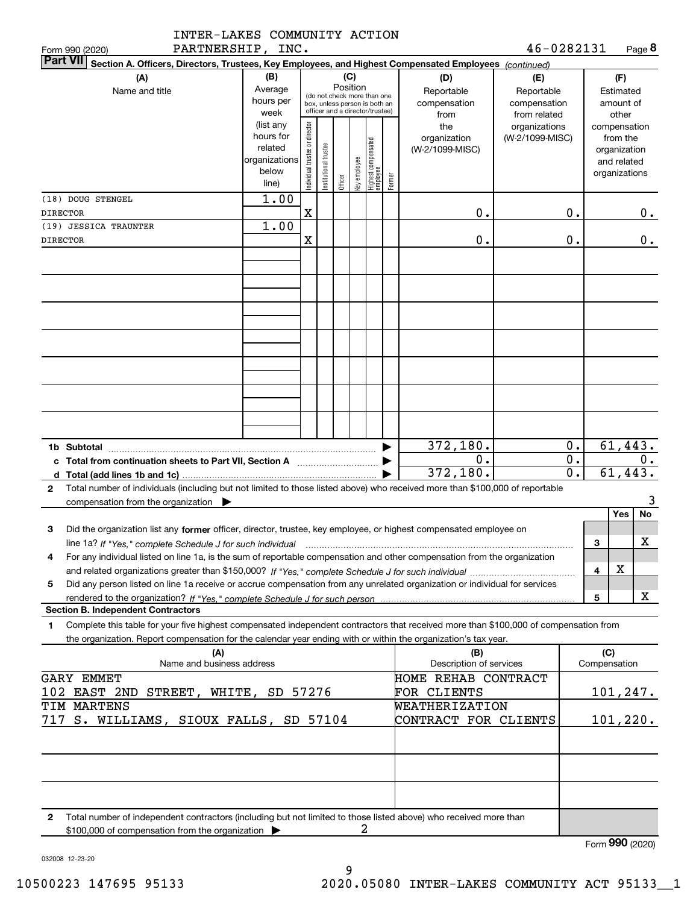| 46-0282131<br>PARTNERSHIP, INC.<br><b>Part VII</b><br>Section A. Officers, Directors, Trustees, Key Employees, and Highest Compensated Employees (continued)<br>(C)<br>(B)<br>(F)<br>(A)<br>(D)<br>(E)<br>Position<br>Average<br>Name and title<br>Reportable<br>Reportable<br>Estimated<br>(do not check more than one<br>hours per<br>compensation<br>compensation<br>amount of<br>box, unless person is both an<br>officer and a director/trustee)<br>week<br>from related<br>other<br>from<br>Individual trustee or director<br>(list any<br>the<br>organizations<br>compensation<br>hours for<br>organization<br>(W-2/1099-MISC)<br>from the<br>  Highest compensated<br>  employee<br>Institutional trustee<br>related<br>(W-2/1099-MISC)<br>organization<br>organizations<br>key employee<br>and related<br>below<br>organizations<br>Former<br>Officer<br>line)<br>1.00<br>$\mathbf X$<br>0.<br>0.<br>0.<br><b>DIRECTOR</b><br>1.00<br>(19) JESSICA TRAUNTER<br>0.<br>X<br>0.<br>0.<br>61,443.<br>372,180.<br>0.<br>1b Subtotal<br>$\overline{0}$ .<br>$\overline{0}$ .<br>0.<br>c Total from continuation sheets to Part VII, Section A [11, 11] [11] Total from continuation sheets to Part VII, Section A<br>372,180.<br>$\overline{0}$ .<br>61,443.<br>Total number of individuals (including but not limited to those listed above) who received more than \$100,000 of reportable<br>$\mathbf{2}$<br>3<br>compensation from the organization $\blacktriangleright$<br>No<br>Yes<br>Did the organization list any former officer, director, trustee, key employee, or highest compensated employee on<br>3<br>$\mathbf X$<br>line 1a? If "Yes," complete Schedule J for such individual manufactured contained and the Yes," complete Schedule J for such individual<br>3<br>For any individual listed on line 1a, is the sum of reportable compensation and other compensation from the organization<br>4<br>х<br>4<br>Did any person listed on line 1a receive or accrue compensation from any unrelated organization or individual for services<br>5<br>х<br>5<br><b>Section B. Independent Contractors</b><br>Complete this table for your five highest compensated independent contractors that received more than \$100,000 of compensation from<br>1<br>the organization. Report compensation for the calendar year ending with or within the organization's tax year.<br>(C)<br>(A)<br>(B)<br>Description of services<br>Compensation<br>Name and business address<br><b>GARY EMMET</b><br>HOME REHAB CONTRACT<br>101, 247.<br>102 EAST 2ND STREET, WHITE, SD 57276<br>FOR CLIENTS<br>WEATHERIZATION<br>CONTRACT FOR CLIENTS<br>101, 220.<br>717 S. WILLIAMS, SIOUX FALLS, SD 57104<br>Total number of independent contractors (including but not limited to those listed above) who received more than<br>2<br>2<br>\$100,000 of compensation from the organization | INTER-LAKES COMMUNITY ACTION |  |  |  |  |  |  |  |  |  |  |        |  |
|-------------------------------------------------------------------------------------------------------------------------------------------------------------------------------------------------------------------------------------------------------------------------------------------------------------------------------------------------------------------------------------------------------------------------------------------------------------------------------------------------------------------------------------------------------------------------------------------------------------------------------------------------------------------------------------------------------------------------------------------------------------------------------------------------------------------------------------------------------------------------------------------------------------------------------------------------------------------------------------------------------------------------------------------------------------------------------------------------------------------------------------------------------------------------------------------------------------------------------------------------------------------------------------------------------------------------------------------------------------------------------------------------------------------------------------------------------------------------------------------------------------------------------------------------------------------------------------------------------------------------------------------------------------------------------------------------------------------------------------------------------------------------------------------------------------------------------------------------------------------------------------------------------------------------------------------------------------------------------------------------------------------------------------------------------------------------------------------------------------------------------------------------------------------------------------------------------------------------------------------------------------------------------------------------------------------------------------------------------------------------------------------------------------------------------------------------------------------------------------------------------------------------------------------------------------------------------------------------------------------------------------------------------------------------------------------------------------------------------------------------------------------------------------------------------------------------------------------------------------------------------------------|------------------------------|--|--|--|--|--|--|--|--|--|--|--------|--|
|                                                                                                                                                                                                                                                                                                                                                                                                                                                                                                                                                                                                                                                                                                                                                                                                                                                                                                                                                                                                                                                                                                                                                                                                                                                                                                                                                                                                                                                                                                                                                                                                                                                                                                                                                                                                                                                                                                                                                                                                                                                                                                                                                                                                                                                                                                                                                                                                                                                                                                                                                                                                                                                                                                                                                                                                                                                                                           | Form 990 (2020)              |  |  |  |  |  |  |  |  |  |  | Page 8 |  |
|                                                                                                                                                                                                                                                                                                                                                                                                                                                                                                                                                                                                                                                                                                                                                                                                                                                                                                                                                                                                                                                                                                                                                                                                                                                                                                                                                                                                                                                                                                                                                                                                                                                                                                                                                                                                                                                                                                                                                                                                                                                                                                                                                                                                                                                                                                                                                                                                                                                                                                                                                                                                                                                                                                                                                                                                                                                                                           |                              |  |  |  |  |  |  |  |  |  |  |        |  |
|                                                                                                                                                                                                                                                                                                                                                                                                                                                                                                                                                                                                                                                                                                                                                                                                                                                                                                                                                                                                                                                                                                                                                                                                                                                                                                                                                                                                                                                                                                                                                                                                                                                                                                                                                                                                                                                                                                                                                                                                                                                                                                                                                                                                                                                                                                                                                                                                                                                                                                                                                                                                                                                                                                                                                                                                                                                                                           |                              |  |  |  |  |  |  |  |  |  |  |        |  |
|                                                                                                                                                                                                                                                                                                                                                                                                                                                                                                                                                                                                                                                                                                                                                                                                                                                                                                                                                                                                                                                                                                                                                                                                                                                                                                                                                                                                                                                                                                                                                                                                                                                                                                                                                                                                                                                                                                                                                                                                                                                                                                                                                                                                                                                                                                                                                                                                                                                                                                                                                                                                                                                                                                                                                                                                                                                                                           |                              |  |  |  |  |  |  |  |  |  |  |        |  |
| Form 990 (2020)                                                                                                                                                                                                                                                                                                                                                                                                                                                                                                                                                                                                                                                                                                                                                                                                                                                                                                                                                                                                                                                                                                                                                                                                                                                                                                                                                                                                                                                                                                                                                                                                                                                                                                                                                                                                                                                                                                                                                                                                                                                                                                                                                                                                                                                                                                                                                                                                                                                                                                                                                                                                                                                                                                                                                                                                                                                                           | (18) DOUG STENGEL            |  |  |  |  |  |  |  |  |  |  |        |  |
|                                                                                                                                                                                                                                                                                                                                                                                                                                                                                                                                                                                                                                                                                                                                                                                                                                                                                                                                                                                                                                                                                                                                                                                                                                                                                                                                                                                                                                                                                                                                                                                                                                                                                                                                                                                                                                                                                                                                                                                                                                                                                                                                                                                                                                                                                                                                                                                                                                                                                                                                                                                                                                                                                                                                                                                                                                                                                           |                              |  |  |  |  |  |  |  |  |  |  |        |  |
|                                                                                                                                                                                                                                                                                                                                                                                                                                                                                                                                                                                                                                                                                                                                                                                                                                                                                                                                                                                                                                                                                                                                                                                                                                                                                                                                                                                                                                                                                                                                                                                                                                                                                                                                                                                                                                                                                                                                                                                                                                                                                                                                                                                                                                                                                                                                                                                                                                                                                                                                                                                                                                                                                                                                                                                                                                                                                           | <b>DIRECTOR</b>              |  |  |  |  |  |  |  |  |  |  |        |  |
|                                                                                                                                                                                                                                                                                                                                                                                                                                                                                                                                                                                                                                                                                                                                                                                                                                                                                                                                                                                                                                                                                                                                                                                                                                                                                                                                                                                                                                                                                                                                                                                                                                                                                                                                                                                                                                                                                                                                                                                                                                                                                                                                                                                                                                                                                                                                                                                                                                                                                                                                                                                                                                                                                                                                                                                                                                                                                           |                              |  |  |  |  |  |  |  |  |  |  |        |  |
|                                                                                                                                                                                                                                                                                                                                                                                                                                                                                                                                                                                                                                                                                                                                                                                                                                                                                                                                                                                                                                                                                                                                                                                                                                                                                                                                                                                                                                                                                                                                                                                                                                                                                                                                                                                                                                                                                                                                                                                                                                                                                                                                                                                                                                                                                                                                                                                                                                                                                                                                                                                                                                                                                                                                                                                                                                                                                           |                              |  |  |  |  |  |  |  |  |  |  |        |  |
|                                                                                                                                                                                                                                                                                                                                                                                                                                                                                                                                                                                                                                                                                                                                                                                                                                                                                                                                                                                                                                                                                                                                                                                                                                                                                                                                                                                                                                                                                                                                                                                                                                                                                                                                                                                                                                                                                                                                                                                                                                                                                                                                                                                                                                                                                                                                                                                                                                                                                                                                                                                                                                                                                                                                                                                                                                                                                           |                              |  |  |  |  |  |  |  |  |  |  |        |  |
|                                                                                                                                                                                                                                                                                                                                                                                                                                                                                                                                                                                                                                                                                                                                                                                                                                                                                                                                                                                                                                                                                                                                                                                                                                                                                                                                                                                                                                                                                                                                                                                                                                                                                                                                                                                                                                                                                                                                                                                                                                                                                                                                                                                                                                                                                                                                                                                                                                                                                                                                                                                                                                                                                                                                                                                                                                                                                           |                              |  |  |  |  |  |  |  |  |  |  |        |  |
|                                                                                                                                                                                                                                                                                                                                                                                                                                                                                                                                                                                                                                                                                                                                                                                                                                                                                                                                                                                                                                                                                                                                                                                                                                                                                                                                                                                                                                                                                                                                                                                                                                                                                                                                                                                                                                                                                                                                                                                                                                                                                                                                                                                                                                                                                                                                                                                                                                                                                                                                                                                                                                                                                                                                                                                                                                                                                           |                              |  |  |  |  |  |  |  |  |  |  |        |  |
|                                                                                                                                                                                                                                                                                                                                                                                                                                                                                                                                                                                                                                                                                                                                                                                                                                                                                                                                                                                                                                                                                                                                                                                                                                                                                                                                                                                                                                                                                                                                                                                                                                                                                                                                                                                                                                                                                                                                                                                                                                                                                                                                                                                                                                                                                                                                                                                                                                                                                                                                                                                                                                                                                                                                                                                                                                                                                           |                              |  |  |  |  |  |  |  |  |  |  |        |  |
|                                                                                                                                                                                                                                                                                                                                                                                                                                                                                                                                                                                                                                                                                                                                                                                                                                                                                                                                                                                                                                                                                                                                                                                                                                                                                                                                                                                                                                                                                                                                                                                                                                                                                                                                                                                                                                                                                                                                                                                                                                                                                                                                                                                                                                                                                                                                                                                                                                                                                                                                                                                                                                                                                                                                                                                                                                                                                           |                              |  |  |  |  |  |  |  |  |  |  |        |  |
|                                                                                                                                                                                                                                                                                                                                                                                                                                                                                                                                                                                                                                                                                                                                                                                                                                                                                                                                                                                                                                                                                                                                                                                                                                                                                                                                                                                                                                                                                                                                                                                                                                                                                                                                                                                                                                                                                                                                                                                                                                                                                                                                                                                                                                                                                                                                                                                                                                                                                                                                                                                                                                                                                                                                                                                                                                                                                           |                              |  |  |  |  |  |  |  |  |  |  |        |  |
|                                                                                                                                                                                                                                                                                                                                                                                                                                                                                                                                                                                                                                                                                                                                                                                                                                                                                                                                                                                                                                                                                                                                                                                                                                                                                                                                                                                                                                                                                                                                                                                                                                                                                                                                                                                                                                                                                                                                                                                                                                                                                                                                                                                                                                                                                                                                                                                                                                                                                                                                                                                                                                                                                                                                                                                                                                                                                           |                              |  |  |  |  |  |  |  |  |  |  |        |  |
|                                                                                                                                                                                                                                                                                                                                                                                                                                                                                                                                                                                                                                                                                                                                                                                                                                                                                                                                                                                                                                                                                                                                                                                                                                                                                                                                                                                                                                                                                                                                                                                                                                                                                                                                                                                                                                                                                                                                                                                                                                                                                                                                                                                                                                                                                                                                                                                                                                                                                                                                                                                                                                                                                                                                                                                                                                                                                           |                              |  |  |  |  |  |  |  |  |  |  |        |  |
|                                                                                                                                                                                                                                                                                                                                                                                                                                                                                                                                                                                                                                                                                                                                                                                                                                                                                                                                                                                                                                                                                                                                                                                                                                                                                                                                                                                                                                                                                                                                                                                                                                                                                                                                                                                                                                                                                                                                                                                                                                                                                                                                                                                                                                                                                                                                                                                                                                                                                                                                                                                                                                                                                                                                                                                                                                                                                           |                              |  |  |  |  |  |  |  |  |  |  |        |  |
|                                                                                                                                                                                                                                                                                                                                                                                                                                                                                                                                                                                                                                                                                                                                                                                                                                                                                                                                                                                                                                                                                                                                                                                                                                                                                                                                                                                                                                                                                                                                                                                                                                                                                                                                                                                                                                                                                                                                                                                                                                                                                                                                                                                                                                                                                                                                                                                                                                                                                                                                                                                                                                                                                                                                                                                                                                                                                           |                              |  |  |  |  |  |  |  |  |  |  |        |  |
|                                                                                                                                                                                                                                                                                                                                                                                                                                                                                                                                                                                                                                                                                                                                                                                                                                                                                                                                                                                                                                                                                                                                                                                                                                                                                                                                                                                                                                                                                                                                                                                                                                                                                                                                                                                                                                                                                                                                                                                                                                                                                                                                                                                                                                                                                                                                                                                                                                                                                                                                                                                                                                                                                                                                                                                                                                                                                           |                              |  |  |  |  |  |  |  |  |  |  |        |  |
|                                                                                                                                                                                                                                                                                                                                                                                                                                                                                                                                                                                                                                                                                                                                                                                                                                                                                                                                                                                                                                                                                                                                                                                                                                                                                                                                                                                                                                                                                                                                                                                                                                                                                                                                                                                                                                                                                                                                                                                                                                                                                                                                                                                                                                                                                                                                                                                                                                                                                                                                                                                                                                                                                                                                                                                                                                                                                           |                              |  |  |  |  |  |  |  |  |  |  |        |  |
|                                                                                                                                                                                                                                                                                                                                                                                                                                                                                                                                                                                                                                                                                                                                                                                                                                                                                                                                                                                                                                                                                                                                                                                                                                                                                                                                                                                                                                                                                                                                                                                                                                                                                                                                                                                                                                                                                                                                                                                                                                                                                                                                                                                                                                                                                                                                                                                                                                                                                                                                                                                                                                                                                                                                                                                                                                                                                           |                              |  |  |  |  |  |  |  |  |  |  |        |  |
|                                                                                                                                                                                                                                                                                                                                                                                                                                                                                                                                                                                                                                                                                                                                                                                                                                                                                                                                                                                                                                                                                                                                                                                                                                                                                                                                                                                                                                                                                                                                                                                                                                                                                                                                                                                                                                                                                                                                                                                                                                                                                                                                                                                                                                                                                                                                                                                                                                                                                                                                                                                                                                                                                                                                                                                                                                                                                           |                              |  |  |  |  |  |  |  |  |  |  |        |  |
|                                                                                                                                                                                                                                                                                                                                                                                                                                                                                                                                                                                                                                                                                                                                                                                                                                                                                                                                                                                                                                                                                                                                                                                                                                                                                                                                                                                                                                                                                                                                                                                                                                                                                                                                                                                                                                                                                                                                                                                                                                                                                                                                                                                                                                                                                                                                                                                                                                                                                                                                                                                                                                                                                                                                                                                                                                                                                           |                              |  |  |  |  |  |  |  |  |  |  |        |  |
|                                                                                                                                                                                                                                                                                                                                                                                                                                                                                                                                                                                                                                                                                                                                                                                                                                                                                                                                                                                                                                                                                                                                                                                                                                                                                                                                                                                                                                                                                                                                                                                                                                                                                                                                                                                                                                                                                                                                                                                                                                                                                                                                                                                                                                                                                                                                                                                                                                                                                                                                                                                                                                                                                                                                                                                                                                                                                           | TIM MARTENS                  |  |  |  |  |  |  |  |  |  |  |        |  |
|                                                                                                                                                                                                                                                                                                                                                                                                                                                                                                                                                                                                                                                                                                                                                                                                                                                                                                                                                                                                                                                                                                                                                                                                                                                                                                                                                                                                                                                                                                                                                                                                                                                                                                                                                                                                                                                                                                                                                                                                                                                                                                                                                                                                                                                                                                                                                                                                                                                                                                                                                                                                                                                                                                                                                                                                                                                                                           |                              |  |  |  |  |  |  |  |  |  |  |        |  |
|                                                                                                                                                                                                                                                                                                                                                                                                                                                                                                                                                                                                                                                                                                                                                                                                                                                                                                                                                                                                                                                                                                                                                                                                                                                                                                                                                                                                                                                                                                                                                                                                                                                                                                                                                                                                                                                                                                                                                                                                                                                                                                                                                                                                                                                                                                                                                                                                                                                                                                                                                                                                                                                                                                                                                                                                                                                                                           |                              |  |  |  |  |  |  |  |  |  |  |        |  |
|                                                                                                                                                                                                                                                                                                                                                                                                                                                                                                                                                                                                                                                                                                                                                                                                                                                                                                                                                                                                                                                                                                                                                                                                                                                                                                                                                                                                                                                                                                                                                                                                                                                                                                                                                                                                                                                                                                                                                                                                                                                                                                                                                                                                                                                                                                                                                                                                                                                                                                                                                                                                                                                                                                                                                                                                                                                                                           |                              |  |  |  |  |  |  |  |  |  |  |        |  |
|                                                                                                                                                                                                                                                                                                                                                                                                                                                                                                                                                                                                                                                                                                                                                                                                                                                                                                                                                                                                                                                                                                                                                                                                                                                                                                                                                                                                                                                                                                                                                                                                                                                                                                                                                                                                                                                                                                                                                                                                                                                                                                                                                                                                                                                                                                                                                                                                                                                                                                                                                                                                                                                                                                                                                                                                                                                                                           |                              |  |  |  |  |  |  |  |  |  |  |        |  |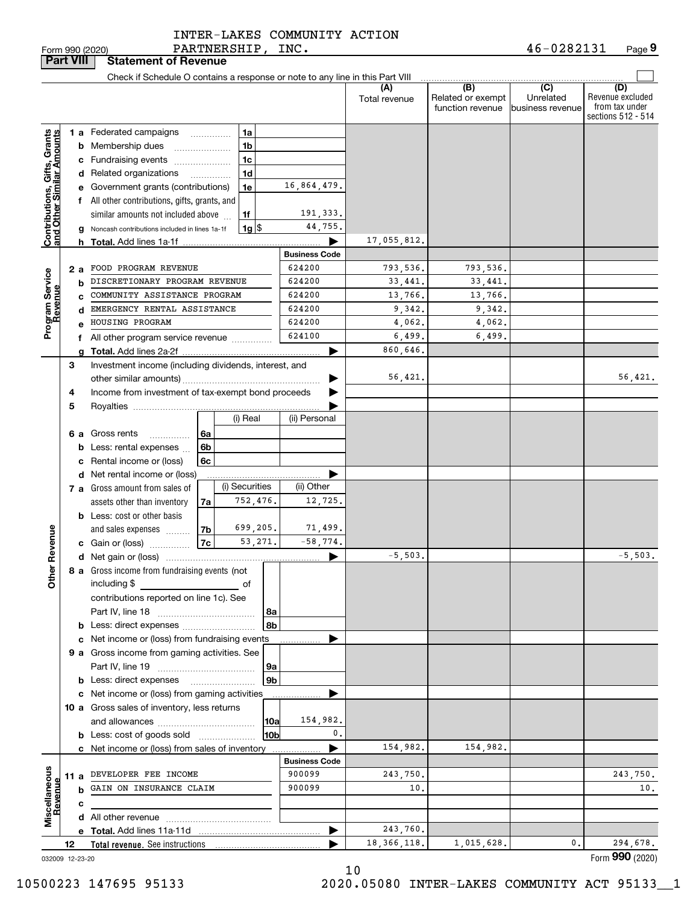PARTNERSHIP, INC. INTER-LAKES COMMUNITY ACTION

| <b>Part VIII</b>                              |    |    | <b>Statement of Revenue</b>                                                               |    |                    |                      |                      |                                              |                                      |                                                                 |
|-----------------------------------------------|----|----|-------------------------------------------------------------------------------------------|----|--------------------|----------------------|----------------------|----------------------------------------------|--------------------------------------|-----------------------------------------------------------------|
|                                               |    |    | Check if Schedule O contains a response or note to any line in this Part VIII             |    |                    |                      |                      |                                              |                                      |                                                                 |
|                                               |    |    |                                                                                           |    |                    |                      | (A)<br>Total revenue | (B)<br>Related or exempt<br>function revenue | (C)<br>Unrelated<br>business revenue | (D)<br>Revenue excluded<br>from tax under<br>sections 512 - 514 |
|                                               |    |    | 1 a Federated campaigns                                                                   | .  | 1a                 |                      |                      |                                              |                                      |                                                                 |
| <b>S</b> , Grants<br>Amounts                  |    |    | <b>b</b> Membership dues                                                                  |    | 1 <sub>b</sub>     |                      |                      |                                              |                                      |                                                                 |
|                                               |    |    | c Fundraising events                                                                      |    | 1c                 |                      |                      |                                              |                                      |                                                                 |
|                                               |    |    | d Related organizations                                                                   |    | 1 <sub>d</sub>     |                      |                      |                                              |                                      |                                                                 |
|                                               |    |    | e Government grants (contributions)                                                       |    | 1e                 | 16,864,479.          |                      |                                              |                                      |                                                                 |
|                                               |    |    | f All other contributions, gifts, grants, and<br>similar amounts not included above<br>1f |    |                    |                      |                      |                                              |                                      |                                                                 |
|                                               |    |    |                                                                                           |    | 191,333.           |                      |                      |                                              |                                      |                                                                 |
|                                               |    |    | Noncash contributions included in lines 1a-1f                                             |    | $1g$ $\frac{1}{3}$ | 44,755.              |                      |                                              |                                      |                                                                 |
| Contributions, Gifts,<br>and Other Similar Ar |    | h. |                                                                                           |    |                    |                      | 17,055,812.          |                                              |                                      |                                                                 |
|                                               |    |    |                                                                                           |    |                    | <b>Business Code</b> |                      |                                              |                                      |                                                                 |
|                                               |    | 2a | FOOD PROGRAM REVENUE                                                                      |    |                    | 624200               | 793,536.             | 793,536.                                     |                                      |                                                                 |
| Program Service<br>Revenue                    |    | b  | DISCRETIONARY PROGRAM REVENUE                                                             |    |                    | 624200               | 33,441.              | 33,441.                                      |                                      |                                                                 |
|                                               |    |    | COMMUNITY ASSISTANCE PROGRAM                                                              |    |                    | 624200               | 13,766.              | 13,766.                                      |                                      |                                                                 |
|                                               |    | d  | EMERGENCY RENTAL ASSISTANCE                                                               |    |                    | 624200               | 9,342.               | 9,342.                                       |                                      |                                                                 |
|                                               |    |    | HOUSING PROGRAM                                                                           |    |                    | 624200               | 4,062.               | 4,062.                                       |                                      |                                                                 |
|                                               |    |    | f All other program service revenue                                                       |    |                    | 624100               | 6,499.               | 6,499.                                       |                                      |                                                                 |
|                                               |    | a  |                                                                                           |    |                    |                      | 860,646.             |                                              |                                      |                                                                 |
|                                               | З  |    | Investment income (including dividends, interest, and                                     |    |                    |                      |                      |                                              |                                      |                                                                 |
|                                               |    |    |                                                                                           |    |                    |                      | 56,421.              |                                              |                                      | 56,421.                                                         |
|                                               | 4  |    | Income from investment of tax-exempt bond proceeds                                        |    |                    |                      |                      |                                              |                                      |                                                                 |
|                                               | 5  |    |                                                                                           |    |                    |                      |                      |                                              |                                      |                                                                 |
|                                               |    |    |                                                                                           |    | (i) Real           | (ii) Personal        |                      |                                              |                                      |                                                                 |
|                                               |    |    | 6 a Gross rents<br>.                                                                      | 6a |                    |                      |                      |                                              |                                      |                                                                 |
|                                               |    |    | <b>b</b> Less: rental expenses                                                            | 6b |                    |                      |                      |                                              |                                      |                                                                 |
|                                               |    |    | c Rental income or (loss)                                                                 | 6c |                    |                      |                      |                                              |                                      |                                                                 |
|                                               |    |    | d Net rental income or (loss)                                                             |    |                    |                      |                      |                                              |                                      |                                                                 |
|                                               |    |    | 7 a Gross amount from sales of                                                            |    | (i) Securities     | (ii) Other           |                      |                                              |                                      |                                                                 |
|                                               |    |    | assets other than inventory                                                               | 7a | 752,476.           | 12,725.              |                      |                                              |                                      |                                                                 |
|                                               |    |    | <b>b</b> Less: cost or other basis                                                        |    |                    |                      |                      |                                              |                                      |                                                                 |
| Revenue                                       |    |    | and sales expenses                                                                        | 7b | 699,205.           | 71,499.              |                      |                                              |                                      |                                                                 |
|                                               |    |    | c Gain or (loss)                                                                          | 7c | 53,271.            | $-58,774.$           | $-5,503.$            |                                              |                                      |                                                                 |
|                                               |    |    |                                                                                           |    |                    | ▶                    |                      |                                              |                                      | $-5,503.$                                                       |
| <b>Othe</b>                                   |    |    | 8 a Gross income from fundraising events (not<br>including \$                             |    |                    |                      |                      |                                              |                                      |                                                                 |
|                                               |    |    | <u> 1990 - Johann Barbara, martin a</u>                                                   |    | оf                 |                      |                      |                                              |                                      |                                                                 |
|                                               |    |    | contributions reported on line 1c). See                                                   |    |                    |                      |                      |                                              |                                      |                                                                 |
|                                               |    |    | <b>b</b> Less: direct expenses                                                            |    | 8a<br>8b           |                      |                      |                                              |                                      |                                                                 |
|                                               |    |    | c Net income or (loss) from fundraising events                                            |    |                    |                      |                      |                                              |                                      |                                                                 |
|                                               |    |    | 9 a Gross income from gaming activities. See                                              |    |                    |                      |                      |                                              |                                      |                                                                 |
|                                               |    |    |                                                                                           |    | 9a                 |                      |                      |                                              |                                      |                                                                 |
|                                               |    |    |                                                                                           |    | 9 <sub>b</sub>     |                      |                      |                                              |                                      |                                                                 |
|                                               |    |    | c Net income or (loss) from gaming activities                                             |    |                    |                      |                      |                                              |                                      |                                                                 |
|                                               |    |    | 10 a Gross sales of inventory, less returns                                               |    |                    |                      |                      |                                              |                                      |                                                                 |
|                                               |    |    |                                                                                           |    | 10a                | 154,982.             |                      |                                              |                                      |                                                                 |
|                                               |    |    | <b>b</b> Less: cost of goods sold                                                         |    | 10b                | 0.                   |                      |                                              |                                      |                                                                 |
|                                               |    |    | <b>c</b> Net income or (loss) from sales of inventory                                     |    |                    |                      | 154,982.             | 154,982.                                     |                                      |                                                                 |
|                                               |    |    |                                                                                           |    |                    | <b>Business Code</b> |                      |                                              |                                      |                                                                 |
| Miscellaneous<br>Revenue                      |    |    | 11 a DEVELOPER FEE INCOME                                                                 |    |                    | 900099               | 243,750.             |                                              |                                      | 243,750.                                                        |
|                                               |    |    | <b>b</b> GAIN ON INSURANCE CLAIM                                                          |    |                    | 900099               | 10.                  |                                              |                                      | 10.                                                             |
|                                               |    | c  |                                                                                           |    |                    |                      |                      |                                              |                                      |                                                                 |
|                                               |    |    |                                                                                           |    |                    |                      |                      |                                              |                                      |                                                                 |
|                                               |    |    |                                                                                           |    |                    | ▶                    | 243,760.             |                                              |                                      |                                                                 |
|                                               | 12 |    |                                                                                           |    |                    |                      | 18, 366, 118.        | 1,015,628.                                   | 0.                                   | 294,678.                                                        |
| 032009 12-23-20                               |    |    |                                                                                           |    |                    |                      |                      |                                              |                                      | Form 990 (2020)                                                 |

10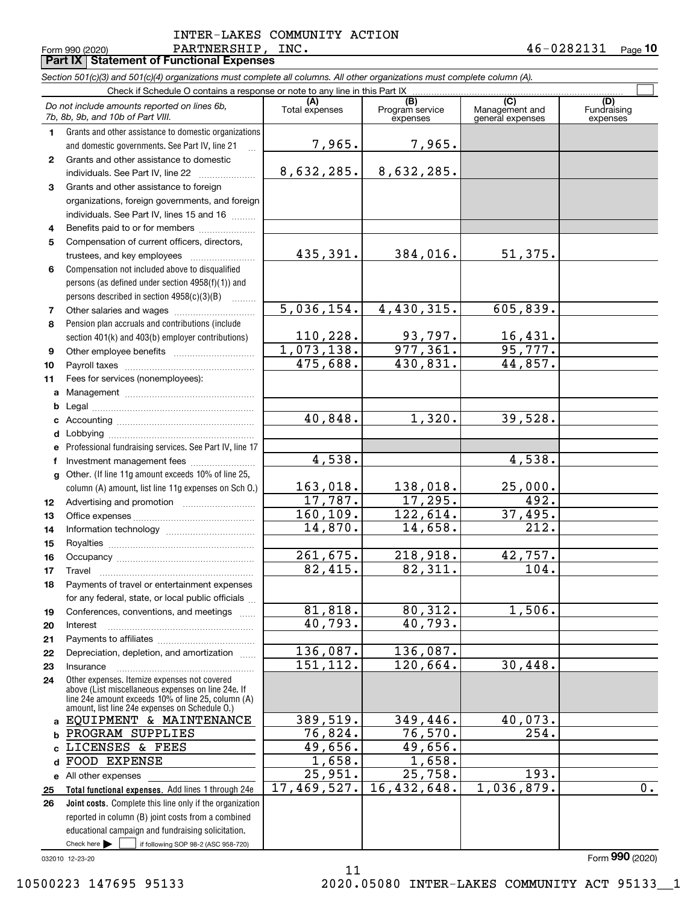#### Form 990 (2020) PARTNERSHIP , INC . 4 6-0 2 8 2 1 3 1 <sub>Page</sub> 10 **Part IX Statement of Functional Expenses** PARTNERSHIP, INC. INTER-LAKES COMMUNITY ACTION

|              | Section 501(c)(3) and 501(c)(4) organizations must complete all columns. All other organizations must complete column (A).                                                                                 |                       |                                    |                                           |                                |
|--------------|------------------------------------------------------------------------------------------------------------------------------------------------------------------------------------------------------------|-----------------------|------------------------------------|-------------------------------------------|--------------------------------|
|              | Check if Schedule O contains a response or note to any line in this Part IX                                                                                                                                |                       |                                    |                                           |                                |
|              | Do not include amounts reported on lines 6b,<br>7b, 8b, 9b, and 10b of Part VIII.                                                                                                                          | (A)<br>Total expenses | (B)<br>Program service<br>expenses | (C)<br>Management and<br>general expenses | (D)<br>Fundraising<br>expenses |
| 1.           | Grants and other assistance to domestic organizations                                                                                                                                                      |                       |                                    |                                           |                                |
|              | and domestic governments. See Part IV, line 21                                                                                                                                                             | 7,965.                | 7,965.                             |                                           |                                |
| $\mathbf{2}$ | Grants and other assistance to domestic                                                                                                                                                                    |                       |                                    |                                           |                                |
|              | individuals. See Part IV, line 22                                                                                                                                                                          | 8,632,285.            | 8,632,285.                         |                                           |                                |
| 3            | Grants and other assistance to foreign                                                                                                                                                                     |                       |                                    |                                           |                                |
|              | organizations, foreign governments, and foreign                                                                                                                                                            |                       |                                    |                                           |                                |
|              | individuals. See Part IV, lines 15 and 16                                                                                                                                                                  |                       |                                    |                                           |                                |
| 4            | Benefits paid to or for members                                                                                                                                                                            |                       |                                    |                                           |                                |
| 5            | Compensation of current officers, directors,                                                                                                                                                               |                       |                                    |                                           |                                |
|              |                                                                                                                                                                                                            | 435,391.              | 384,016.                           | 51,375.                                   |                                |
| 6            | Compensation not included above to disqualified                                                                                                                                                            |                       |                                    |                                           |                                |
|              | persons (as defined under section 4958(f)(1)) and                                                                                                                                                          |                       |                                    |                                           |                                |
|              | persons described in section 4958(c)(3)(B)                                                                                                                                                                 |                       |                                    |                                           |                                |
| 7            |                                                                                                                                                                                                            | 5,036,154.            | 4,430,315.                         | 605,839.                                  |                                |
| 8            | Pension plan accruals and contributions (include                                                                                                                                                           |                       |                                    |                                           |                                |
|              | section 401(k) and 403(b) employer contributions)                                                                                                                                                          | 110, 228.             | 93,797.                            | 16,431.                                   |                                |
| 9            | Other employee benefits                                                                                                                                                                                    | 1,073,138.            | $\overline{977,361}$ .             | 95,777.                                   |                                |
| 10           |                                                                                                                                                                                                            | 475,688.              | 430,831.                           | 44,857.                                   |                                |
| 11           | Fees for services (nonemployees):                                                                                                                                                                          |                       |                                    |                                           |                                |
| a            |                                                                                                                                                                                                            |                       |                                    |                                           |                                |
| b            |                                                                                                                                                                                                            |                       |                                    |                                           |                                |
| c            |                                                                                                                                                                                                            | 40,848.               | 1,320.                             | 39,528.                                   |                                |
| d            |                                                                                                                                                                                                            |                       |                                    |                                           |                                |
|              | Professional fundraising services. See Part IV, line 17                                                                                                                                                    |                       |                                    |                                           |                                |
| f            | Investment management fees                                                                                                                                                                                 | 4,538.                |                                    | 4,538.                                    |                                |
| $\mathbf{q}$ | Other. (If line 11g amount exceeds 10% of line 25,                                                                                                                                                         |                       |                                    |                                           |                                |
|              | column (A) amount, list line 11g expenses on Sch O.)                                                                                                                                                       | 163,018.              | 138,018.                           | 25,000.                                   |                                |
| 12           |                                                                                                                                                                                                            | 17,787.               | 17,295.                            | 492.                                      |                                |
| 13           |                                                                                                                                                                                                            | 160, 109.             | 122,614.                           | 37,495.                                   |                                |
| 14           |                                                                                                                                                                                                            | 14,870.               | 14,658.                            | 212.                                      |                                |
| 15           |                                                                                                                                                                                                            |                       |                                    |                                           |                                |
| 16           |                                                                                                                                                                                                            | 261,675.              | 218,918.                           | 42,757.                                   |                                |
| 17           |                                                                                                                                                                                                            | 82,415.               | 82,311.                            | 104.                                      |                                |
| 18           | Payments of travel or entertainment expenses                                                                                                                                                               |                       |                                    |                                           |                                |
|              | for any federal, state, or local public officials                                                                                                                                                          |                       |                                    |                                           |                                |
| 19           | Conferences, conventions, and meetings                                                                                                                                                                     | 81,818.               | 80,312.                            | 1,506.                                    |                                |
| 20           | Interest                                                                                                                                                                                                   | 40,793.               | 40,793.                            |                                           |                                |
| 21           |                                                                                                                                                                                                            |                       |                                    |                                           |                                |
| 22           | Depreciation, depletion, and amortization                                                                                                                                                                  | 136,087.              | 136,087.                           |                                           |                                |
| 23           | Insurance                                                                                                                                                                                                  | 151, 112.             | 120,664.                           | 30,448.                                   |                                |
| 24           | Other expenses. Itemize expenses not covered<br>above (List miscellaneous expenses on line 24e. If<br>line 24e amount exceeds 10% of line 25, column (A)<br>amount, list line 24e expenses on Schedule O.) |                       |                                    |                                           |                                |
| a            | EQUIPMENT & MAINTENANCE                                                                                                                                                                                    | 389,519.              | 349,446.                           | 40,073.                                   |                                |
| b            | PROGRAM SUPPLIES                                                                                                                                                                                           | 76,824.               | 76, 570.                           | 254.                                      |                                |
| C            | LICENSES & FEES                                                                                                                                                                                            | 49,656.               | 49,656.                            |                                           |                                |
| d            | FOOD EXPENSE                                                                                                                                                                                               | 1,658.                | 1,658.                             |                                           |                                |
|              | e All other expenses                                                                                                                                                                                       | $\overline{25,951}$ . | 25,758.                            | 193.                                      |                                |
| 25           | Total functional expenses. Add lines 1 through 24e                                                                                                                                                         | 17,469,527.           | 16,432,648.                        | 1,036,879.                                | 0.                             |
| 26           | Joint costs. Complete this line only if the organization                                                                                                                                                   |                       |                                    |                                           |                                |
|              | reported in column (B) joint costs from a combined                                                                                                                                                         |                       |                                    |                                           |                                |
|              | educational campaign and fundraising solicitation.                                                                                                                                                         |                       |                                    |                                           |                                |

11

032010 12-23-20

Form (2020) **990**

 $\mathcal{L}^{\text{max}}$ 

Check here

If following SOP 98-2 (ASC 958-720)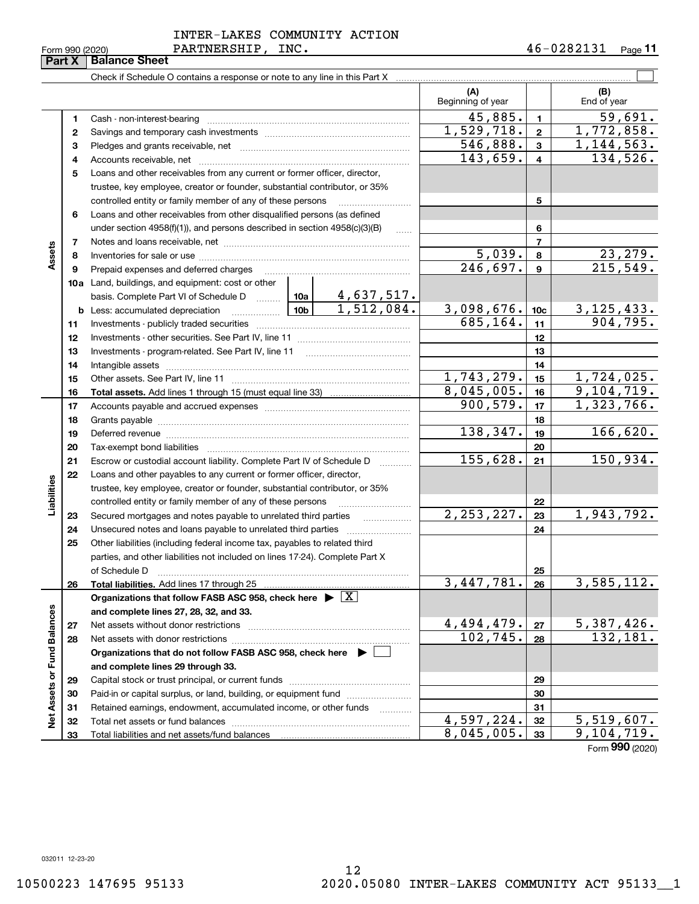| Form 990 (202 |   |
|---------------|---|
|               | Ē |

|                             | Part X | <b>Balance Sheet</b>                                                                                                |                               |                          |                             |
|-----------------------------|--------|---------------------------------------------------------------------------------------------------------------------|-------------------------------|--------------------------|-----------------------------|
|                             |        |                                                                                                                     |                               |                          |                             |
|                             |        |                                                                                                                     | (A)<br>Beginning of year      |                          | (B)<br>End of year          |
|                             | 1      | Cash - non-interest-bearing                                                                                         | 45,885.                       | $\mathbf{1}$             | $\overline{59,691}$ .       |
|                             | 2      |                                                                                                                     | 1,529,718.                    | $\overline{\mathbf{2}}$  | 1,772,858.                  |
|                             | 3      |                                                                                                                     | 546,888.                      | 3                        | 1, 144, 563.                |
|                             | 4      |                                                                                                                     | 143,659.                      | 4                        | 134,526.                    |
|                             | 5      | Loans and other receivables from any current or former officer, director,                                           |                               |                          |                             |
|                             |        | trustee, key employee, creator or founder, substantial contributor, or 35%                                          |                               |                          |                             |
|                             |        | controlled entity or family member of any of these persons                                                          |                               | 5                        |                             |
|                             | 6      | Loans and other receivables from other disqualified persons (as defined                                             |                               |                          |                             |
|                             |        | under section $4958(f)(1)$ , and persons described in section $4958(c)(3)(B)$                                       |                               | 6                        |                             |
|                             | 7      |                                                                                                                     |                               | $\overline{\phantom{a}}$ |                             |
| Assets                      | 8      |                                                                                                                     | 5,039.                        | 8                        |                             |
|                             | 9      | Prepaid expenses and deferred charges                                                                               | 246,697.                      | $\mathbf{9}$             | $\frac{23,279}{215,549}$ .  |
|                             |        | 10a Land, buildings, and equipment: cost or other                                                                   |                               |                          |                             |
|                             |        |                                                                                                                     |                               |                          |                             |
|                             |        | $\boxed{10b}$<br><b>b</b> Less: accumulated depreciation                                                            | 3,098,676.                    | 10 <sub>c</sub>          |                             |
|                             | 11     |                                                                                                                     | 685, 164.                     | 11                       | $\frac{3,125,433}{904,795}$ |
|                             | 12     |                                                                                                                     |                               | 12                       |                             |
|                             | 13     | Investments - program-related. See Part IV, line 11                                                                 |                               | 13                       |                             |
|                             | 14     |                                                                                                                     |                               | 14                       |                             |
|                             | 15     |                                                                                                                     | 1,743,279.                    | 15                       | $\overline{1,724}$ , 025.   |
|                             | 16     |                                                                                                                     | 8,045,005.                    | 16                       | 9,104,719.                  |
|                             | 17     |                                                                                                                     | 900, 579.                     | 17                       | 1,323,766.                  |
|                             | 18     |                                                                                                                     |                               | 18                       |                             |
|                             | 19     | Deferred revenue manual contracts and contracts are all the manual contracts and contracts are all the contracts of | 138,347.                      | 19                       | 166,620.                    |
|                             | 20     | Tax-exempt bond liabilities                                                                                         |                               | 20                       |                             |
|                             | 21     | Escrow or custodial account liability. Complete Part IV of Schedule D                                               | 155,628.                      | 21                       | 150,934.                    |
|                             | 22     | Loans and other payables to any current or former officer, director,                                                |                               |                          |                             |
|                             |        | trustee, key employee, creator or founder, substantial contributor, or 35%                                          |                               |                          |                             |
| Liabilities                 |        | controlled entity or family member of any of these persons                                                          |                               | 22                       |                             |
|                             | 23     | Secured mortgages and notes payable to unrelated third parties<br>.                                                 | $\overline{2,253,227}$ .      | 23                       | 1,943,792.                  |
|                             | 24     |                                                                                                                     |                               | 24                       |                             |
|                             | 25     | Other liabilities (including federal income tax, payables to related third                                          |                               |                          |                             |
|                             |        | parties, and other liabilities not included on lines 17-24). Complete Part X                                        |                               |                          |                             |
|                             |        | of Schedule D                                                                                                       |                               | 25                       |                             |
|                             | 26     | Total liabilities. Add lines 17 through 25                                                                          | 3,447,781.                    | 26                       | 3,585,112.                  |
|                             |        | Organizations that follow FASB ASC 958, check here $\blacktriangleright \boxed{X}$                                  |                               |                          |                             |
|                             |        | and complete lines 27, 28, 32, and 33.                                                                              |                               |                          |                             |
| Net Assets or Fund Balances | 27     | Net assets without donor restrictions                                                                               |                               | 27                       |                             |
|                             | 28     |                                                                                                                     | $\frac{4,494,479.}{102,745.}$ | 28                       | $\frac{5,387,426}{132,181}$ |
|                             |        | Organizations that do not follow FASB ASC 958, check here $\blacktriangleright$                                     |                               |                          |                             |
|                             |        | and complete lines 29 through 33.                                                                                   |                               |                          |                             |
|                             | 29     |                                                                                                                     |                               | 29                       |                             |
|                             | 30     | Paid-in or capital surplus, or land, building, or equipment fund                                                    |                               | 30                       |                             |
|                             | 31     | Retained earnings, endowment, accumulated income, or other funds<br>.                                               |                               | 31                       |                             |
|                             | 32     | Total net assets or fund balances                                                                                   | 4,597,224.                    | 32                       | <u>5,519,607.</u>           |
|                             | 33     |                                                                                                                     | 8,045,005.                    | 33                       | 9,104,719.                  |

Form (2020) **990**

032011 12-23-20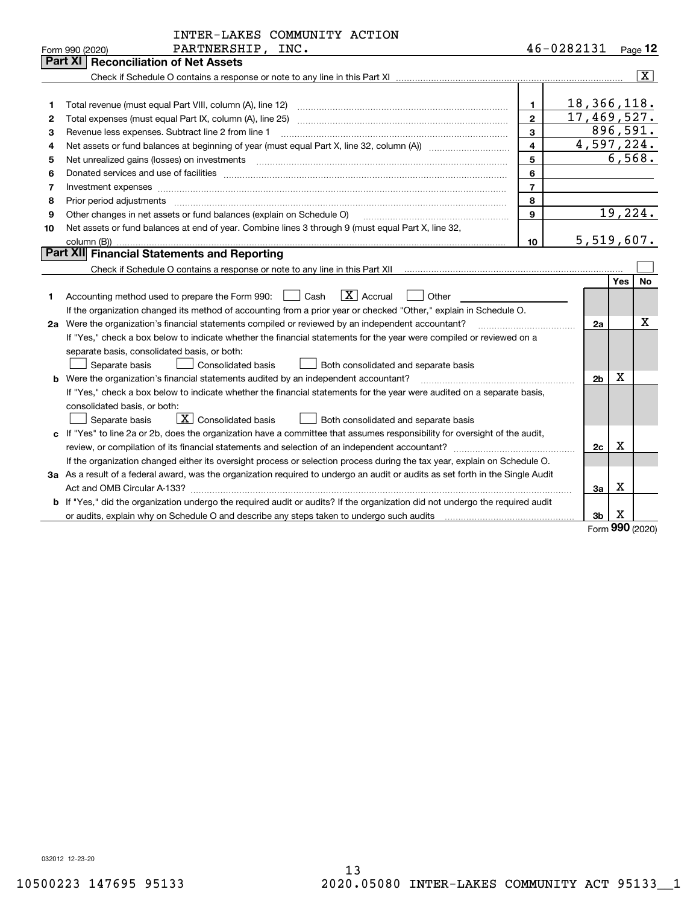|    | INTER-LAKES COMMUNITY ACTION                                                                                                                                                                                                   |                |                |            |                |
|----|--------------------------------------------------------------------------------------------------------------------------------------------------------------------------------------------------------------------------------|----------------|----------------|------------|----------------|
|    | PARTNERSHIP, INC.<br>Form 990 (2020)                                                                                                                                                                                           |                | 46-0282131     |            | $Page$ 12      |
|    | <b>Part XI   Reconciliation of Net Assets</b>                                                                                                                                                                                  |                |                |            |                |
|    |                                                                                                                                                                                                                                |                |                |            | $ \mathbf{X} $ |
|    |                                                                                                                                                                                                                                |                |                |            |                |
| 1  |                                                                                                                                                                                                                                | 1.             | 18,366,118.    |            |                |
| 2  | Total expenses (must equal Part IX, column (A), line 25)                                                                                                                                                                       | $\overline{2}$ | 17,469,527.    |            |                |
| 3  | Revenue less expenses. Subtract line 2 from line 1                                                                                                                                                                             | 3              |                |            | 896,591.       |
| 4  |                                                                                                                                                                                                                                | 4              | 4,597,224.     |            |                |
| 5  |                                                                                                                                                                                                                                | 5              |                |            | 6,568.         |
| 6  | Donated services and use of facilities [111] matter contracts and the facilities in the matter of facilities [11] matter contracts and use of facilities [11] matter contracts and the service of the service of the service o | 6              |                |            |                |
| 7  | Investment expenses www.communication.com/www.communication.com/www.communication.com/www.communication.com                                                                                                                    | $\overline{7}$ |                |            |                |
| 8  |                                                                                                                                                                                                                                | 8              |                |            |                |
| 9  | Other changes in net assets or fund balances (explain on Schedule O)                                                                                                                                                           | 9              |                |            | 19,224.        |
| 10 | Net assets or fund balances at end of year. Combine lines 3 through 9 (must equal Part X, line 32,                                                                                                                             |                |                |            |                |
|    |                                                                                                                                                                                                                                | 10             | 5,519,607.     |            |                |
|    | Part XII Financial Statements and Reporting                                                                                                                                                                                    |                |                |            |                |
|    |                                                                                                                                                                                                                                |                |                |            |                |
|    |                                                                                                                                                                                                                                |                |                | <b>Yes</b> | No.            |
| 1  | $\vert X \vert$ Accrual<br>Accounting method used to prepare the Form 990: <u>[</u> Cash<br>Other<br>$\blacksquare$                                                                                                            |                |                |            |                |
|    | If the organization changed its method of accounting from a prior year or checked "Other," explain in Schedule O.                                                                                                              |                |                |            |                |
|    |                                                                                                                                                                                                                                |                | 2a             |            | x              |
|    | If "Yes," check a box below to indicate whether the financial statements for the year were compiled or reviewed on a                                                                                                           |                |                |            |                |
|    | separate basis, consolidated basis, or both:                                                                                                                                                                                   |                |                |            |                |
|    | Separate basis<br><b>Consolidated basis</b><br>Both consolidated and separate basis                                                                                                                                            |                |                |            |                |
|    | <b>b</b> Were the organization's financial statements audited by an independent accountant?                                                                                                                                    |                | 2 <sub>b</sub> | X          |                |
|    | If "Yes," check a box below to indicate whether the financial statements for the year were audited on a separate basis,                                                                                                        |                |                |            |                |
|    | consolidated basis, or both:                                                                                                                                                                                                   |                |                |            |                |
|    | $\boxed{\textbf{X}}$ Consolidated basis<br>Both consolidated and separate basis<br>Separate basis                                                                                                                              |                |                |            |                |
|    | c If "Yes" to line 2a or 2b, does the organization have a committee that assumes responsibility for oversight of the audit,                                                                                                    |                |                |            |                |
|    |                                                                                                                                                                                                                                |                | 2c             | Χ          |                |
|    | If the organization changed either its oversight process or selection process during the tax year, explain on Schedule O.                                                                                                      |                |                |            |                |
|    | 3a As a result of a federal award, was the organization required to undergo an audit or audits as set forth in the Single Audit                                                                                                |                |                |            |                |
|    | Act and OMB Circular A-133?                                                                                                                                                                                                    |                | За             | X          |                |
|    | b If "Yes," did the organization undergo the required audit or audits? If the organization did not undergo the required audit                                                                                                  |                |                |            |                |
|    |                                                                                                                                                                                                                                |                | 3b             | X          |                |

Form (2020) **990**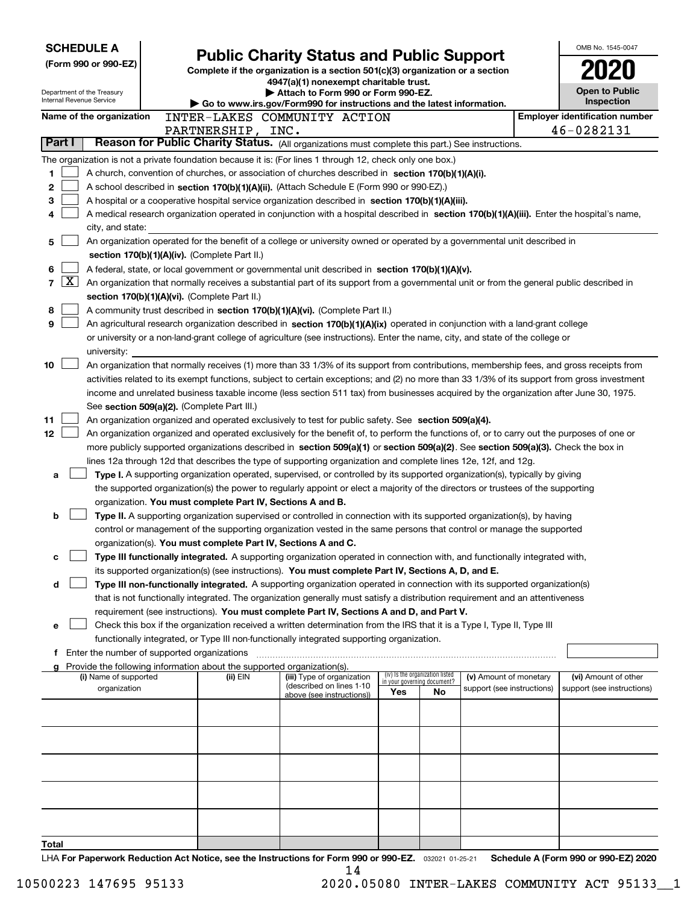| <b>SCHEDULE A</b>                                      | <b>Public Charity Status and Public Support</b>                                                                                                                                                                      |                                                                                                                         |                                                                |    |                            |  | OMB No. 1545-0047                                   |  |
|--------------------------------------------------------|----------------------------------------------------------------------------------------------------------------------------------------------------------------------------------------------------------------------|-------------------------------------------------------------------------------------------------------------------------|----------------------------------------------------------------|----|----------------------------|--|-----------------------------------------------------|--|
| (Form 990 or 990-EZ)                                   |                                                                                                                                                                                                                      |                                                                                                                         |                                                                |    |                            |  |                                                     |  |
|                                                        |                                                                                                                                                                                                                      | Complete if the organization is a section 501(c)(3) organization or a section<br>4947(a)(1) nonexempt charitable trust. |                                                                |    |                            |  |                                                     |  |
| Department of the Treasury<br>Internal Revenue Service |                                                                                                                                                                                                                      | Attach to Form 990 or Form 990-EZ.                                                                                      |                                                                |    |                            |  | <b>Open to Public</b>                               |  |
|                                                        |                                                                                                                                                                                                                      | Go to www.irs.gov/Form990 for instructions and the latest information.                                                  |                                                                |    |                            |  | Inspection                                          |  |
| Name of the organization                               | INTER-LAKES COMMUNITY ACTION                                                                                                                                                                                         |                                                                                                                         |                                                                |    |                            |  | <b>Employer identification number</b><br>46-0282131 |  |
| Part I                                                 | PARTNERSHIP, INC.<br>Reason for Public Charity Status. (All organizations must complete this part.) See instructions.                                                                                                |                                                                                                                         |                                                                |    |                            |  |                                                     |  |
|                                                        | The organization is not a private foundation because it is: (For lines 1 through 12, check only one box.)                                                                                                            |                                                                                                                         |                                                                |    |                            |  |                                                     |  |
| 1                                                      | A church, convention of churches, or association of churches described in section 170(b)(1)(A)(i).                                                                                                                   |                                                                                                                         |                                                                |    |                            |  |                                                     |  |
| 2                                                      | A school described in section 170(b)(1)(A)(ii). (Attach Schedule E (Form 990 or 990-EZ).)                                                                                                                            |                                                                                                                         |                                                                |    |                            |  |                                                     |  |
| з                                                      | A hospital or a cooperative hospital service organization described in section 170(b)(1)(A)(iii).                                                                                                                    |                                                                                                                         |                                                                |    |                            |  |                                                     |  |
| 4                                                      | A medical research organization operated in conjunction with a hospital described in section 170(b)(1)(A)(iii). Enter the hospital's name,                                                                           |                                                                                                                         |                                                                |    |                            |  |                                                     |  |
| city, and state:                                       |                                                                                                                                                                                                                      |                                                                                                                         |                                                                |    |                            |  |                                                     |  |
| 5                                                      | An organization operated for the benefit of a college or university owned or operated by a governmental unit described in                                                                                            |                                                                                                                         |                                                                |    |                            |  |                                                     |  |
|                                                        | section 170(b)(1)(A)(iv). (Complete Part II.)                                                                                                                                                                        |                                                                                                                         |                                                                |    |                            |  |                                                     |  |
| 6                                                      | A federal, state, or local government or governmental unit described in section 170(b)(1)(A)(v).                                                                                                                     |                                                                                                                         |                                                                |    |                            |  |                                                     |  |
| ΙX<br>7                                                | An organization that normally receives a substantial part of its support from a governmental unit or from the general public described in                                                                            |                                                                                                                         |                                                                |    |                            |  |                                                     |  |
|                                                        | section 170(b)(1)(A)(vi). (Complete Part II.)                                                                                                                                                                        |                                                                                                                         |                                                                |    |                            |  |                                                     |  |
| 8                                                      | A community trust described in section 170(b)(1)(A)(vi). (Complete Part II.)                                                                                                                                         |                                                                                                                         |                                                                |    |                            |  |                                                     |  |
| 9                                                      | An agricultural research organization described in section 170(b)(1)(A)(ix) operated in conjunction with a land-grant college                                                                                        |                                                                                                                         |                                                                |    |                            |  |                                                     |  |
| university:                                            | or university or a non-land-grant college of agriculture (see instructions). Enter the name, city, and state of the college or                                                                                       |                                                                                                                         |                                                                |    |                            |  |                                                     |  |
| 10                                                     | An organization that normally receives (1) more than 33 1/3% of its support from contributions, membership fees, and gross receipts from                                                                             |                                                                                                                         |                                                                |    |                            |  |                                                     |  |
|                                                        | activities related to its exempt functions, subject to certain exceptions; and (2) no more than 33 1/3% of its support from gross investment                                                                         |                                                                                                                         |                                                                |    |                            |  |                                                     |  |
|                                                        | income and unrelated business taxable income (less section 511 tax) from businesses acquired by the organization after June 30, 1975.                                                                                |                                                                                                                         |                                                                |    |                            |  |                                                     |  |
|                                                        | See section 509(a)(2). (Complete Part III.)                                                                                                                                                                          |                                                                                                                         |                                                                |    |                            |  |                                                     |  |
| 11                                                     | An organization organized and operated exclusively to test for public safety. See section 509(a)(4).                                                                                                                 |                                                                                                                         |                                                                |    |                            |  |                                                     |  |
| 12                                                     | An organization organized and operated exclusively for the benefit of, to perform the functions of, or to carry out the purposes of one or                                                                           |                                                                                                                         |                                                                |    |                            |  |                                                     |  |
|                                                        | more publicly supported organizations described in section 509(a)(1) or section 509(a)(2). See section 509(a)(3). Check the box in                                                                                   |                                                                                                                         |                                                                |    |                            |  |                                                     |  |
|                                                        | lines 12a through 12d that describes the type of supporting organization and complete lines 12e, 12f, and 12g.                                                                                                       |                                                                                                                         |                                                                |    |                            |  |                                                     |  |
| a                                                      | Type I. A supporting organization operated, supervised, or controlled by its supported organization(s), typically by giving                                                                                          |                                                                                                                         |                                                                |    |                            |  |                                                     |  |
|                                                        | the supported organization(s) the power to regularly appoint or elect a majority of the directors or trustees of the supporting<br>organization. You must complete Part IV, Sections A and B.                        |                                                                                                                         |                                                                |    |                            |  |                                                     |  |
| b                                                      | Type II. A supporting organization supervised or controlled in connection with its supported organization(s), by having                                                                                              |                                                                                                                         |                                                                |    |                            |  |                                                     |  |
|                                                        | control or management of the supporting organization vested in the same persons that control or manage the supported                                                                                                 |                                                                                                                         |                                                                |    |                            |  |                                                     |  |
|                                                        | organization(s). You must complete Part IV, Sections A and C.                                                                                                                                                        |                                                                                                                         |                                                                |    |                            |  |                                                     |  |
| c                                                      | Type III functionally integrated. A supporting organization operated in connection with, and functionally integrated with,                                                                                           |                                                                                                                         |                                                                |    |                            |  |                                                     |  |
|                                                        | its supported organization(s) (see instructions). You must complete Part IV, Sections A, D, and E.                                                                                                                   |                                                                                                                         |                                                                |    |                            |  |                                                     |  |
| d                                                      | Type III non-functionally integrated. A supporting organization operated in connection with its supported organization(s)                                                                                            |                                                                                                                         |                                                                |    |                            |  |                                                     |  |
|                                                        | that is not functionally integrated. The organization generally must satisfy a distribution requirement and an attentiveness                                                                                         |                                                                                                                         |                                                                |    |                            |  |                                                     |  |
|                                                        | requirement (see instructions). You must complete Part IV, Sections A and D, and Part V.                                                                                                                             |                                                                                                                         |                                                                |    |                            |  |                                                     |  |
| е                                                      | Check this box if the organization received a written determination from the IRS that it is a Type I, Type II, Type III<br>functionally integrated, or Type III non-functionally integrated supporting organization. |                                                                                                                         |                                                                |    |                            |  |                                                     |  |
|                                                        | f Enter the number of supported organizations                                                                                                                                                                        |                                                                                                                         |                                                                |    |                            |  |                                                     |  |
|                                                        | Provide the following information about the supported organization(s).                                                                                                                                               |                                                                                                                         |                                                                |    |                            |  |                                                     |  |
| (i) Name of supported                                  | (ii) EIN                                                                                                                                                                                                             | (iii) Type of organization                                                                                              | (iv) Is the organization listed<br>in your governing document? |    | (v) Amount of monetary     |  | (vi) Amount of other                                |  |
| organization                                           |                                                                                                                                                                                                                      | (described on lines 1-10<br>above (see instructions))                                                                   | Yes                                                            | No | support (see instructions) |  | support (see instructions)                          |  |
|                                                        |                                                                                                                                                                                                                      |                                                                                                                         |                                                                |    |                            |  |                                                     |  |
|                                                        |                                                                                                                                                                                                                      |                                                                                                                         |                                                                |    |                            |  |                                                     |  |
|                                                        |                                                                                                                                                                                                                      |                                                                                                                         |                                                                |    |                            |  |                                                     |  |
|                                                        |                                                                                                                                                                                                                      |                                                                                                                         |                                                                |    |                            |  |                                                     |  |
|                                                        |                                                                                                                                                                                                                      |                                                                                                                         |                                                                |    |                            |  |                                                     |  |
|                                                        |                                                                                                                                                                                                                      |                                                                                                                         |                                                                |    |                            |  |                                                     |  |
|                                                        |                                                                                                                                                                                                                      |                                                                                                                         |                                                                |    |                            |  |                                                     |  |
|                                                        |                                                                                                                                                                                                                      |                                                                                                                         |                                                                |    |                            |  |                                                     |  |
|                                                        |                                                                                                                                                                                                                      |                                                                                                                         |                                                                |    |                            |  |                                                     |  |
| Total                                                  |                                                                                                                                                                                                                      |                                                                                                                         |                                                                |    |                            |  |                                                     |  |
|                                                        |                                                                                                                                                                                                                      |                                                                                                                         | ሰሰሰ                                                            |    |                            |  | .000E20000<br>$\sim$ $\sim$                         |  |

LHA For Paperwork Reduction Act Notice, see the Instructions for Form 990 or 990-EZ. <sub>032021</sub> o1-25-21 Schedule A (Form 990 or 990-EZ) 2020 14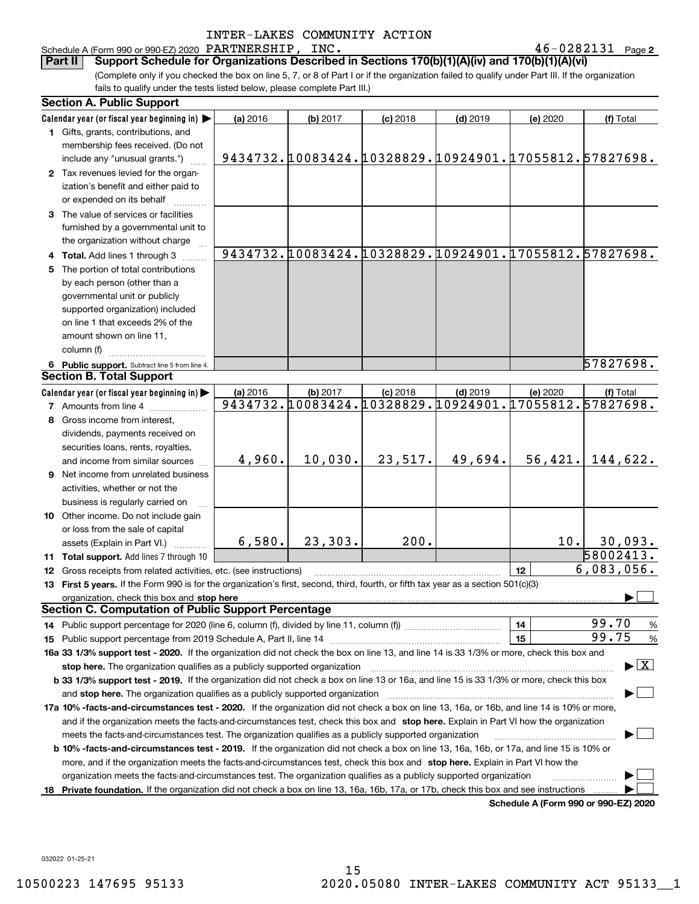Schedule A (Form 990 or 990-EZ) 2020 Page PARTNERSHIP, INC. 46-0282131

 $46 - 0282131$  Page 2

(Complete only if you checked the box on line 5, 7, or 8 of Part I or if the organization failed to qualify under Part III. If the organization fails to qualify under the tests listed below, please complete Part III.) **Part II Support Schedule for Organizations Described in Sections 170(b)(1)(A)(iv) and 170(b)(1)(A)(vi)**

|     | <b>Section A. Public Support</b>                                                                                                                                                                                               |          |          |            |                                                       |                                      |                                          |
|-----|--------------------------------------------------------------------------------------------------------------------------------------------------------------------------------------------------------------------------------|----------|----------|------------|-------------------------------------------------------|--------------------------------------|------------------------------------------|
|     | Calendar year (or fiscal year beginning in)                                                                                                                                                                                    | (a) 2016 | (b) 2017 | $(c)$ 2018 | $(d)$ 2019                                            | (e) 2020                             | (f) Total                                |
|     | 1 Gifts, grants, contributions, and                                                                                                                                                                                            |          |          |            |                                                       |                                      |                                          |
|     | membership fees received. (Do not                                                                                                                                                                                              |          |          |            |                                                       |                                      |                                          |
|     | include any "unusual grants.")                                                                                                                                                                                                 |          |          |            | 9434732.10083424.10328829.10924901.17055812.57827698. |                                      |                                          |
|     | 2 Tax revenues levied for the organ-                                                                                                                                                                                           |          |          |            |                                                       |                                      |                                          |
|     | ization's benefit and either paid to                                                                                                                                                                                           |          |          |            |                                                       |                                      |                                          |
|     | or expended on its behalf                                                                                                                                                                                                      |          |          |            |                                                       |                                      |                                          |
|     | 3 The value of services or facilities                                                                                                                                                                                          |          |          |            |                                                       |                                      |                                          |
|     | furnished by a governmental unit to                                                                                                                                                                                            |          |          |            |                                                       |                                      |                                          |
|     | the organization without charge                                                                                                                                                                                                |          |          |            |                                                       |                                      |                                          |
|     | 4 Total. Add lines 1 through 3                                                                                                                                                                                                 |          |          |            | 9434732.10083424.10328829.10924901.17055812.57827698. |                                      |                                          |
| 5   | The portion of total contributions                                                                                                                                                                                             |          |          |            |                                                       |                                      |                                          |
|     | by each person (other than a                                                                                                                                                                                                   |          |          |            |                                                       |                                      |                                          |
|     | governmental unit or publicly                                                                                                                                                                                                  |          |          |            |                                                       |                                      |                                          |
|     | supported organization) included                                                                                                                                                                                               |          |          |            |                                                       |                                      |                                          |
|     | on line 1 that exceeds 2% of the                                                                                                                                                                                               |          |          |            |                                                       |                                      |                                          |
|     | amount shown on line 11,                                                                                                                                                                                                       |          |          |            |                                                       |                                      |                                          |
|     | column (f)                                                                                                                                                                                                                     |          |          |            |                                                       |                                      |                                          |
|     |                                                                                                                                                                                                                                |          |          |            |                                                       |                                      | 57827698.                                |
|     | 6 Public support. Subtract line 5 from line 4.<br><b>Section B. Total Support</b>                                                                                                                                              |          |          |            |                                                       |                                      |                                          |
|     | Calendar year (or fiscal year beginning in)                                                                                                                                                                                    |          |          |            | $(d)$ 2019                                            | (e) 2020                             |                                          |
|     | <b>7</b> Amounts from line 4                                                                                                                                                                                                   | (a) 2016 | (b) 2017 | $(c)$ 2018 | 9434732.10083424.10328829.10924901.17055812.57827698. |                                      | (f) Total                                |
|     |                                                                                                                                                                                                                                |          |          |            |                                                       |                                      |                                          |
| 8   | Gross income from interest,                                                                                                                                                                                                    |          |          |            |                                                       |                                      |                                          |
|     | dividends, payments received on                                                                                                                                                                                                |          |          |            |                                                       |                                      |                                          |
|     | securities loans, rents, royalties,                                                                                                                                                                                            |          |          |            |                                                       |                                      |                                          |
|     | and income from similar sources                                                                                                                                                                                                | 4,960.   | 10,030.  | 23,517.    | 49,694.                                               |                                      | $56,421.$ 144,622.                       |
|     | <b>9</b> Net income from unrelated business                                                                                                                                                                                    |          |          |            |                                                       |                                      |                                          |
|     | activities, whether or not the                                                                                                                                                                                                 |          |          |            |                                                       |                                      |                                          |
|     | business is regularly carried on                                                                                                                                                                                               |          |          |            |                                                       |                                      |                                          |
|     | 10 Other income. Do not include gain                                                                                                                                                                                           |          |          |            |                                                       |                                      |                                          |
|     | or loss from the sale of capital                                                                                                                                                                                               |          |          |            |                                                       |                                      |                                          |
|     | assets (Explain in Part VI.)                                                                                                                                                                                                   | 6,580.   | 23,303.  | 200.       |                                                       | 10.                                  | 30,093.                                  |
|     | 11 Total support. Add lines 7 through 10                                                                                                                                                                                       |          |          |            |                                                       |                                      | 58002413.                                |
|     | 12 Gross receipts from related activities, etc. (see instructions)                                                                                                                                                             |          |          |            |                                                       | 12                                   | 6,083,056.                               |
|     | 13 First 5 years. If the Form 990 is for the organization's first, second, third, fourth, or fifth tax year as a section 501(c)(3)                                                                                             |          |          |            |                                                       |                                      |                                          |
|     | organization, check this box and stop here manufactured and according to the state of the state of the state of the state of the state of the state of the state of the state of the state of the state of the state of the st |          |          |            |                                                       |                                      |                                          |
|     | <b>Section C. Computation of Public Support Percentage</b>                                                                                                                                                                     |          |          |            |                                                       |                                      |                                          |
|     |                                                                                                                                                                                                                                |          |          |            |                                                       | 14                                   | 99.70<br>$\frac{9}{6}$                   |
|     | <b>15</b> Public support percentage from 2019 Schedule A, Part II, line 14                                                                                                                                                     |          |          |            |                                                       | 15                                   | 99.75<br>$\frac{9}{6}$                   |
|     | 16a 33 1/3% support test - 2020. If the organization did not check the box on line 13, and line 14 is 33 1/3% or more, check this box and                                                                                      |          |          |            |                                                       |                                      |                                          |
|     | stop here. The organization qualifies as a publicly supported organization                                                                                                                                                     |          |          |            |                                                       |                                      | $\blacktriangleright$ $\boxed{\text{X}}$ |
|     | b 33 1/3% support test - 2019. If the organization did not check a box on line 13 or 16a, and line 15 is 33 1/3% or more, check this box                                                                                       |          |          |            |                                                       |                                      |                                          |
|     | and stop here. The organization qualifies as a publicly supported organization                                                                                                                                                 |          |          |            |                                                       |                                      |                                          |
|     | 17a 10% -facts-and-circumstances test - 2020. If the organization did not check a box on line 13, 16a, or 16b, and line 14 is 10% or more,                                                                                     |          |          |            |                                                       |                                      |                                          |
|     | and if the organization meets the facts-and-circumstances test, check this box and stop here. Explain in Part VI how the organization                                                                                          |          |          |            |                                                       |                                      |                                          |
|     | meets the facts-and-circumstances test. The organization qualifies as a publicly supported organization                                                                                                                        |          |          |            |                                                       |                                      |                                          |
|     | <b>b 10% -facts-and-circumstances test - 2019.</b> If the organization did not check a box on line 13, 16a, 16b, or 17a, and line 15 is 10% or                                                                                 |          |          |            |                                                       |                                      |                                          |
|     | more, and if the organization meets the facts-and-circumstances test, check this box and stop here. Explain in Part VI how the                                                                                                 |          |          |            |                                                       |                                      |                                          |
|     | organization meets the facts-and-circumstances test. The organization qualifies as a publicly supported organization                                                                                                           |          |          |            |                                                       |                                      |                                          |
| 18. | Private foundation. If the organization did not check a box on line 13, 16a, 16b, 17a, or 17b, check this box and see instructions                                                                                             |          |          |            |                                                       |                                      |                                          |
|     |                                                                                                                                                                                                                                |          |          |            |                                                       | Cabadula A (Faum 000 av 000 EZ) 0000 |                                          |

**Schedule A (Form 990 or 990-EZ) 2020**

032022 01-25-21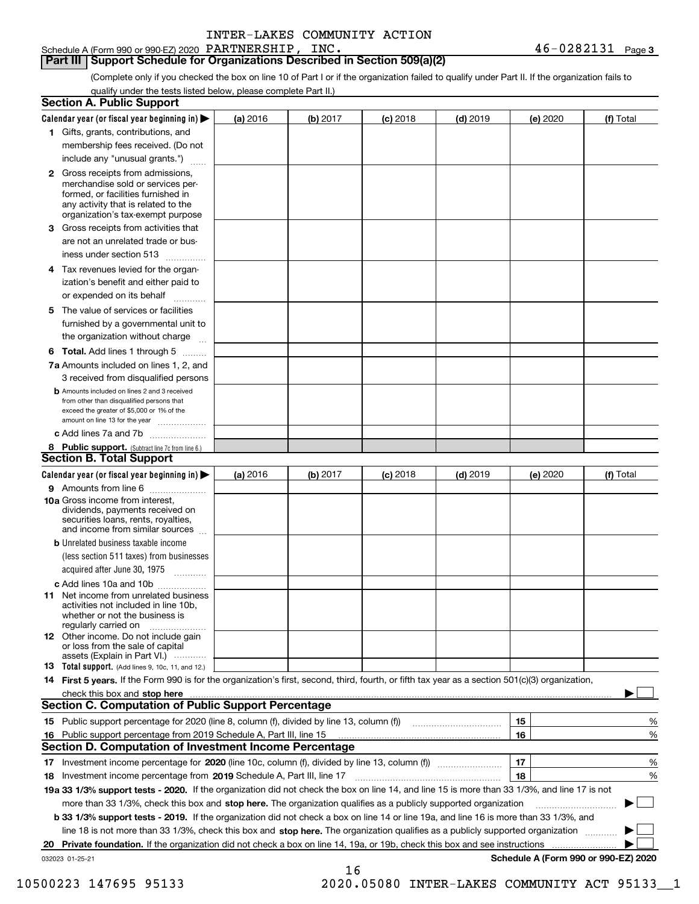**Part III Support Schedule for Organizations Described in Section 509(a)(2)** 

(Complete only if you checked the box on line 10 of Part I or if the organization failed to qualify under Part II. If the organization fails to qualify under the tests listed below, please complete Part II.)

| <b>Section A. Public Support</b>                                                                                                                                                                                                                               |          |          |            |            |          |                                      |
|----------------------------------------------------------------------------------------------------------------------------------------------------------------------------------------------------------------------------------------------------------------|----------|----------|------------|------------|----------|--------------------------------------|
| Calendar year (or fiscal year beginning in) $\blacktriangleright$                                                                                                                                                                                              | (a) 2016 | (b) 2017 | $(c)$ 2018 | $(d)$ 2019 | (e) 2020 | (f) Total                            |
| 1 Gifts, grants, contributions, and                                                                                                                                                                                                                            |          |          |            |            |          |                                      |
| membership fees received. (Do not                                                                                                                                                                                                                              |          |          |            |            |          |                                      |
| include any "unusual grants.")                                                                                                                                                                                                                                 |          |          |            |            |          |                                      |
| 2 Gross receipts from admissions,<br>merchandise sold or services per-<br>formed, or facilities furnished in<br>any activity that is related to the<br>organization's tax-exempt purpose                                                                       |          |          |            |            |          |                                      |
| 3 Gross receipts from activities that<br>are not an unrelated trade or bus-                                                                                                                                                                                    |          |          |            |            |          |                                      |
| iness under section 513                                                                                                                                                                                                                                        |          |          |            |            |          |                                      |
| 4 Tax revenues levied for the organ-<br>ization's benefit and either paid to<br>or expended on its behalf<br>.                                                                                                                                                 |          |          |            |            |          |                                      |
| 5 The value of services or facilities<br>furnished by a governmental unit to<br>the organization without charge                                                                                                                                                |          |          |            |            |          |                                      |
| <b>6 Total.</b> Add lines 1 through 5                                                                                                                                                                                                                          |          |          |            |            |          |                                      |
| 7a Amounts included on lines 1, 2, and<br>3 received from disqualified persons                                                                                                                                                                                 |          |          |            |            |          |                                      |
| <b>b</b> Amounts included on lines 2 and 3 received<br>from other than disqualified persons that<br>exceed the greater of \$5,000 or 1% of the<br>amount on line 13 for the year                                                                               |          |          |            |            |          |                                      |
| c Add lines 7a and 7b                                                                                                                                                                                                                                          |          |          |            |            |          |                                      |
| 8 Public support. (Subtract line 7c from line 6.)<br><b>Section B. Total Support</b>                                                                                                                                                                           |          |          |            |            |          |                                      |
| Calendar year (or fiscal year beginning in) $\blacktriangleright$                                                                                                                                                                                              | (a) 2016 | (b) 2017 | $(c)$ 2018 | $(d)$ 2019 | (e) 2020 | (f) Total                            |
| 9 Amounts from line 6                                                                                                                                                                                                                                          |          |          |            |            |          |                                      |
| 10a Gross income from interest,<br>dividends, payments received on<br>securities loans, rents, royalties,<br>and income from similar sources                                                                                                                   |          |          |            |            |          |                                      |
| <b>b</b> Unrelated business taxable income<br>(less section 511 taxes) from businesses<br>acquired after June 30, 1975<br>1.1.1.1.1.1.1.1.1.1                                                                                                                  |          |          |            |            |          |                                      |
| c Add lines 10a and 10b                                                                                                                                                                                                                                        |          |          |            |            |          |                                      |
| <b>11</b> Net income from unrelated business<br>activities not included in line 10b.<br>whether or not the business is<br>regularly carried on                                                                                                                 |          |          |            |            |          |                                      |
| <b>12</b> Other income. Do not include gain<br>or loss from the sale of capital<br>assets (Explain in Part VI.)                                                                                                                                                |          |          |            |            |          |                                      |
| <b>13</b> Total support. (Add lines 9, 10c, 11, and 12.)                                                                                                                                                                                                       |          |          |            |            |          |                                      |
| 14 First 5 years. If the Form 990 is for the organization's first, second, third, fourth, or fifth tax year as a section 501(c)(3) organization,                                                                                                               |          |          |            |            |          |                                      |
| check this box and stop here <b>contractly contractly and structure and structure of the structure of the structure of the structure of the structure of the structure of the structure of the structure of the structure of the</b>                           |          |          |            |            |          |                                      |
| <b>Section C. Computation of Public Support Percentage</b>                                                                                                                                                                                                     |          |          |            |            |          |                                      |
|                                                                                                                                                                                                                                                                |          |          |            |            | 15       | %                                    |
| 16 Public support percentage from 2019 Schedule A, Part III, line 15                                                                                                                                                                                           |          |          |            |            | 16       | %                                    |
| <b>Section D. Computation of Investment Income Percentage</b>                                                                                                                                                                                                  |          |          |            |            |          |                                      |
| 17 Investment income percentage for 2020 (line 10c, column (f), divided by line 13, column (f))                                                                                                                                                                |          |          |            |            | 17       | %                                    |
| 18 Investment income percentage from 2019 Schedule A, Part III, line 17                                                                                                                                                                                        |          |          |            |            | 18       | %                                    |
| 19a 33 1/3% support tests - 2020. If the organization did not check the box on line 14, and line 15 is more than 33 1/3%, and line 17 is not                                                                                                                   |          |          |            |            |          |                                      |
| more than 33 1/3%, check this box and stop here. The organization qualifies as a publicly supported organization                                                                                                                                               |          |          |            |            |          |                                      |
| b 33 1/3% support tests - 2019. If the organization did not check a box on line 14 or line 19a, and line 16 is more than 33 1/3%, and                                                                                                                          |          |          |            |            |          |                                      |
| line 18 is not more than 33 1/3%, check this box and stop here. The organization qualifies as a publicly supported organization<br>20 Private foundation. If the organization did not check a box on line 14, 19a, or 19b, check this box and see instructions |          |          |            |            |          |                                      |
| 032023 01-25-21                                                                                                                                                                                                                                                |          |          |            |            |          | Schedule A (Form 990 or 990-EZ) 2020 |
|                                                                                                                                                                                                                                                                |          | 16       |            |            |          |                                      |

10500223 147695 95133 2020.05080 INTER-LAKES COMMUNITY ACT 95133\_\_1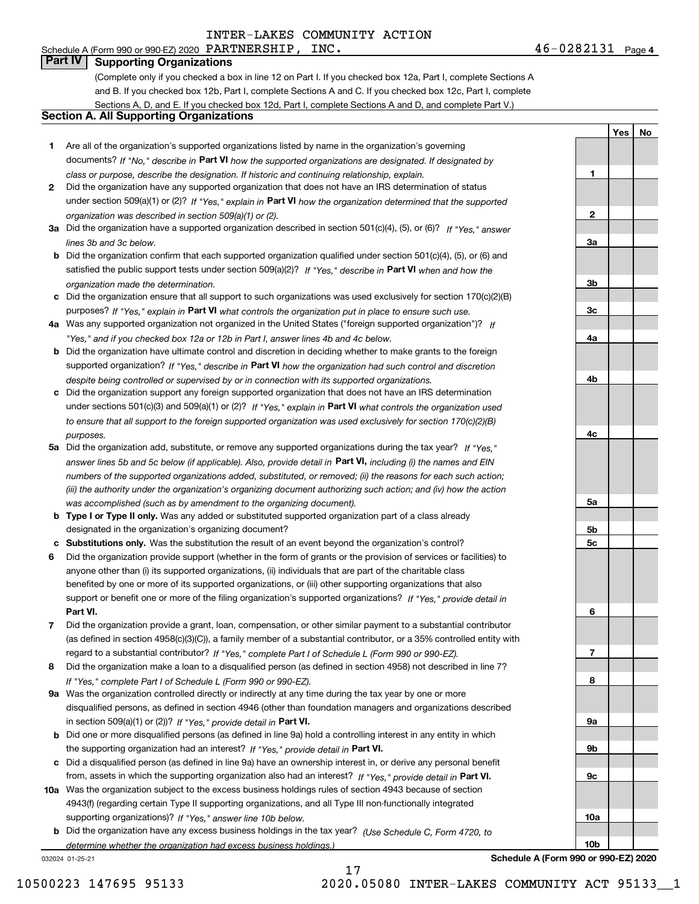**1**

**2**

**3a**

**3b**

**3c**

**4a**

**4b**

**4c**

**YesNo**

# **Part IV Supporting Organizations**

(Complete only if you checked a box in line 12 on Part I. If you checked box 12a, Part I, complete Sections A and B. If you checked box 12b, Part I, complete Sections A and C. If you checked box 12c, Part I, complete Sections A, D, and E. If you checked box 12d, Part I, complete Sections A and D, and complete Part V.)

# **Section A. All Supporting Organizations**

- **1** Are all of the organization's supported organizations listed by name in the organization's governing documents? If "No," describe in **Part VI** how the supported organizations are designated. If designated by *class or purpose, describe the designation. If historic and continuing relationship, explain.*
- **2** Did the organization have any supported organization that does not have an IRS determination of status under section 509(a)(1) or (2)? If "Yes," explain in Part VI how the organization determined that the supported *organization was described in section 509(a)(1) or (2).*
- **3a** Did the organization have a supported organization described in section 501(c)(4), (5), or (6)? If "Yes," answer *lines 3b and 3c below.*
- **b** Did the organization confirm that each supported organization qualified under section 501(c)(4), (5), or (6) and satisfied the public support tests under section 509(a)(2)? If "Yes," describe in **Part VI** when and how the *organization made the determination.*
- **c**Did the organization ensure that all support to such organizations was used exclusively for section 170(c)(2)(B) purposes? If "Yes," explain in **Part VI** what controls the organization put in place to ensure such use.
- **4a***If* Was any supported organization not organized in the United States ("foreign supported organization")? *"Yes," and if you checked box 12a or 12b in Part I, answer lines 4b and 4c below.*
- **b** Did the organization have ultimate control and discretion in deciding whether to make grants to the foreign supported organization? If "Yes," describe in **Part VI** how the organization had such control and discretion *despite being controlled or supervised by or in connection with its supported organizations.*
- **c** Did the organization support any foreign supported organization that does not have an IRS determination under sections 501(c)(3) and 509(a)(1) or (2)? If "Yes," explain in **Part VI** what controls the organization used *to ensure that all support to the foreign supported organization was used exclusively for section 170(c)(2)(B) purposes.*
- **5a** Did the organization add, substitute, or remove any supported organizations during the tax year? If "Yes," answer lines 5b and 5c below (if applicable). Also, provide detail in **Part VI,** including (i) the names and EIN *numbers of the supported organizations added, substituted, or removed; (ii) the reasons for each such action; (iii) the authority under the organization's organizing document authorizing such action; and (iv) how the action was accomplished (such as by amendment to the organizing document).*
- **b** Type I or Type II only. Was any added or substituted supported organization part of a class already designated in the organization's organizing document?
- **cSubstitutions only.**  Was the substitution the result of an event beyond the organization's control?
- **6** Did the organization provide support (whether in the form of grants or the provision of services or facilities) to **Part VI.** *If "Yes," provide detail in* support or benefit one or more of the filing organization's supported organizations? anyone other than (i) its supported organizations, (ii) individuals that are part of the charitable class benefited by one or more of its supported organizations, or (iii) other supporting organizations that also
- **7**Did the organization provide a grant, loan, compensation, or other similar payment to a substantial contributor *If "Yes," complete Part I of Schedule L (Form 990 or 990-EZ).* regard to a substantial contributor? (as defined in section 4958(c)(3)(C)), a family member of a substantial contributor, or a 35% controlled entity with
- **8** Did the organization make a loan to a disqualified person (as defined in section 4958) not described in line 7? *If "Yes," complete Part I of Schedule L (Form 990 or 990-EZ).*
- **9a** Was the organization controlled directly or indirectly at any time during the tax year by one or more in section 509(a)(1) or (2))? If "Yes," *provide detail in* <code>Part VI.</code> disqualified persons, as defined in section 4946 (other than foundation managers and organizations described
- **b** Did one or more disqualified persons (as defined in line 9a) hold a controlling interest in any entity in which the supporting organization had an interest? If "Yes," provide detail in P**art VI**.
- **c**Did a disqualified person (as defined in line 9a) have an ownership interest in, or derive any personal benefit from, assets in which the supporting organization also had an interest? If "Yes," provide detail in P**art VI.**
- **10a** Was the organization subject to the excess business holdings rules of section 4943 because of section supporting organizations)? If "Yes," answer line 10b below. 4943(f) (regarding certain Type II supporting organizations, and all Type III non-functionally integrated
- **b** Did the organization have any excess business holdings in the tax year? (Use Schedule C, Form 4720, to *determine whether the organization had excess business holdings.)*

032024 01-25-21



17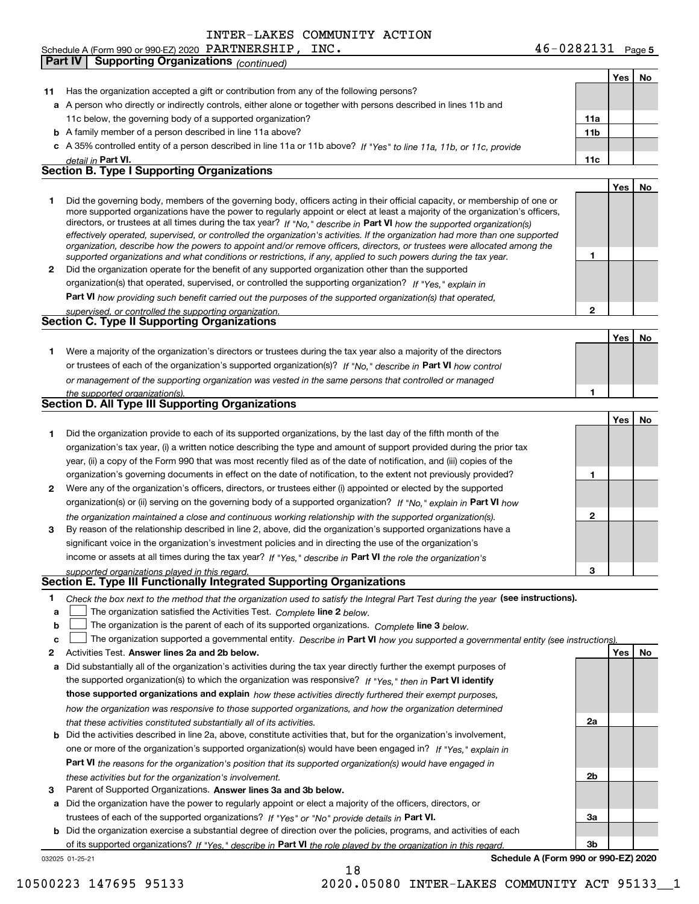**Part IV Supporting Organizations** *(continued)*

|     |                                                                                                                                                                                                                                                                                                                                                                                                                                                                                                                                                                                                                                                      |     | Yes | No |
|-----|------------------------------------------------------------------------------------------------------------------------------------------------------------------------------------------------------------------------------------------------------------------------------------------------------------------------------------------------------------------------------------------------------------------------------------------------------------------------------------------------------------------------------------------------------------------------------------------------------------------------------------------------------|-----|-----|----|
| 11. | Has the organization accepted a gift or contribution from any of the following persons?                                                                                                                                                                                                                                                                                                                                                                                                                                                                                                                                                              |     |     |    |
|     | a A person who directly or indirectly controls, either alone or together with persons described in lines 11b and                                                                                                                                                                                                                                                                                                                                                                                                                                                                                                                                     |     |     |    |
|     | 11c below, the governing body of a supported organization?                                                                                                                                                                                                                                                                                                                                                                                                                                                                                                                                                                                           | 11a |     |    |
|     | <b>b</b> A family member of a person described in line 11a above?                                                                                                                                                                                                                                                                                                                                                                                                                                                                                                                                                                                    | 11b |     |    |
|     | c A 35% controlled entity of a person described in line 11a or 11b above? If "Yes" to line 11a, 11b, or 11c, provide                                                                                                                                                                                                                                                                                                                                                                                                                                                                                                                                 |     |     |    |
|     | detail in Part VI.                                                                                                                                                                                                                                                                                                                                                                                                                                                                                                                                                                                                                                   | 11c |     |    |
|     | <b>Section B. Type I Supporting Organizations</b>                                                                                                                                                                                                                                                                                                                                                                                                                                                                                                                                                                                                    |     |     |    |
|     |                                                                                                                                                                                                                                                                                                                                                                                                                                                                                                                                                                                                                                                      |     | Yes | No |
| 1.  | Did the governing body, members of the governing body, officers acting in their official capacity, or membership of one or<br>more supported organizations have the power to regularly appoint or elect at least a majority of the organization's officers,<br>directors, or trustees at all times during the tax year? If "No," describe in Part VI how the supported organization(s)<br>effectively operated, supervised, or controlled the organization's activities. If the organization had more than one supported<br>organization, describe how the powers to appoint and/or remove officers, directors, or trustees were allocated among the | 1   |     |    |
| 2   | supported organizations and what conditions or restrictions, if any, applied to such powers during the tax year.<br>Did the organization operate for the benefit of any supported organization other than the supported                                                                                                                                                                                                                                                                                                                                                                                                                              |     |     |    |
|     | organization(s) that operated, supervised, or controlled the supporting organization? If "Yes," explain in                                                                                                                                                                                                                                                                                                                                                                                                                                                                                                                                           |     |     |    |
|     |                                                                                                                                                                                                                                                                                                                                                                                                                                                                                                                                                                                                                                                      |     |     |    |
|     | Part VI how providing such benefit carried out the purposes of the supported organization(s) that operated,<br>supervised, or controlled the supporting organization.                                                                                                                                                                                                                                                                                                                                                                                                                                                                                | 2   |     |    |
|     | <b>Section C. Type II Supporting Organizations</b>                                                                                                                                                                                                                                                                                                                                                                                                                                                                                                                                                                                                   |     |     |    |
|     |                                                                                                                                                                                                                                                                                                                                                                                                                                                                                                                                                                                                                                                      |     | Yes | No |
| 1.  | Were a majority of the organization's directors or trustees during the tax year also a majority of the directors                                                                                                                                                                                                                                                                                                                                                                                                                                                                                                                                     |     |     |    |
|     | or trustees of each of the organization's supported organization(s)? If "No," describe in Part VI how control                                                                                                                                                                                                                                                                                                                                                                                                                                                                                                                                        |     |     |    |
|     | or management of the supporting organization was vested in the same persons that controlled or managed                                                                                                                                                                                                                                                                                                                                                                                                                                                                                                                                               |     |     |    |
|     | the supported organization(s).                                                                                                                                                                                                                                                                                                                                                                                                                                                                                                                                                                                                                       | 1   |     |    |
|     | <b>Section D. All Type III Supporting Organizations</b>                                                                                                                                                                                                                                                                                                                                                                                                                                                                                                                                                                                              |     |     |    |
|     |                                                                                                                                                                                                                                                                                                                                                                                                                                                                                                                                                                                                                                                      |     | Yes | No |
| 1.  | Did the organization provide to each of its supported organizations, by the last day of the fifth month of the                                                                                                                                                                                                                                                                                                                                                                                                                                                                                                                                       |     |     |    |
|     | organization's tax year, (i) a written notice describing the type and amount of support provided during the prior tax                                                                                                                                                                                                                                                                                                                                                                                                                                                                                                                                |     |     |    |
|     | year, (ii) a copy of the Form 990 that was most recently filed as of the date of notification, and (iii) copies of the                                                                                                                                                                                                                                                                                                                                                                                                                                                                                                                               |     |     |    |
|     | organization's governing documents in effect on the date of notification, to the extent not previously provided?                                                                                                                                                                                                                                                                                                                                                                                                                                                                                                                                     | 1   |     |    |
| 2   | Were any of the organization's officers, directors, or trustees either (i) appointed or elected by the supported                                                                                                                                                                                                                                                                                                                                                                                                                                                                                                                                     |     |     |    |
|     | organization(s) or (ii) serving on the governing body of a supported organization? If "No," explain in Part VI how                                                                                                                                                                                                                                                                                                                                                                                                                                                                                                                                   |     |     |    |
|     | the organization maintained a close and continuous working relationship with the supported organization(s).                                                                                                                                                                                                                                                                                                                                                                                                                                                                                                                                          | 2   |     |    |
| 3   | By reason of the relationship described in line 2, above, did the organization's supported organizations have a                                                                                                                                                                                                                                                                                                                                                                                                                                                                                                                                      |     |     |    |
|     | significant voice in the organization's investment policies and in directing the use of the organization's                                                                                                                                                                                                                                                                                                                                                                                                                                                                                                                                           |     |     |    |
|     | income or assets at all times during the tax year? If "Yes," describe in Part VI the role the organization's                                                                                                                                                                                                                                                                                                                                                                                                                                                                                                                                         |     |     |    |
|     | supported organizations played in this regard.<br>Section E. Type III Functionally Integrated Supporting Organizations                                                                                                                                                                                                                                                                                                                                                                                                                                                                                                                               | 3   |     |    |
| 1   |                                                                                                                                                                                                                                                                                                                                                                                                                                                                                                                                                                                                                                                      |     |     |    |
| a   | Check the box next to the method that the organization used to satisfy the Integral Part Test during the year (see instructions).<br>The organization satisfied the Activities Test. Complete line 2 below.                                                                                                                                                                                                                                                                                                                                                                                                                                          |     |     |    |
| b   | The organization is the parent of each of its supported organizations. Complete line 3 below.                                                                                                                                                                                                                                                                                                                                                                                                                                                                                                                                                        |     |     |    |
| c   | The organization supported a governmental entity. Describe in Part VI how you supported a governmental entity (see instructions)                                                                                                                                                                                                                                                                                                                                                                                                                                                                                                                     |     |     |    |
| 2   | Activities Test. Answer lines 2a and 2b below.                                                                                                                                                                                                                                                                                                                                                                                                                                                                                                                                                                                                       |     | Yes | No |
| а   | Did substantially all of the organization's activities during the tax year directly further the exempt purposes of                                                                                                                                                                                                                                                                                                                                                                                                                                                                                                                                   |     |     |    |
|     | the supported organization(s) to which the organization was responsive? If "Yes," then in Part VI identify                                                                                                                                                                                                                                                                                                                                                                                                                                                                                                                                           |     |     |    |
|     | those supported organizations and explain how these activities directly furthered their exempt purposes,                                                                                                                                                                                                                                                                                                                                                                                                                                                                                                                                             |     |     |    |
|     | how the organization was responsive to those supported organizations, and how the organization determined                                                                                                                                                                                                                                                                                                                                                                                                                                                                                                                                            |     |     |    |
|     | that these activities constituted substantially all of its activities.                                                                                                                                                                                                                                                                                                                                                                                                                                                                                                                                                                               | 2a  |     |    |
|     | <b>b</b> Did the activities described in line 2a, above, constitute activities that, but for the organization's involvement,                                                                                                                                                                                                                                                                                                                                                                                                                                                                                                                         |     |     |    |
|     | one or more of the organization's supported organization(s) would have been engaged in? If "Yes." explain in                                                                                                                                                                                                                                                                                                                                                                                                                                                                                                                                         |     |     |    |

**3**Parent of Supported Organizations. Answer lines 3a and 3b below. *these activities but for the organization's involvement.*

**a** Did the organization have the power to regularly appoint or elect a majority of the officers, directors, or trustees of each of the supported organizations? If "Yes" or "No" provide details in **Part VI.** 

**Part VI**  *the reasons for the organization's position that its supported organization(s) would have engaged in*

**b** Did the organization exercise a substantial degree of direction over the policies, programs, and activities of each of its supported organizations? If "Yes," describe in Part VI the role played by the organization in this regard.

032025 01-25-21

**Schedule A (Form 990 or 990-EZ) 2020**

**2b**

**3a**

**3b**

18

10500223 147695 95133 2020.05080 INTER-LAKES COMMUNITY ACT 95133\_\_1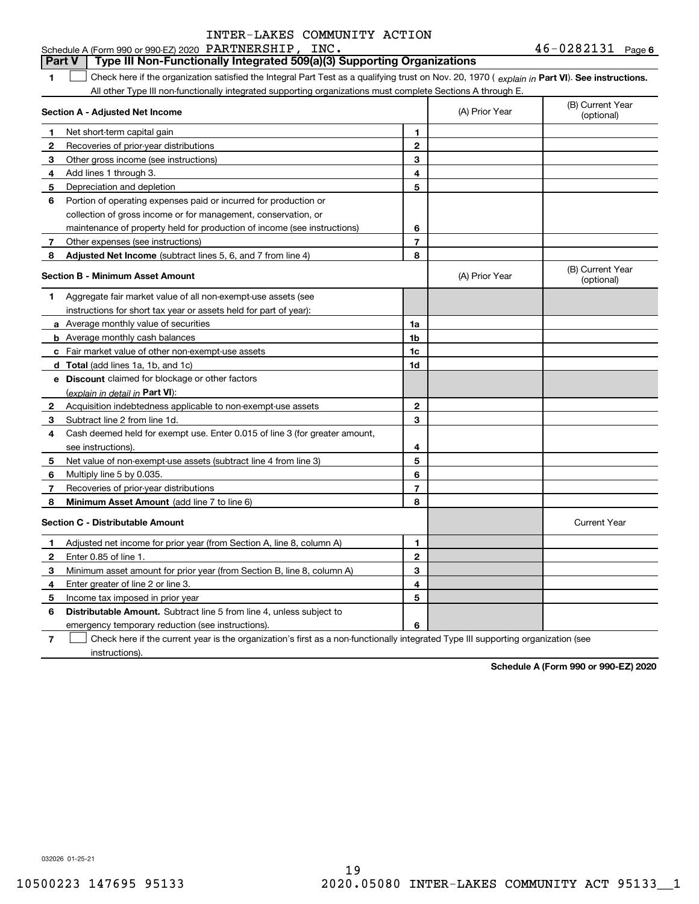#### **1Part VI** Check here if the organization satisfied the Integral Part Test as a qualifying trust on Nov. 20, 1970 ( *explain in* Part **VI**). See instructions. **Section A - Adjusted Net Income 123** Other gross income (see instructions) **456** Portion of operating expenses paid or incurred for production or **7** Other expenses (see instructions) **8** Adjusted Net Income (subtract lines 5, 6, and 7 from line 4) **8 8 1234567Section B - Minimum Asset Amount 1**Aggregate fair market value of all non-exempt-use assets (see **2**Acquisition indebtedness applicable to non-exempt-use assets **3** Subtract line 2 from line 1d. **4**Cash deemed held for exempt use. Enter 0.015 of line 3 (for greater amount, **5** Net value of non-exempt-use assets (subtract line 4 from line 3) **678a** Average monthly value of securities **b** Average monthly cash balances **c**Fair market value of other non-exempt-use assets **dTotal**  (add lines 1a, 1b, and 1c) **eDiscount** claimed for blockage or other factors **1a1b1c1d2345678**(explain in detail in Part VI): **Minimum Asset Amount**  (add line 7 to line 6) **Section C - Distributable Amount 12**Enter 0.85 of line 1. **3456123456Distributable Amount.** Subtract line 5 from line 4, unless subject to Schedule A (Form 990 or 990-EZ) 2020 Page PARTNERSHIP, INC. 46-0282131 All other Type III non-functionally integrated supporting organizations must complete Sections A through E. (B) Current Year (optional)(A) Prior Year Net short-term capital gain Recoveries of prior-year distributions Add lines 1 through 3. Depreciation and depletion collection of gross income or for management, conservation, or maintenance of property held for production of income (see instructions) (B) Current Year (optional)(A) Prior Year instructions for short tax year or assets held for part of year): see instructions). Multiply line 5 by 0.035. Recoveries of prior-year distributions Current Year Adjusted net income for prior year (from Section A, line 8, column A) Minimum asset amount for prior year (from Section B, line 8, column A) Enter greater of line 2 or line 3. Income tax imposed in prior year emergency temporary reduction (see instructions). **Part V Type III Non-Functionally Integrated 509(a)(3) Supporting Organizations**   $\mathcal{L}^{\text{max}}$

**7**Check here if the current year is the organization's first as a non-functionally integrated Type III supporting organization (see instructions). $\mathcal{L}^{\text{max}}$ 

**Schedule A (Form 990 or 990-EZ) 2020**

032026 01-25-21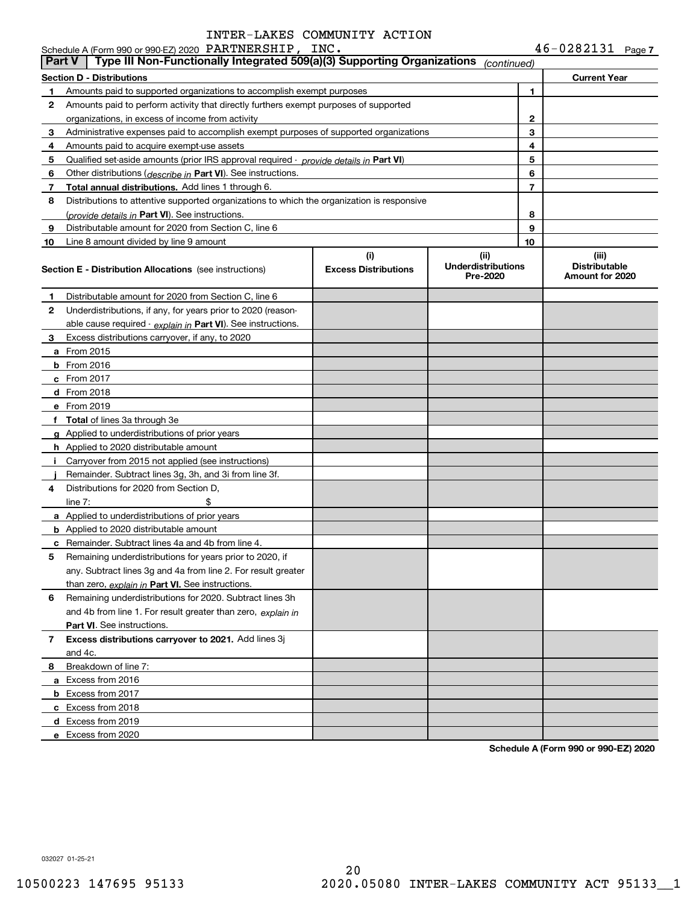| <b>Part V</b> | Schedule A (Form 990 or 990-EZ) 2020 PARTNERSHIP, INC.<br>Type III Non-Functionally Integrated 509(a)(3) Supporting Organizations |                                    | (continued)                                    |    | 46-0282131 Page 7                                |
|---------------|-----------------------------------------------------------------------------------------------------------------------------------|------------------------------------|------------------------------------------------|----|--------------------------------------------------|
|               | <b>Section D - Distributions</b>                                                                                                  |                                    |                                                |    | <b>Current Year</b>                              |
| 1             | Amounts paid to supported organizations to accomplish exempt purposes                                                             |                                    |                                                | 1  |                                                  |
| 2             | Amounts paid to perform activity that directly furthers exempt purposes of supported                                              |                                    |                                                |    |                                                  |
|               | organizations, in excess of income from activity                                                                                  |                                    |                                                | 2  |                                                  |
| 3             | Administrative expenses paid to accomplish exempt purposes of supported organizations                                             |                                    |                                                | 3  |                                                  |
| 4             | Amounts paid to acquire exempt-use assets                                                                                         |                                    |                                                | 4  |                                                  |
| 5             | Qualified set-aside amounts (prior IRS approval required - provide details in Part VI)                                            |                                    |                                                | 5  |                                                  |
| 6             | Other distributions ( <i>describe in</i> Part VI). See instructions.                                                              |                                    |                                                | 6  |                                                  |
| 7             | Total annual distributions. Add lines 1 through 6.                                                                                |                                    |                                                | 7  |                                                  |
| 8             | Distributions to attentive supported organizations to which the organization is responsive                                        |                                    |                                                |    |                                                  |
|               | (provide details in Part VI). See instructions.                                                                                   |                                    |                                                | 8  |                                                  |
| 9             | Distributable amount for 2020 from Section C, line 6                                                                              |                                    |                                                | 9  |                                                  |
| 10            | Line 8 amount divided by line 9 amount                                                                                            |                                    |                                                | 10 |                                                  |
|               | <b>Section E - Distribution Allocations</b> (see instructions)                                                                    | (i)<br><b>Excess Distributions</b> | (iii)<br><b>Underdistributions</b><br>Pre-2020 |    | (iii)<br><b>Distributable</b><br>Amount for 2020 |
| 1             | Distributable amount for 2020 from Section C, line 6                                                                              |                                    |                                                |    |                                                  |
| 2             | Underdistributions, if any, for years prior to 2020 (reason-                                                                      |                                    |                                                |    |                                                  |
|               | able cause required $\cdot$ explain in Part VI). See instructions.                                                                |                                    |                                                |    |                                                  |
| 3.            | Excess distributions carryover, if any, to 2020                                                                                   |                                    |                                                |    |                                                  |
|               | <b>a</b> From 2015                                                                                                                |                                    |                                                |    |                                                  |
|               | <b>b</b> From 2016                                                                                                                |                                    |                                                |    |                                                  |
|               | $c$ From 2017                                                                                                                     |                                    |                                                |    |                                                  |
|               | d From 2018                                                                                                                       |                                    |                                                |    |                                                  |
|               | e From 2019                                                                                                                       |                                    |                                                |    |                                                  |
|               | f Total of lines 3a through 3e                                                                                                    |                                    |                                                |    |                                                  |
|               | g Applied to underdistributions of prior years                                                                                    |                                    |                                                |    |                                                  |
|               | <b>h</b> Applied to 2020 distributable amount                                                                                     |                                    |                                                |    |                                                  |
|               | i Carryover from 2015 not applied (see instructions)                                                                              |                                    |                                                |    |                                                  |
|               | Remainder. Subtract lines 3g, 3h, and 3i from line 3f.                                                                            |                                    |                                                |    |                                                  |
| 4             | Distributions for 2020 from Section D,                                                                                            |                                    |                                                |    |                                                  |
|               | \$<br>line $7:$                                                                                                                   |                                    |                                                |    |                                                  |
|               | a Applied to underdistributions of prior years                                                                                    |                                    |                                                |    |                                                  |
|               | <b>b</b> Applied to 2020 distributable amount                                                                                     |                                    |                                                |    |                                                  |
|               | <b>c</b> Remainder. Subtract lines 4a and 4b from line 4.                                                                         |                                    |                                                |    |                                                  |
| 5             | Remaining underdistributions for years prior to 2020, if                                                                          |                                    |                                                |    |                                                  |
|               | any. Subtract lines 3g and 4a from line 2. For result greater                                                                     |                                    |                                                |    |                                                  |
|               | than zero, explain in Part VI. See instructions.                                                                                  |                                    |                                                |    |                                                  |
| 6             | Remaining underdistributions for 2020. Subtract lines 3h                                                                          |                                    |                                                |    |                                                  |
|               | and 4b from line 1. For result greater than zero, explain in                                                                      |                                    |                                                |    |                                                  |
|               | <b>Part VI.</b> See instructions.                                                                                                 |                                    |                                                |    |                                                  |
| 7             | Excess distributions carryover to 2021. Add lines 3j                                                                              |                                    |                                                |    |                                                  |
|               | and 4c.                                                                                                                           |                                    |                                                |    |                                                  |
| 8             | Breakdown of line 7:                                                                                                              |                                    |                                                |    |                                                  |
|               | a Excess from 2016                                                                                                                |                                    |                                                |    |                                                  |
|               | <b>b</b> Excess from 2017                                                                                                         |                                    |                                                |    |                                                  |
|               | c Excess from 2018                                                                                                                |                                    |                                                |    |                                                  |
|               | d Excess from 2019                                                                                                                |                                    |                                                |    |                                                  |
|               | e Excess from 2020                                                                                                                |                                    |                                                |    |                                                  |
|               |                                                                                                                                   |                                    |                                                |    |                                                  |

**Schedule A (Form 990 or 990-EZ) 2020**

032027 01-25-21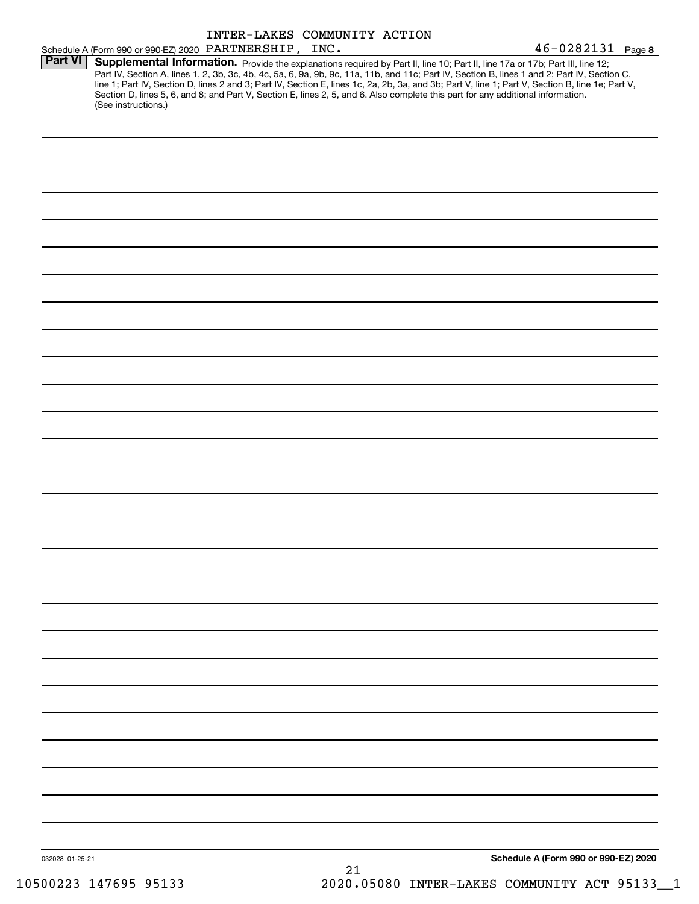|                 |                     | INTER-LAKES COMMUNITY ACTION                           |                                                                                                                                                                                                                                                                  |                                                                                                                                                                                                                                                                                                  |
|-----------------|---------------------|--------------------------------------------------------|------------------------------------------------------------------------------------------------------------------------------------------------------------------------------------------------------------------------------------------------------------------|--------------------------------------------------------------------------------------------------------------------------------------------------------------------------------------------------------------------------------------------------------------------------------------------------|
|                 |                     | Schedule A (Form 990 or 990-EZ) 2020 PARTNERSHIP, INC. |                                                                                                                                                                                                                                                                  | $46 - 0282131$ Page 8                                                                                                                                                                                                                                                                            |
| <b>Part VI</b>  | (See instructions.) |                                                        | Supplemental Information. Provide the explanations required by Part II, line 10; Part II, line 17a or 17b; Part III, line 12;<br>Section D, lines 5, 6, and 8; and Part V, Section E, lines 2, 5, and 6. Also complete this part for any additional information. | Part IV, Section A, lines 1, 2, 3b, 3c, 4b, 4c, 5a, 6, 9a, 9b, 9c, 11a, 11b, and 11c; Part IV, Section B, lines 1 and 2; Part IV, Section C,<br>line 1; Part IV, Section D, lines 2 and 3; Part IV, Section E, lines 1c, 2a, 2b, 3a, and 3b; Part V, line 1; Part V, Section B, line 1e; Part V, |
|                 |                     |                                                        |                                                                                                                                                                                                                                                                  |                                                                                                                                                                                                                                                                                                  |
|                 |                     |                                                        |                                                                                                                                                                                                                                                                  |                                                                                                                                                                                                                                                                                                  |
|                 |                     |                                                        |                                                                                                                                                                                                                                                                  |                                                                                                                                                                                                                                                                                                  |
|                 |                     |                                                        |                                                                                                                                                                                                                                                                  |                                                                                                                                                                                                                                                                                                  |
|                 |                     |                                                        |                                                                                                                                                                                                                                                                  |                                                                                                                                                                                                                                                                                                  |
|                 |                     |                                                        |                                                                                                                                                                                                                                                                  |                                                                                                                                                                                                                                                                                                  |
|                 |                     |                                                        |                                                                                                                                                                                                                                                                  |                                                                                                                                                                                                                                                                                                  |
|                 |                     |                                                        |                                                                                                                                                                                                                                                                  |                                                                                                                                                                                                                                                                                                  |
|                 |                     |                                                        |                                                                                                                                                                                                                                                                  |                                                                                                                                                                                                                                                                                                  |
|                 |                     |                                                        |                                                                                                                                                                                                                                                                  |                                                                                                                                                                                                                                                                                                  |
|                 |                     |                                                        |                                                                                                                                                                                                                                                                  |                                                                                                                                                                                                                                                                                                  |
|                 |                     |                                                        |                                                                                                                                                                                                                                                                  |                                                                                                                                                                                                                                                                                                  |
|                 |                     |                                                        |                                                                                                                                                                                                                                                                  |                                                                                                                                                                                                                                                                                                  |
|                 |                     |                                                        |                                                                                                                                                                                                                                                                  |                                                                                                                                                                                                                                                                                                  |
|                 |                     |                                                        |                                                                                                                                                                                                                                                                  |                                                                                                                                                                                                                                                                                                  |
|                 |                     |                                                        |                                                                                                                                                                                                                                                                  |                                                                                                                                                                                                                                                                                                  |
|                 |                     |                                                        |                                                                                                                                                                                                                                                                  |                                                                                                                                                                                                                                                                                                  |
|                 |                     |                                                        |                                                                                                                                                                                                                                                                  |                                                                                                                                                                                                                                                                                                  |
|                 |                     |                                                        |                                                                                                                                                                                                                                                                  |                                                                                                                                                                                                                                                                                                  |
|                 |                     |                                                        |                                                                                                                                                                                                                                                                  |                                                                                                                                                                                                                                                                                                  |
|                 |                     |                                                        |                                                                                                                                                                                                                                                                  |                                                                                                                                                                                                                                                                                                  |
|                 |                     |                                                        |                                                                                                                                                                                                                                                                  |                                                                                                                                                                                                                                                                                                  |
|                 |                     |                                                        |                                                                                                                                                                                                                                                                  |                                                                                                                                                                                                                                                                                                  |
|                 |                     |                                                        |                                                                                                                                                                                                                                                                  |                                                                                                                                                                                                                                                                                                  |
|                 |                     |                                                        |                                                                                                                                                                                                                                                                  |                                                                                                                                                                                                                                                                                                  |
|                 |                     |                                                        |                                                                                                                                                                                                                                                                  |                                                                                                                                                                                                                                                                                                  |
|                 |                     |                                                        |                                                                                                                                                                                                                                                                  |                                                                                                                                                                                                                                                                                                  |
|                 |                     |                                                        |                                                                                                                                                                                                                                                                  |                                                                                                                                                                                                                                                                                                  |
|                 |                     |                                                        |                                                                                                                                                                                                                                                                  |                                                                                                                                                                                                                                                                                                  |
| 032028 01-25-21 |                     |                                                        | ົາ 1                                                                                                                                                                                                                                                             | Schedule A (Form 990 or 990-EZ) 2020                                                                                                                                                                                                                                                             |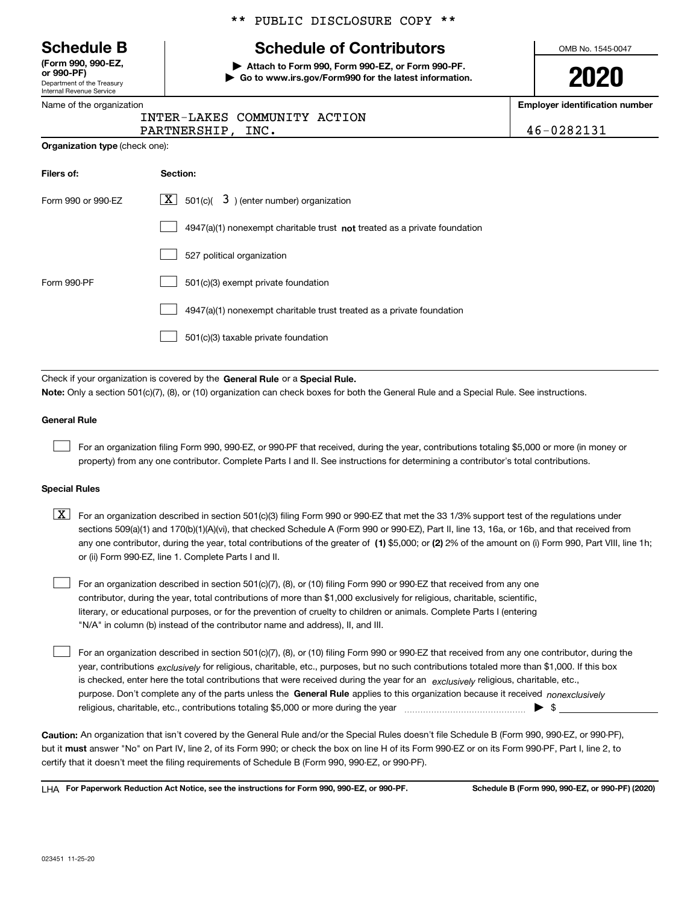Department of the Treasury Internal Revenue Service **(Form 990, 990-EZ, or 990-PF)**

|  | Name of the organization |  |
|--|--------------------------|--|
|  |                          |  |

**Organization type** (check one):

# \*\* PUBLIC DISCLOSURE COPY \*\*

# **Schedule B Schedule of Contributors**

**| Attach to Form 990, Form 990-EZ, or Form 990-PF. | Go to www.irs.gov/Form990 for the latest information.** OMB No. 1545-0047

**2020**

**Employer identification number**

| INTER-LAKES COMMUNITY ACTION |     |  |
|------------------------------|-----|--|
| <b>DARTNER CHTD</b>          | אזד |  |

PARTNERSHIP, INC. 46-0282131

| Filers of:         | Section:                                                                  |
|--------------------|---------------------------------------------------------------------------|
| Form 990 or 990-EZ | $\underline{X}$ 501(c)( 3) (enter number) organization                    |
|                    | 4947(a)(1) nonexempt charitable trust not treated as a private foundation |
|                    | 527 political organization                                                |
| Form 990-PF        | 501(c)(3) exempt private foundation                                       |
|                    | 4947(a)(1) nonexempt charitable trust treated as a private foundation     |
|                    | 501(c)(3) taxable private foundation                                      |

Check if your organization is covered by the **General Rule** or a **Special Rule. Note:**  Only a section 501(c)(7), (8), or (10) organization can check boxes for both the General Rule and a Special Rule. See instructions.

### **General Rule**

 $\mathcal{L}^{\text{max}}$ 

For an organization filing Form 990, 990-EZ, or 990-PF that received, during the year, contributions totaling \$5,000 or more (in money or property) from any one contributor. Complete Parts I and II. See instructions for determining a contributor's total contributions.

#### **Special Rules**

any one contributor, during the year, total contributions of the greater of  $\,$  (1) \$5,000; or **(2)** 2% of the amount on (i) Form 990, Part VIII, line 1h;  $\boxed{\textbf{X}}$  For an organization described in section 501(c)(3) filing Form 990 or 990-EZ that met the 33 1/3% support test of the regulations under sections 509(a)(1) and 170(b)(1)(A)(vi), that checked Schedule A (Form 990 or 990-EZ), Part II, line 13, 16a, or 16b, and that received from or (ii) Form 990-EZ, line 1. Complete Parts I and II.

For an organization described in section 501(c)(7), (8), or (10) filing Form 990 or 990-EZ that received from any one contributor, during the year, total contributions of more than \$1,000 exclusively for religious, charitable, scientific, literary, or educational purposes, or for the prevention of cruelty to children or animals. Complete Parts I (entering "N/A" in column (b) instead of the contributor name and address), II, and III.  $\mathcal{L}^{\text{max}}$ 

purpose. Don't complete any of the parts unless the **General Rule** applies to this organization because it received *nonexclusively* year, contributions <sub>exclusively</sub> for religious, charitable, etc., purposes, but no such contributions totaled more than \$1,000. If this box is checked, enter here the total contributions that were received during the year for an  $\;$ exclusively religious, charitable, etc., For an organization described in section 501(c)(7), (8), or (10) filing Form 990 or 990-EZ that received from any one contributor, during the religious, charitable, etc., contributions totaling \$5,000 or more during the year  $\Box$ — $\Box$   $\Box$  $\mathcal{L}^{\text{max}}$ 

**Caution:**  An organization that isn't covered by the General Rule and/or the Special Rules doesn't file Schedule B (Form 990, 990-EZ, or 990-PF),  **must** but it answer "No" on Part IV, line 2, of its Form 990; or check the box on line H of its Form 990-EZ or on its Form 990-PF, Part I, line 2, to certify that it doesn't meet the filing requirements of Schedule B (Form 990, 990-EZ, or 990-PF).

**For Paperwork Reduction Act Notice, see the instructions for Form 990, 990-EZ, or 990-PF. Schedule B (Form 990, 990-EZ, or 990-PF) (2020)** LHA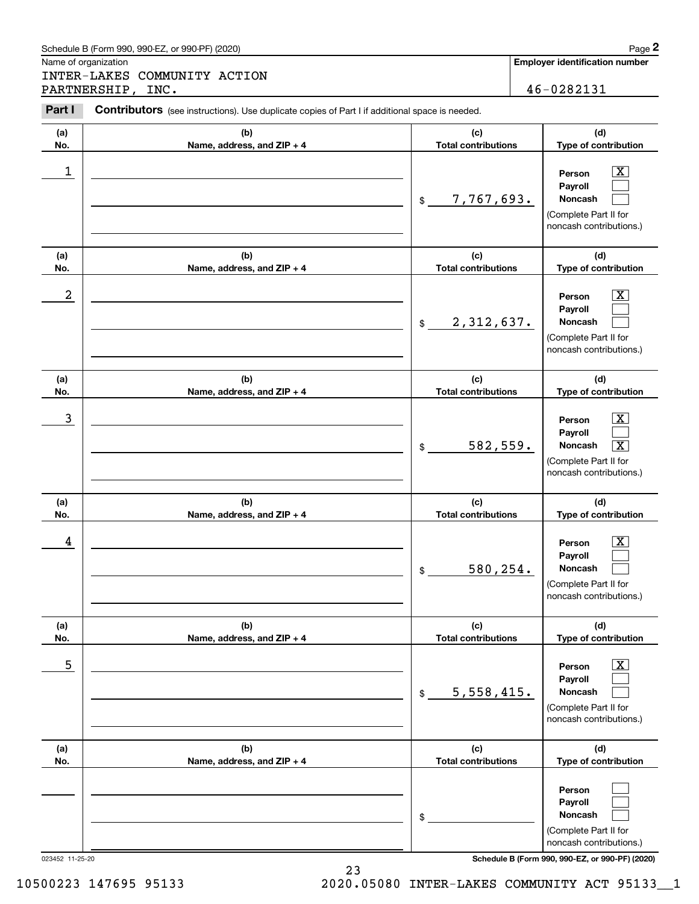|                      | Schedule B (Form 990, 990-EZ, or 990-PF) (2020)                                                |                                              | Page 2                                                                                                                              |
|----------------------|------------------------------------------------------------------------------------------------|----------------------------------------------|-------------------------------------------------------------------------------------------------------------------------------------|
| Name of organization | INTER-LAKES COMMUNITY ACTION                                                                   |                                              | <b>Employer identification number</b>                                                                                               |
|                      | PARTNERSHIP, INC.                                                                              |                                              | 46-0282131                                                                                                                          |
| Part I               | Contributors (see instructions). Use duplicate copies of Part I if additional space is needed. |                                              |                                                                                                                                     |
| (a)<br>No.           | (b)<br>Name, address, and ZIP + 4                                                              | (c)<br><b>Total contributions</b>            | (d)<br>Type of contribution                                                                                                         |
| 1                    |                                                                                                | 7,767,693.<br>$$\mathbb{S}$$                 | Person<br>Payroll<br>Noncash<br>(Complete Part II for<br>noncash contributions.)                                                    |
| (a)<br>No.           | (b)<br>Name, address, and ZIP + 4                                                              | (c)<br><b>Total contributions</b>            | (d)<br>Type of contribution                                                                                                         |
| 2                    |                                                                                                | 2,312,637.<br>$\$$                           | Person<br>Payroll<br>Noncash<br>(Complete Part II for<br>noncash contributions.)                                                    |
| (a)                  | (b)                                                                                            | (c)                                          | (d)                                                                                                                                 |
| No.<br>3             | Name, address, and ZIP + 4                                                                     | <b>Total contributions</b><br>582,559.<br>\$ | Type of contribution<br>Person<br>Payroll<br>$\overline{\mathbf{x}}$<br>Noncash<br>(Complete Part II for<br>noncash contributions.) |
| (a)<br>No.           | (b)<br>Name, address, and ZIP + 4                                                              | (c)<br><b>Total contributions</b>            | (d)<br>Type of contribution                                                                                                         |
| 4                    |                                                                                                | 580,254.<br>\$                               | Х,<br>Person<br>Payroll<br>Noncash<br>(Complete Part II for<br>noncash contributions.)                                              |
| (a)<br>No.           | (b)<br>Name, address, and ZIP + 4                                                              | (c)<br><b>Total contributions</b>            | (d)<br>Type of contribution                                                                                                         |
| 5                    |                                                                                                | 5,558,415.<br>\$                             | X<br>Person<br>Payroll<br><b>Noncash</b><br>(Complete Part II for<br>noncash contributions.)                                        |
| (a)<br>No.           | (b)<br>Name, address, and ZIP + 4                                                              | (c)<br><b>Total contributions</b>            | (d)<br>Type of contribution                                                                                                         |
| 023452 11-25-20      |                                                                                                | \$                                           | Person<br>Payroll<br>Noncash<br>(Complete Part II for<br>noncash contributions.)<br>Schedule B (Form 990, 990-EZ, or 990-PF) (2020) |

23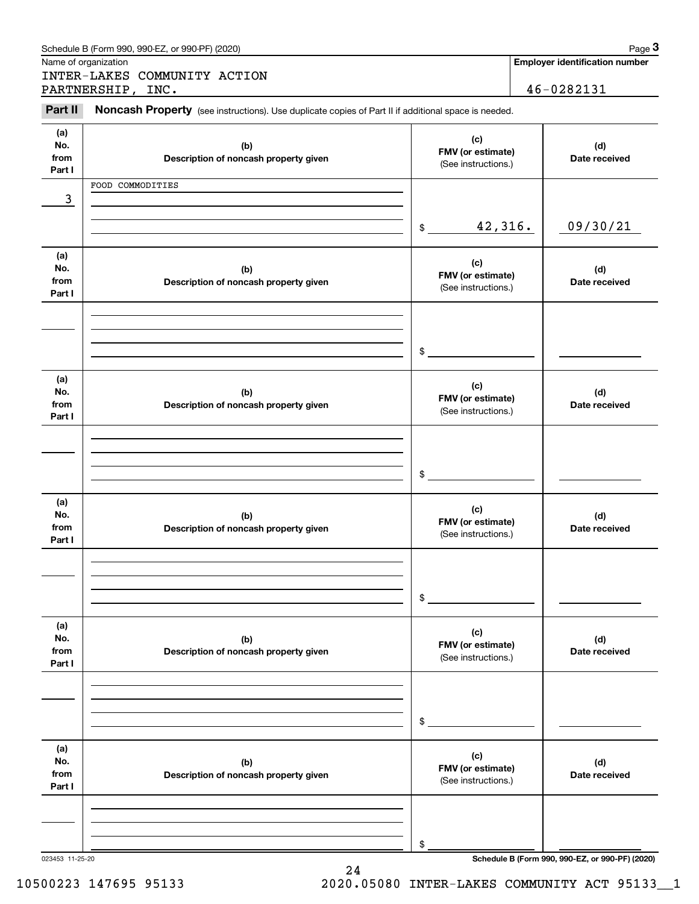|                              | Schedule B (Form 990, 990-EZ, or 990-PF) (2020)                                                     |                                                 | Page 3                                          |
|------------------------------|-----------------------------------------------------------------------------------------------------|-------------------------------------------------|-------------------------------------------------|
|                              | Name of organization                                                                                |                                                 | <b>Employer identification number</b>           |
|                              | INTER-LAKES COMMUNITY ACTION<br>PARTNERSHIP, INC.                                                   |                                                 | 46-0282131                                      |
| Part II                      | Noncash Property (see instructions). Use duplicate copies of Part II if additional space is needed. |                                                 |                                                 |
| (a)<br>No.<br>from<br>Part I | (b)<br>Description of noncash property given                                                        | (c)<br>FMV (or estimate)<br>(See instructions.) | (d)<br>Date received                            |
|                              | FOOD COMMODITIES                                                                                    |                                                 |                                                 |
| 3                            |                                                                                                     |                                                 |                                                 |
|                              |                                                                                                     | 42,316.<br>\$                                   | 09/30/21                                        |
| (a)<br>No.<br>from<br>Part I | (b)<br>Description of noncash property given                                                        | (c)<br>FMV (or estimate)<br>(See instructions.) | (d)<br>Date received                            |
|                              |                                                                                                     |                                                 |                                                 |
|                              |                                                                                                     | \$                                              |                                                 |
| (a)<br>No.<br>from<br>Part I | (b)<br>Description of noncash property given                                                        | (c)<br>FMV (or estimate)<br>(See instructions.) | (d)<br>Date received                            |
|                              |                                                                                                     | \$                                              |                                                 |
| (a)<br>No.<br>from<br>Part I | (b)<br>Description of noncash property given                                                        | (c)<br>FMV (or estimate)<br>(See instructions.) | (d)<br>Date received                            |
|                              |                                                                                                     | \$                                              |                                                 |
| (a)<br>No.<br>from<br>Part I | (b)<br>Description of noncash property given                                                        | (c)<br>FMV (or estimate)<br>(See instructions.) | (d)<br>Date received                            |
|                              |                                                                                                     | \$                                              |                                                 |
| (a)<br>No.<br>from<br>Part I | (b)<br>Description of noncash property given                                                        | (c)<br>FMV (or estimate)<br>(See instructions.) | (d)<br>Date received                            |
|                              |                                                                                                     | \$                                              |                                                 |
| 023453 11-25-20              |                                                                                                     |                                                 | Schedule B (Form 990, 990-EZ, or 990-PF) (2020) |

24

10500223 147695 95133 2020.05080 INTER-LAKES COMMUNITY ACT 95133\_\_1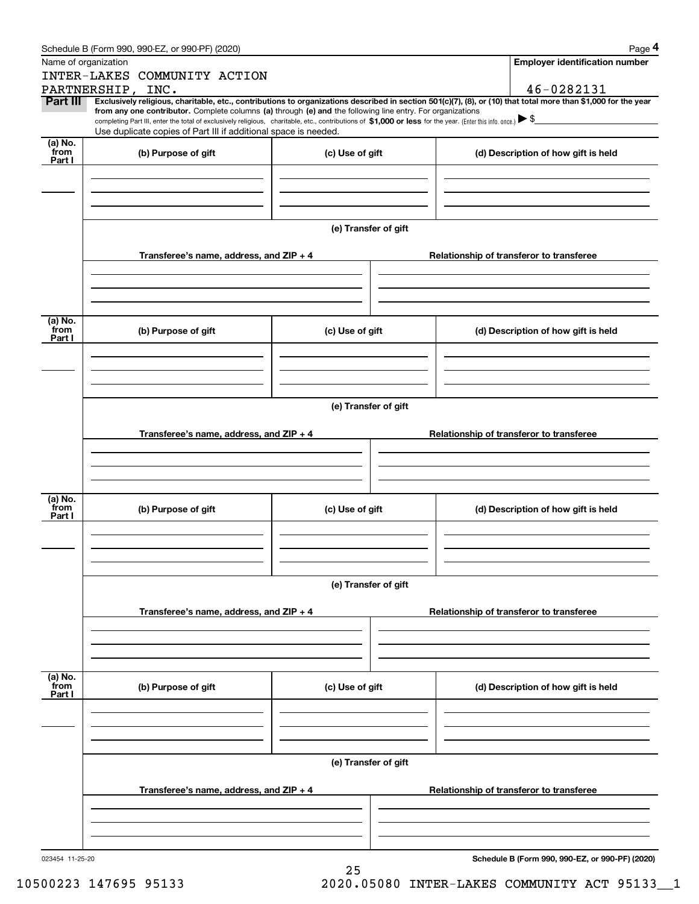|                 | Schedule B (Form 990, 990-EZ, or 990-PF) (2020)                                                                                                                                                                                                                              |                      |                                          |  | Page 4                                   |  |  |  |  |  |  |
|-----------------|------------------------------------------------------------------------------------------------------------------------------------------------------------------------------------------------------------------------------------------------------------------------------|----------------------|------------------------------------------|--|------------------------------------------|--|--|--|--|--|--|
|                 | Name of organization                                                                                                                                                                                                                                                         |                      |                                          |  | <b>Employer identification number</b>    |  |  |  |  |  |  |
|                 | INTER-LAKES COMMUNITY ACTION                                                                                                                                                                                                                                                 |                      |                                          |  |                                          |  |  |  |  |  |  |
|                 | PARTNERSHIP, INC.                                                                                                                                                                                                                                                            |                      |                                          |  | 46-0282131                               |  |  |  |  |  |  |
| Part III        | Exclusively religious, charitable, etc., contributions to organizations described in section 501(c)(7), (8), or (10) that total more than \$1,000 for the year<br>from any one contributor. Complete columns (a) through (e) and the following line entry. For organizations |                      |                                          |  |                                          |  |  |  |  |  |  |
|                 | completing Part III, enter the total of exclusively religious, charitable, etc., contributions of \$1,000 or less for the year. (Enter this info. once.) $\blacktriangleright$ \$                                                                                            |                      |                                          |  |                                          |  |  |  |  |  |  |
|                 | Use duplicate copies of Part III if additional space is needed.                                                                                                                                                                                                              |                      |                                          |  |                                          |  |  |  |  |  |  |
| (a) No.<br>from | (b) Purpose of gift                                                                                                                                                                                                                                                          | (c) Use of gift      |                                          |  | (d) Description of how gift is held      |  |  |  |  |  |  |
| Part I          |                                                                                                                                                                                                                                                                              |                      |                                          |  |                                          |  |  |  |  |  |  |
|                 |                                                                                                                                                                                                                                                                              |                      |                                          |  |                                          |  |  |  |  |  |  |
|                 |                                                                                                                                                                                                                                                                              |                      |                                          |  |                                          |  |  |  |  |  |  |
|                 |                                                                                                                                                                                                                                                                              |                      |                                          |  |                                          |  |  |  |  |  |  |
|                 |                                                                                                                                                                                                                                                                              | (e) Transfer of gift |                                          |  |                                          |  |  |  |  |  |  |
|                 |                                                                                                                                                                                                                                                                              |                      |                                          |  |                                          |  |  |  |  |  |  |
|                 | Transferee's name, address, and ZIP + 4                                                                                                                                                                                                                                      |                      |                                          |  | Relationship of transferor to transferee |  |  |  |  |  |  |
|                 |                                                                                                                                                                                                                                                                              |                      |                                          |  |                                          |  |  |  |  |  |  |
|                 |                                                                                                                                                                                                                                                                              |                      |                                          |  |                                          |  |  |  |  |  |  |
|                 |                                                                                                                                                                                                                                                                              |                      |                                          |  |                                          |  |  |  |  |  |  |
| (a) No.         |                                                                                                                                                                                                                                                                              |                      |                                          |  |                                          |  |  |  |  |  |  |
| from            | (b) Purpose of gift                                                                                                                                                                                                                                                          | (c) Use of gift      |                                          |  | (d) Description of how gift is held      |  |  |  |  |  |  |
| Part I          |                                                                                                                                                                                                                                                                              |                      |                                          |  |                                          |  |  |  |  |  |  |
|                 |                                                                                                                                                                                                                                                                              |                      |                                          |  |                                          |  |  |  |  |  |  |
|                 |                                                                                                                                                                                                                                                                              |                      |                                          |  |                                          |  |  |  |  |  |  |
|                 |                                                                                                                                                                                                                                                                              |                      |                                          |  |                                          |  |  |  |  |  |  |
|                 | (e) Transfer of gift                                                                                                                                                                                                                                                         |                      |                                          |  |                                          |  |  |  |  |  |  |
|                 |                                                                                                                                                                                                                                                                              |                      |                                          |  |                                          |  |  |  |  |  |  |
|                 | Transferee's name, address, and ZIP + 4                                                                                                                                                                                                                                      |                      | Relationship of transferor to transferee |  |                                          |  |  |  |  |  |  |
|                 |                                                                                                                                                                                                                                                                              |                      |                                          |  |                                          |  |  |  |  |  |  |
|                 |                                                                                                                                                                                                                                                                              |                      |                                          |  |                                          |  |  |  |  |  |  |
|                 |                                                                                                                                                                                                                                                                              |                      |                                          |  |                                          |  |  |  |  |  |  |
| (a) No.         |                                                                                                                                                                                                                                                                              |                      |                                          |  |                                          |  |  |  |  |  |  |
| from<br>Part I  | (b) Purpose of gift                                                                                                                                                                                                                                                          | (c) Use of gift      |                                          |  | (d) Description of how gift is held      |  |  |  |  |  |  |
|                 |                                                                                                                                                                                                                                                                              |                      |                                          |  |                                          |  |  |  |  |  |  |
|                 |                                                                                                                                                                                                                                                                              |                      |                                          |  |                                          |  |  |  |  |  |  |
|                 |                                                                                                                                                                                                                                                                              |                      |                                          |  |                                          |  |  |  |  |  |  |
|                 |                                                                                                                                                                                                                                                                              |                      |                                          |  |                                          |  |  |  |  |  |  |
|                 |                                                                                                                                                                                                                                                                              | (e) Transfer of gift |                                          |  |                                          |  |  |  |  |  |  |
|                 |                                                                                                                                                                                                                                                                              |                      |                                          |  |                                          |  |  |  |  |  |  |
|                 | Transferee's name, address, and $ZIP + 4$                                                                                                                                                                                                                                    |                      |                                          |  | Relationship of transferor to transferee |  |  |  |  |  |  |
|                 |                                                                                                                                                                                                                                                                              |                      |                                          |  |                                          |  |  |  |  |  |  |
|                 |                                                                                                                                                                                                                                                                              |                      |                                          |  |                                          |  |  |  |  |  |  |
|                 |                                                                                                                                                                                                                                                                              |                      |                                          |  |                                          |  |  |  |  |  |  |
| (a) No.<br>from |                                                                                                                                                                                                                                                                              |                      |                                          |  |                                          |  |  |  |  |  |  |
| Part I          | (b) Purpose of gift                                                                                                                                                                                                                                                          | (c) Use of gift      |                                          |  | (d) Description of how gift is held      |  |  |  |  |  |  |
|                 |                                                                                                                                                                                                                                                                              |                      |                                          |  |                                          |  |  |  |  |  |  |
|                 |                                                                                                                                                                                                                                                                              |                      |                                          |  |                                          |  |  |  |  |  |  |
|                 |                                                                                                                                                                                                                                                                              |                      |                                          |  |                                          |  |  |  |  |  |  |
|                 |                                                                                                                                                                                                                                                                              |                      |                                          |  |                                          |  |  |  |  |  |  |
|                 |                                                                                                                                                                                                                                                                              | (e) Transfer of gift |                                          |  |                                          |  |  |  |  |  |  |
|                 | Relationship of transferor to transferee                                                                                                                                                                                                                                     |                      |                                          |  |                                          |  |  |  |  |  |  |
|                 | Transferee's name, address, and $ZIP + 4$                                                                                                                                                                                                                                    |                      |                                          |  |                                          |  |  |  |  |  |  |
|                 |                                                                                                                                                                                                                                                                              |                      |                                          |  |                                          |  |  |  |  |  |  |
|                 |                                                                                                                                                                                                                                                                              |                      |                                          |  |                                          |  |  |  |  |  |  |
|                 |                                                                                                                                                                                                                                                                              |                      |                                          |  |                                          |  |  |  |  |  |  |
|                 |                                                                                                                                                                                                                                                                              |                      |                                          |  |                                          |  |  |  |  |  |  |

25

**Schedule B (Form 990, 990-EZ, or 990-PF) (2020)**

10500223 147695 95133 2020.05080 INTER-LAKES COMMUNITY ACT 95133\_\_1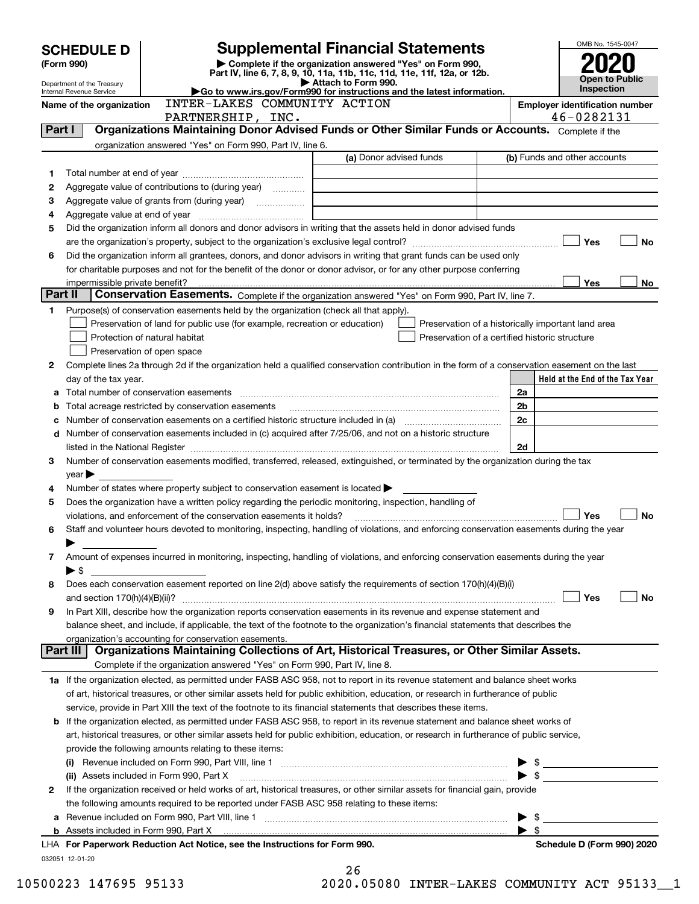|         | <b>SCHEDULE D</b>                                      |                                                                                                        | OMB No. 1545-0047                                                                                                                                                                                                             |                         |                                       |
|---------|--------------------------------------------------------|--------------------------------------------------------------------------------------------------------|-------------------------------------------------------------------------------------------------------------------------------------------------------------------------------------------------------------------------------|-------------------------|---------------------------------------|
|         | (Form 990)                                             |                                                                                                        |                                                                                                                                                                                                                               |                         |                                       |
|         |                                                        |                                                                                                        | <b>Open to Public</b>                                                                                                                                                                                                         |                         |                                       |
|         | Department of the Treasury<br>Internal Revenue Service | Go to www.irs.gov/Form990 for instructions and the latest information.                                 | Inspection                                                                                                                                                                                                                    |                         |                                       |
|         | Name of the organization                               | INTER-LAKES COMMUNITY ACTION                                                                           |                                                                                                                                                                                                                               |                         | <b>Employer identification number</b> |
|         |                                                        | PARTNERSHIP, INC.                                                                                      |                                                                                                                                                                                                                               |                         | 46-0282131                            |
| Part I  |                                                        |                                                                                                        | Organizations Maintaining Donor Advised Funds or Other Similar Funds or Accounts. Complete if the                                                                                                                             |                         |                                       |
|         |                                                        | organization answered "Yes" on Form 990, Part IV, line 6.                                              | (a) Donor advised funds                                                                                                                                                                                                       |                         | (b) Funds and other accounts          |
|         |                                                        |                                                                                                        |                                                                                                                                                                                                                               |                         |                                       |
| 1<br>2  |                                                        |                                                                                                        |                                                                                                                                                                                                                               |                         |                                       |
| з       |                                                        |                                                                                                        |                                                                                                                                                                                                                               |                         |                                       |
| 4       |                                                        |                                                                                                        |                                                                                                                                                                                                                               |                         |                                       |
| 5       |                                                        |                                                                                                        | Did the organization inform all donors and donor advisors in writing that the assets held in donor advised funds                                                                                                              |                         |                                       |
|         |                                                        |                                                                                                        |                                                                                                                                                                                                                               |                         | Yes<br><b>No</b>                      |
| 6       |                                                        |                                                                                                        | Did the organization inform all grantees, donors, and donor advisors in writing that grant funds can be used only                                                                                                             |                         |                                       |
|         |                                                        |                                                                                                        | for charitable purposes and not for the benefit of the donor or donor advisor, or for any other purpose conferring                                                                                                            |                         |                                       |
|         | impermissible private benefit?                         |                                                                                                        |                                                                                                                                                                                                                               |                         | Yes<br>No                             |
| Part II |                                                        |                                                                                                        | Conservation Easements. Complete if the organization answered "Yes" on Form 990, Part IV, line 7.                                                                                                                             |                         |                                       |
| 1       |                                                        | Purpose(s) of conservation easements held by the organization (check all that apply).                  |                                                                                                                                                                                                                               |                         |                                       |
|         |                                                        | Preservation of land for public use (for example, recreation or education)                             | Preservation of a historically important land area                                                                                                                                                                            |                         |                                       |
|         |                                                        | Protection of natural habitat                                                                          | Preservation of a certified historic structure                                                                                                                                                                                |                         |                                       |
|         |                                                        | Preservation of open space                                                                             |                                                                                                                                                                                                                               |                         |                                       |
| 2       |                                                        |                                                                                                        | Complete lines 2a through 2d if the organization held a qualified conservation contribution in the form of a conservation easement on the last                                                                                |                         |                                       |
|         | day of the tax year.                                   |                                                                                                        |                                                                                                                                                                                                                               |                         | Held at the End of the Tax Year       |
|         |                                                        | Total number of conservation easements                                                                 |                                                                                                                                                                                                                               | 2a                      |                                       |
| b       |                                                        | Total acreage restricted by conservation easements                                                     |                                                                                                                                                                                                                               | 2 <sub>b</sub>          |                                       |
|         |                                                        |                                                                                                        |                                                                                                                                                                                                                               | 2c                      |                                       |
| d       |                                                        |                                                                                                        | Number of conservation easements included in (c) acquired after 7/25/06, and not on a historic structure                                                                                                                      |                         |                                       |
|         |                                                        |                                                                                                        |                                                                                                                                                                                                                               | 2d                      |                                       |
| З       |                                                        |                                                                                                        | Number of conservation easements modified, transferred, released, extinguished, or terminated by the organization during the tax                                                                                              |                         |                                       |
|         | $year \blacktriangleright$                             |                                                                                                        |                                                                                                                                                                                                                               |                         |                                       |
| 4       |                                                        | Number of states where property subject to conservation easement is located                            |                                                                                                                                                                                                                               |                         |                                       |
| 5       |                                                        | Does the organization have a written policy regarding the periodic monitoring, inspection, handling of |                                                                                                                                                                                                                               |                         |                                       |
|         |                                                        | violations, and enforcement of the conservation easements it holds?                                    |                                                                                                                                                                                                                               |                         | Yes<br><b>No</b>                      |
| 6       |                                                        |                                                                                                        | Staff and volunteer hours devoted to monitoring, inspecting, handling of violations, and enforcing conservation easements during the year                                                                                     |                         |                                       |
|         |                                                        |                                                                                                        |                                                                                                                                                                                                                               |                         |                                       |
| 7       |                                                        |                                                                                                        | Amount of expenses incurred in monitoring, inspecting, handling of violations, and enforcing conservation easements during the year                                                                                           |                         |                                       |
|         | ▶ \$                                                   |                                                                                                        |                                                                                                                                                                                                                               |                         |                                       |
| 8       |                                                        |                                                                                                        | Does each conservation easement reported on line 2(d) above satisfy the requirements of section 170(h)(4)(B)(i)                                                                                                               |                         |                                       |
|         |                                                        |                                                                                                        |                                                                                                                                                                                                                               |                         | Yes<br>No                             |
| 9       |                                                        |                                                                                                        | In Part XIII, describe how the organization reports conservation easements in its revenue and expense statement and                                                                                                           |                         |                                       |
|         |                                                        |                                                                                                        | balance sheet, and include, if applicable, the text of the footnote to the organization's financial statements that describes the                                                                                             |                         |                                       |
|         | Part III                                               | organization's accounting for conservation easements.                                                  | Organizations Maintaining Collections of Art, Historical Treasures, or Other Similar Assets.                                                                                                                                  |                         |                                       |
|         |                                                        | Complete if the organization answered "Yes" on Form 990, Part IV, line 8.                              |                                                                                                                                                                                                                               |                         |                                       |
|         |                                                        |                                                                                                        | 1a If the organization elected, as permitted under FASB ASC 958, not to report in its revenue statement and balance sheet works                                                                                               |                         |                                       |
|         |                                                        |                                                                                                        | of art, historical treasures, or other similar assets held for public exhibition, education, or research in furtherance of public                                                                                             |                         |                                       |
|         |                                                        |                                                                                                        | service, provide in Part XIII the text of the footnote to its financial statements that describes these items.                                                                                                                |                         |                                       |
| b       |                                                        |                                                                                                        | If the organization elected, as permitted under FASB ASC 958, to report in its revenue statement and balance sheet works of                                                                                                   |                         |                                       |
|         |                                                        |                                                                                                        | art, historical treasures, or other similar assets held for public exhibition, education, or research in furtherance of public service,                                                                                       |                         |                                       |
|         |                                                        | provide the following amounts relating to these items:                                                 |                                                                                                                                                                                                                               |                         |                                       |
|         |                                                        |                                                                                                        |                                                                                                                                                                                                                               |                         |                                       |
|         |                                                        |                                                                                                        | (ii) Assets included in Form 990, Part X [110] [2010] [2010] [2010] [30] Assets included in Form 990, Part X                                                                                                                  |                         |                                       |
| 2       |                                                        |                                                                                                        | If the organization received or held works of art, historical treasures, or other similar assets for financial gain, provide                                                                                                  |                         |                                       |
|         |                                                        | the following amounts required to be reported under FASB ASC 958 relating to these items:              |                                                                                                                                                                                                                               |                         |                                       |
| а       |                                                        |                                                                                                        | Revenue included on Form 990, Part VIII, line 1 [2000] [2000] [2000] [2000] [3000] [3000] [3000] [3000] [3000                                                                                                                 |                         |                                       |
|         |                                                        |                                                                                                        | b Assets included in Form 990, Part X [11] Marten and March 2014 (2016) Assets included in Form 990, Part X [11] Marten and Martin Ann March 2014 (2016) Assets included in Form 990, Part X [11] March 2014 (2016) Ann March | $\blacktriangleright$ s |                                       |
|         |                                                        | LHA For Paperwork Reduction Act Notice, see the Instructions for Form 990.                             |                                                                                                                                                                                                                               |                         | Schedule D (Form 990) 2020            |
|         | 032051 12-01-20                                        |                                                                                                        |                                                                                                                                                                                                                               |                         |                                       |
|         |                                                        |                                                                                                        | 26                                                                                                                                                                                                                            |                         |                                       |

| ∡໐  |              |  |
|-----|--------------|--|
| ח ר | <b>OEOOO</b> |  |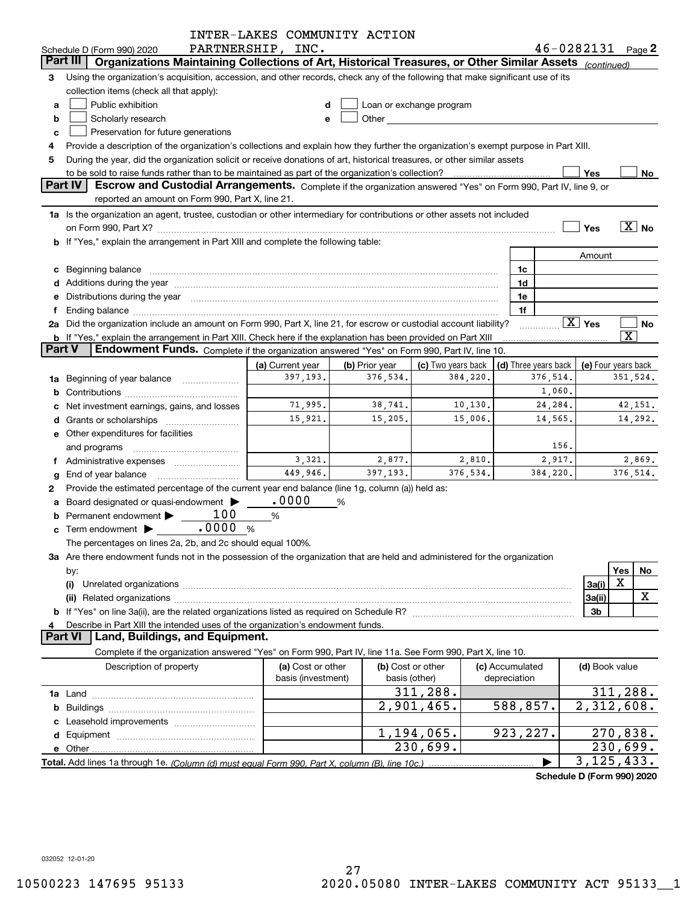|                |                                                                                                                                                                                                                                | INTER-LAKES COMMUNITY ACTION |                |                          |          |                      |                            |                           |                         |                   |
|----------------|--------------------------------------------------------------------------------------------------------------------------------------------------------------------------------------------------------------------------------|------------------------------|----------------|--------------------------|----------|----------------------|----------------------------|---------------------------|-------------------------|-------------------|
|                | Schedule D (Form 990) 2020                                                                                                                                                                                                     | PARTNERSHIP, INC.            |                |                          |          |                      | 46-0282131                 |                           |                         | Page 2            |
|                | Organizations Maintaining Collections of Art, Historical Treasures, or Other Similar Assets (continued)<br>Part III                                                                                                            |                              |                |                          |          |                      |                            |                           |                         |                   |
| 3              | Using the organization's acquisition, accession, and other records, check any of the following that make significant use of its                                                                                                |                              |                |                          |          |                      |                            |                           |                         |                   |
|                | collection items (check all that apply):                                                                                                                                                                                       |                              |                |                          |          |                      |                            |                           |                         |                   |
| a              | Public exhibition                                                                                                                                                                                                              | d                            |                | Loan or exchange program |          |                      |                            |                           |                         |                   |
| b              | Scholarly research                                                                                                                                                                                                             | e                            |                | <b>Other Community</b>   |          |                      |                            |                           |                         |                   |
| c              | Preservation for future generations                                                                                                                                                                                            |                              |                |                          |          |                      |                            |                           |                         |                   |
| 4              | Provide a description of the organization's collections and explain how they further the organization's exempt purpose in Part XIII.                                                                                           |                              |                |                          |          |                      |                            |                           |                         |                   |
| 5              | During the year, did the organization solicit or receive donations of art, historical treasures, or other similar assets                                                                                                       |                              |                |                          |          |                      |                            |                           |                         |                   |
|                | to be sold to raise funds rather than to be maintained as part of the organization's collection?                                                                                                                               |                              |                |                          |          |                      |                            | Yes                       |                         | No                |
|                | Part IV<br>Escrow and Custodial Arrangements. Complete if the organization answered "Yes" on Form 990, Part IV, line 9, or                                                                                                     |                              |                |                          |          |                      |                            |                           |                         |                   |
|                | reported an amount on Form 990, Part X, line 21.                                                                                                                                                                               |                              |                |                          |          |                      |                            |                           |                         |                   |
|                | 1a Is the organization an agent, trustee, custodian or other intermediary for contributions or other assets not included                                                                                                       |                              |                |                          |          |                      |                            |                           |                         |                   |
|                | on Form 990, Part X? [11] matter and the contract of the contract of the contract of the contract of the contract of the contract of the contract of the contract of the contract of the contract of the contract of the contr |                              |                |                          |          |                      |                            | Yes                       |                         | $\overline{X}$ No |
|                | <b>b</b> If "Yes," explain the arrangement in Part XIII and complete the following table:                                                                                                                                      |                              |                |                          |          |                      |                            |                           |                         |                   |
|                |                                                                                                                                                                                                                                |                              |                |                          |          |                      |                            | Amount                    |                         |                   |
| c              | Beginning balance                                                                                                                                                                                                              |                              |                |                          |          | 1c                   |                            |                           |                         |                   |
|                |                                                                                                                                                                                                                                |                              |                |                          |          | 1d                   |                            |                           |                         |                   |
| е              | Distributions during the year manufactured and an account of the year manufactured and the year manufactured and the year manufactured and the year manufactured and the year manufactured and the year manufactured and the y |                              |                |                          |          | 1e                   |                            |                           |                         |                   |
| f              |                                                                                                                                                                                                                                |                              |                |                          |          | 1f                   |                            |                           |                         |                   |
|                | 2a Did the organization include an amount on Form 990, Part X, line 21, for escrow or custodial account liability?                                                                                                             |                              |                |                          |          |                      |                            | $\overline{X}$ Yes        |                         | No                |
|                | b If "Yes," explain the arrangement in Part XIII. Check here if the explanation has been provided on Part XIII                                                                                                                 |                              |                |                          |          |                      |                            |                           | $\overline{\texttt{x}}$ |                   |
| <b>Part V</b>  | Endowment Funds. Complete if the organization answered "Yes" on Form 990, Part IV, line 10.                                                                                                                                    |                              |                |                          |          |                      |                            |                           |                         |                   |
|                |                                                                                                                                                                                                                                | (a) Current year             | (b) Prior year | (c) Two years back       |          | (d) Three years back |                            | (e) Four years back       |                         |                   |
|                | 1a Beginning of year balance                                                                                                                                                                                                   | 397,193.                     | 376,534.       |                          | 384,220. |                      | 376,514.                   |                           | 351,524.                |                   |
| b              |                                                                                                                                                                                                                                |                              |                |                          |          |                      | 1,060.                     |                           |                         |                   |
| c              | Net investment earnings, gains, and losses                                                                                                                                                                                     | 71,995.                      | 38,741.        |                          | 10,130.  |                      | 24,284.                    |                           |                         | 42,151.           |
| d              |                                                                                                                                                                                                                                | 15,921.                      | 15,205.        |                          | 15,006.  |                      | 14,565.                    |                           |                         | 14,292.           |
|                | <b>e</b> Other expenditures for facilities                                                                                                                                                                                     |                              |                |                          |          |                      |                            |                           |                         |                   |
|                | and programs                                                                                                                                                                                                                   |                              |                |                          |          |                      | 156.                       |                           |                         |                   |
| Ť.             | Administrative expenses                                                                                                                                                                                                        | 3,321.                       | 2,877.         |                          | 2,810.   |                      | 2,917.                     |                           |                         | 2,869.            |
| g              | End of year balance                                                                                                                                                                                                            | 449,946.                     | 397,193.       |                          | 376,534. |                      | 384,220.                   |                           | 376,514.                |                   |
| 2              | Provide the estimated percentage of the current year end balance (line 1g, column (a)) held as:                                                                                                                                |                              |                |                          |          |                      |                            |                           |                         |                   |
| a              | Board designated or quasi-endowment                                                                                                                                                                                            | .0000                        | %              |                          |          |                      |                            |                           |                         |                   |
| b              | 100<br>Permanent endowment                                                                                                                                                                                                     | $\%$                         |                |                          |          |                      |                            |                           |                         |                   |
| c              | .0000%<br>Term endowment $\blacktriangleright$                                                                                                                                                                                 |                              |                |                          |          |                      |                            |                           |                         |                   |
|                | The percentages on lines 2a, 2b, and 2c should equal 100%.                                                                                                                                                                     |                              |                |                          |          |                      |                            |                           |                         |                   |
|                | 3a Are there endowment funds not in the possession of the organization that are held and administered for the organization                                                                                                     |                              |                |                          |          |                      |                            |                           |                         |                   |
|                | by:                                                                                                                                                                                                                            |                              |                |                          |          |                      |                            |                           | Yes                     | No                |
|                | (i)<br>Unrelated organizations [111] March 1999, March 1999, March 1999, March 1999, March 1999, March 1999, March 19                                                                                                          |                              |                |                          |          |                      |                            | 3a(i)                     | X                       |                   |
|                | (ii)                                                                                                                                                                                                                           |                              |                |                          |          |                      |                            | 3a(ii)                    |                         | X                 |
|                |                                                                                                                                                                                                                                |                              |                |                          |          |                      |                            | 3b                        |                         |                   |
| 4              | Describe in Part XIII the intended uses of the organization's endowment funds.                                                                                                                                                 |                              |                |                          |          |                      |                            |                           |                         |                   |
| <b>Part VI</b> | Land, Buildings, and Equipment.                                                                                                                                                                                                |                              |                |                          |          |                      |                            |                           |                         |                   |
|                | Complete if the organization answered "Yes" on Form 990, Part IV, line 11a. See Form 990, Part X, line 10.                                                                                                                     |                              |                |                          |          |                      |                            |                           |                         |                   |
|                | Description of property                                                                                                                                                                                                        | (a) Cost or other            |                | (b) Cost or other        |          | (c) Accumulated      |                            | (d) Book value            |                         |                   |
|                |                                                                                                                                                                                                                                | basis (investment)           |                | basis (other)            |          | depreciation         |                            |                           |                         |                   |
|                |                                                                                                                                                                                                                                |                              |                | 311,288.                 |          |                      |                            |                           | 311, 288.               |                   |
|                |                                                                                                                                                                                                                                |                              |                | 2,901,465.               |          | 588,857.             |                            | 2,312,608.                |                         |                   |
|                |                                                                                                                                                                                                                                |                              |                |                          |          |                      |                            |                           |                         |                   |
|                |                                                                                                                                                                                                                                |                              |                | 1,194,065.               |          | 923, 227.            |                            |                           | 270,838.                |                   |
|                |                                                                                                                                                                                                                                |                              |                | 230,699.                 |          |                      |                            |                           | 230,699.                |                   |
|                |                                                                                                                                                                                                                                |                              |                |                          |          |                      |                            | $\overline{3,125}$ , 433. |                         |                   |
|                |                                                                                                                                                                                                                                |                              |                |                          |          |                      | Schedule D (Form 990) 2020 |                           |                         |                   |
|                |                                                                                                                                                                                                                                |                              |                |                          |          |                      |                            |                           |                         |                   |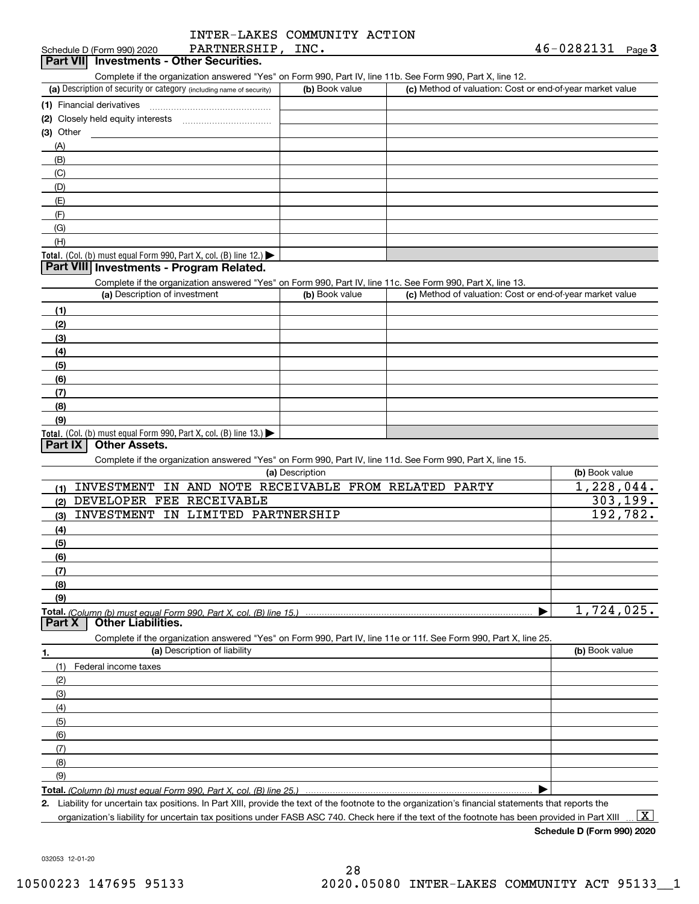| INTER-LAKES COMMUNITY ACTION |  |
|------------------------------|--|
|                              |  |

| PARTNERSHIP, INC.<br>Schedule D (Form 990) 2020                                                                                                      |                 |                                                           | 46-0282131<br>Page $3$ |
|------------------------------------------------------------------------------------------------------------------------------------------------------|-----------------|-----------------------------------------------------------|------------------------|
| <b>Part VII</b> Investments - Other Securities.                                                                                                      |                 |                                                           |                        |
| Complete if the organization answered "Yes" on Form 990, Part IV, line 11b. See Form 990, Part X, line 12.                                           |                 |                                                           |                        |
| (a) Description of security or category (including name of security)                                                                                 | (b) Book value  | (c) Method of valuation: Cost or end-of-year market value |                        |
| (1) Financial derivatives                                                                                                                            |                 |                                                           |                        |
|                                                                                                                                                      |                 |                                                           |                        |
| (3) Other                                                                                                                                            |                 |                                                           |                        |
| (A)                                                                                                                                                  |                 |                                                           |                        |
| (B)                                                                                                                                                  |                 |                                                           |                        |
| (C)                                                                                                                                                  |                 |                                                           |                        |
| (D)                                                                                                                                                  |                 |                                                           |                        |
| (E)                                                                                                                                                  |                 |                                                           |                        |
| (F)                                                                                                                                                  |                 |                                                           |                        |
| (G)                                                                                                                                                  |                 |                                                           |                        |
| (H)                                                                                                                                                  |                 |                                                           |                        |
| Total. (Col. (b) must equal Form 990, Part X, col. (B) line 12.) $\blacktriangleright$                                                               |                 |                                                           |                        |
| Part VIII Investments - Program Related.                                                                                                             |                 |                                                           |                        |
| Complete if the organization answered "Yes" on Form 990, Part IV, line 11c. See Form 990, Part X, line 13.                                           |                 |                                                           |                        |
| (a) Description of investment                                                                                                                        | (b) Book value  | (c) Method of valuation: Cost or end-of-year market value |                        |
| (1)                                                                                                                                                  |                 |                                                           |                        |
| (2)                                                                                                                                                  |                 |                                                           |                        |
| (3)                                                                                                                                                  |                 |                                                           |                        |
| (4)                                                                                                                                                  |                 |                                                           |                        |
| (5)                                                                                                                                                  |                 |                                                           |                        |
| (6)                                                                                                                                                  |                 |                                                           |                        |
| (7)                                                                                                                                                  |                 |                                                           |                        |
| (8)                                                                                                                                                  |                 |                                                           |                        |
| (9)                                                                                                                                                  |                 |                                                           |                        |
| Total. (Col. (b) must equal Form 990, Part X, col. (B) line 13.)                                                                                     |                 |                                                           |                        |
| Part IX<br><b>Other Assets.</b>                                                                                                                      |                 |                                                           |                        |
| Complete if the organization answered "Yes" on Form 990, Part IV, line 11d. See Form 990, Part X, line 15.                                           |                 |                                                           |                        |
|                                                                                                                                                      | (a) Description |                                                           | (b) Book value         |
| INVESTMENT IN AND NOTE RECEIVABLE FROM RELATED PARTY<br>(1)                                                                                          |                 |                                                           | 1,228,044.             |
| DEVELOPER FEE RECEIVABLE<br>(2)                                                                                                                      |                 |                                                           | 303, 199.              |
| <b>INVESTMENT</b><br>IN LIMITED PARTNERSHIP<br>(3)                                                                                                   |                 |                                                           | 192, 782.              |
| (4)                                                                                                                                                  |                 |                                                           |                        |
| (5)                                                                                                                                                  |                 |                                                           |                        |
| (6)                                                                                                                                                  |                 |                                                           |                        |
| (7)                                                                                                                                                  |                 |                                                           |                        |
| (8)                                                                                                                                                  |                 |                                                           |                        |
| (9)                                                                                                                                                  |                 |                                                           |                        |
| <b>Total.</b> (Column (b) must equal Form 990. Part X. col. (B) line 15.) ………………………………………                                                            |                 |                                                           | 1,724,025.             |
| <b>Other Liabilities.</b><br>Part X                                                                                                                  |                 |                                                           |                        |
| Complete if the organization answered "Yes" on Form 990, Part IV, line 11e or 11f. See Form 990, Part X, line 25.                                    |                 |                                                           |                        |
| (a) Description of liability<br>1.                                                                                                                   |                 |                                                           | (b) Book value         |
| (1)<br>Federal income taxes                                                                                                                          |                 |                                                           |                        |
| (2)                                                                                                                                                  |                 |                                                           |                        |
|                                                                                                                                                      |                 |                                                           |                        |
| (3)                                                                                                                                                  |                 |                                                           |                        |
| (4)                                                                                                                                                  |                 |                                                           |                        |
| (5)                                                                                                                                                  |                 |                                                           |                        |
| (6)                                                                                                                                                  |                 |                                                           |                        |
| (7)                                                                                                                                                  |                 |                                                           |                        |
| (8)                                                                                                                                                  |                 |                                                           |                        |
| (9)                                                                                                                                                  |                 |                                                           |                        |
| Total. (Column (b) must equal Form 990, Part X, col. (B) line 25.)                                                                                   |                 |                                                           |                        |
| 2. Liability for uncertain tax positions. In Part XIII, provide the text of the footnote to the organization's financial statements that reports the |                 |                                                           |                        |

organization's liability for uncertain tax positions under FASB ASC 740. Check here if the text of the footnote has been provided in Part XIII  $\,\ldots\,$   $\overline{\rm X}$ 

**Schedule D (Form 990) 2020**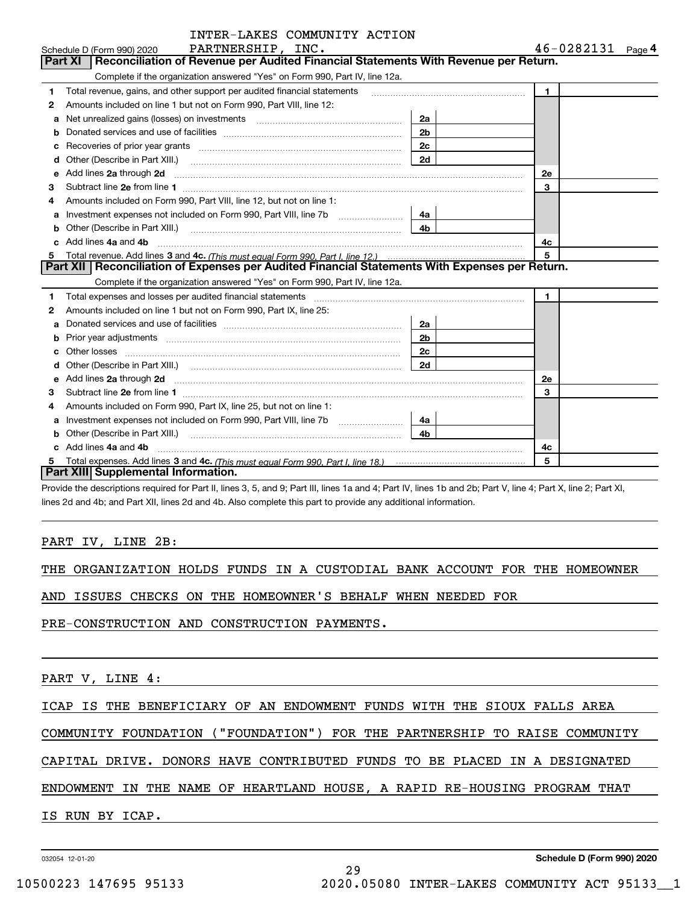|   | INTER-LAKES COMMUNITY ACTION                                                                                                                                                                                                       |                |                       |
|---|------------------------------------------------------------------------------------------------------------------------------------------------------------------------------------------------------------------------------------|----------------|-----------------------|
|   | PARTNERSHIP, INC.<br>Schedule D (Form 990) 2020                                                                                                                                                                                    |                | $46 - 0282131$ Page 4 |
|   | Reconciliation of Revenue per Audited Financial Statements With Revenue per Return.<br><b>Part XI</b>                                                                                                                              |                |                       |
|   | Complete if the organization answered "Yes" on Form 990, Part IV, line 12a.                                                                                                                                                        |                |                       |
| 1 | Total revenue, gains, and other support per audited financial statements                                                                                                                                                           |                | $\mathbf{1}$          |
| 2 | Amounts included on line 1 but not on Form 990, Part VIII, line 12:                                                                                                                                                                |                |                       |
| a |                                                                                                                                                                                                                                    | 2a             |                       |
| b |                                                                                                                                                                                                                                    | 2 <sub>b</sub> |                       |
| c |                                                                                                                                                                                                                                    | 2c             |                       |
|   | Other (Describe in Part XIII.) <b>Construction Construction</b> Chern Construction Chern Chern Chern Chern Chern Chern                                                                                                             | 2d             |                       |
| e | Add lines 2a through 2d <b>manufactures</b> and contained the state of the state of the state of the state of the state of the state of the state of the state of the state of the state of the state of the state of the state of |                | 2e                    |
| З | Subtract line 2e from line 1                                                                                                                                                                                                       |                | 3                     |
| 4 | Amounts included on Form 990, Part VIII, line 12, but not on line 1:                                                                                                                                                               |                |                       |
| a |                                                                                                                                                                                                                                    | 4a l           |                       |
| b | Other (Describe in Part XIII.) <b>Construction Contract Construction</b> Chemistry Chemistry Chemistry Chemistry Chemistry                                                                                                         | 4b.            |                       |
|   | Add lines 4a and 4b                                                                                                                                                                                                                |                | 4c                    |
|   |                                                                                                                                                                                                                                    |                | 5                     |
|   | Part XII   Reconciliation of Expenses per Audited Financial Statements With Expenses per Return.                                                                                                                                   |                |                       |
|   | Complete if the organization answered "Yes" on Form 990, Part IV, line 12a.                                                                                                                                                        |                |                       |
| 1 | Total expenses and losses per audited financial statements [11] [12] contain an according to the statements [11] [12] and the statements [12] and the statements [12] and the statements and the statements and the statements     |                | $\mathbf{1}$          |
| 2 | Amounts included on line 1 but not on Form 990, Part IX, line 25:                                                                                                                                                                  |                |                       |
| a |                                                                                                                                                                                                                                    | 2a             |                       |
|   |                                                                                                                                                                                                                                    | 2 <sub>b</sub> |                       |
|   |                                                                                                                                                                                                                                    | 2c             |                       |
| d |                                                                                                                                                                                                                                    | 2d             |                       |
| e | Add lines 2a through 2d <b>must be a constructed as the constant of the construction</b> and the state of the state of the state of the state of the state of the state of the state of the state of the state of the state of the |                | 2e                    |
| з |                                                                                                                                                                                                                                    |                | 3                     |
| 4 | Amounts included on Form 990, Part IX, line 25, but not on line 1:                                                                                                                                                                 |                |                       |
| a |                                                                                                                                                                                                                                    | 4a             |                       |
|   | Other (Describe in Part XIII.)                                                                                                                                                                                                     | 4 <sub>b</sub> |                       |
|   | c Add lines 4a and 4b                                                                                                                                                                                                              |                | 4c                    |
| 5 |                                                                                                                                                                                                                                    |                | 5                     |
|   | Part XIII Supplemental Information.                                                                                                                                                                                                |                |                       |

ING COLOGIAL SOMEON

Provide the descriptions required for Part II, lines 3, 5, and 9; Part III, lines 1a and 4; Part IV, lines 1b and 2b; Part V, line 4; Part X, line 2; Part XI, lines 2d and 4b; and Part XII, lines 2d and 4b. Also complete this part to provide any additional information.

### PART IV, LINE 2B:

|  | THE ORGANIZATION HOLDS FUNDS IN A CUSTODIAL BANK ACCOUNT FOR THE HOMEOWNER |  |  |  |  |  |  |  |  |  |  |
|--|----------------------------------------------------------------------------|--|--|--|--|--|--|--|--|--|--|
|--|----------------------------------------------------------------------------|--|--|--|--|--|--|--|--|--|--|

AND ISSUES CHECKS ON THE HOMEOWNER'S BEHALF WHEN NEEDED FOR

PRE-CONSTRUCTION AND CONSTRUCTION PAYMENTS.

PART V, LINE 4:

ICAP IS THE BENEFICIARY OF AN ENDOWMENT FUNDS WITH THE SIOUX FALLS AREA

COMMUNITY FOUNDATION ("FOUNDATION") FOR THE PARTNERSHIP TO RAISE COMMUNITY

CAPITAL DRIVE. DONORS HAVE CONTRIBUTED FUNDS TO BE PLACED IN A DESIGNATED

ENDOWMENT IN THE NAME OF HEARTLAND HOUSE, A RAPID RE-HOUSING PROGRAM THAT

29

IS RUN BY ICAP.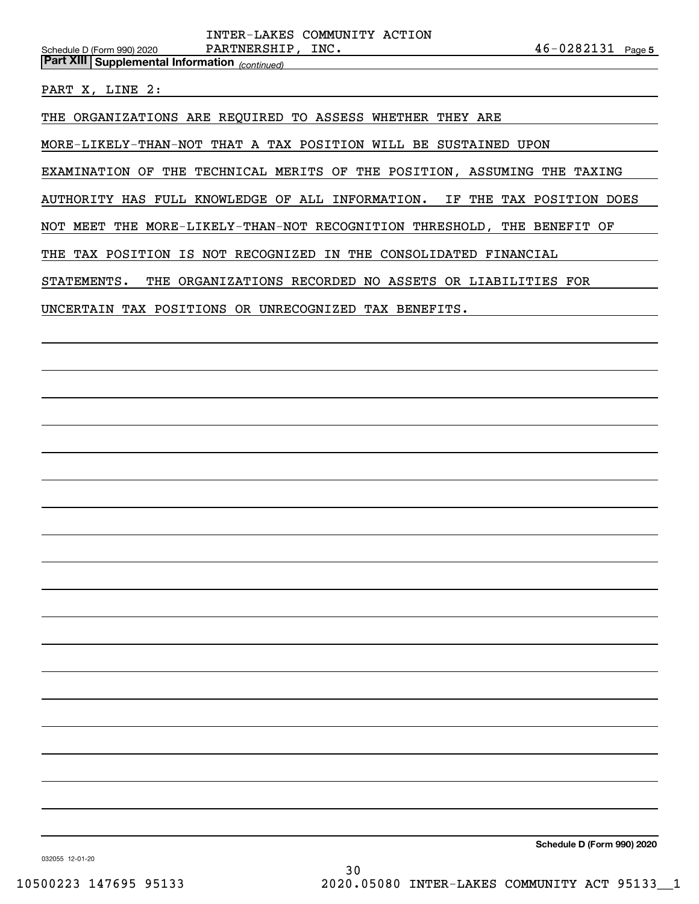*(continued)* **Part XIII Supplemental Information** 

PART X, LINE 2:

THE ORGANIZATIONS ARE REQUIRED TO ASSESS WHETHER THEY ARE

MORE-LIKELY-THAN-NOT THAT A TAX POSITION WILL BE SUSTAINED UPON

EXAMINATION OF THE TECHNICAL MERITS OF THE POSITION, ASSUMING THE TAXING

AUTHORITY HAS FULL KNOWLEDGE OF ALL INFORMATION. IF THE TAX POSITION DOES

NOT MEET THE MORE-LIKELY-THAN-NOT RECOGNITION THRESHOLD, THE BENEFIT OF

THE TAX POSITION IS NOT RECOGNIZED IN THE CONSOLIDATED FINANCIAL

STATEMENTS. THE ORGANIZATIONS RECORDED NO ASSETS OR LIABILITIES FOR

UNCERTAIN TAX POSITIONS OR UNRECOGNIZED TAX BENEFITS.

**Schedule D (Form 990) 2020**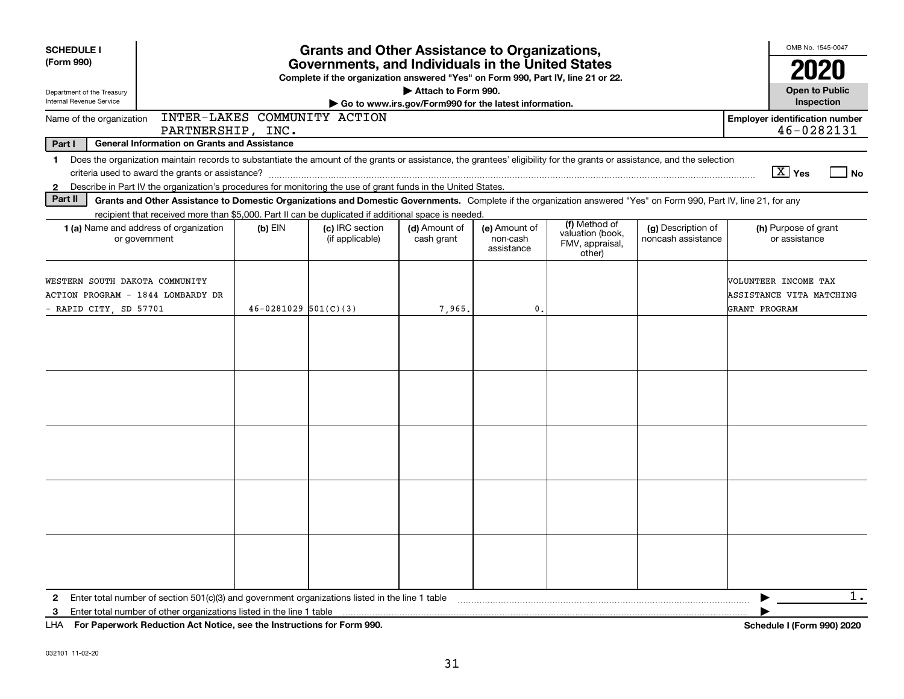| <b>SCHEDULE I</b><br>(Form 990)                                                                                                                                                                                                                                                                                                                                                | <b>Grants and Other Assistance to Organizations,</b><br>Governments, and Individuals in the United States<br>Complete if the organization answered "Yes" on Form 990, Part IV, line 21 or 22. |                                    |                                                                              |                                         |                                                                |                                          |                                                                                                                                                                                                                                                                                                                                          |  |  |  |
|--------------------------------------------------------------------------------------------------------------------------------------------------------------------------------------------------------------------------------------------------------------------------------------------------------------------------------------------------------------------------------|-----------------------------------------------------------------------------------------------------------------------------------------------------------------------------------------------|------------------------------------|------------------------------------------------------------------------------|-----------------------------------------|----------------------------------------------------------------|------------------------------------------|------------------------------------------------------------------------------------------------------------------------------------------------------------------------------------------------------------------------------------------------------------------------------------------------------------------------------------------|--|--|--|
| Department of the Treasury<br>Internal Revenue Service                                                                                                                                                                                                                                                                                                                         |                                                                                                                                                                                               |                                    | Attach to Form 990.<br>Go to www.irs.gov/Form990 for the latest information. |                                         |                                                                |                                          | <b>Open to Public</b><br>Inspection                                                                                                                                                                                                                                                                                                      |  |  |  |
| Name of the organization                                                                                                                                                                                                                                                                                                                                                       | INTER-LAKES COMMUNITY ACTION<br>PARTNERSHIP, INC.                                                                                                                                             |                                    |                                                                              |                                         |                                                                |                                          | <b>Employer identification number</b><br>46-0282131                                                                                                                                                                                                                                                                                      |  |  |  |
| Part I<br><b>General Information on Grants and Assistance</b><br>Does the organization maintain records to substantiate the amount of the grants or assistance, the grantees' eligibility for the grants or assistance, and the selection<br>$\mathbf 1$<br>Describe in Part IV the organization's procedures for monitoring the use of grant funds in the United States.<br>2 |                                                                                                                                                                                               |                                    |                                                                              |                                         |                                                                |                                          | $\boxed{\text{X}}$ Yes<br>⊿ No                                                                                                                                                                                                                                                                                                           |  |  |  |
| Part II<br>Grants and Other Assistance to Domestic Organizations and Domestic Governments. Complete if the organization answered "Yes" on Form 990, Part IV, line 21, for any                                                                                                                                                                                                  |                                                                                                                                                                                               |                                    |                                                                              |                                         |                                                                |                                          |                                                                                                                                                                                                                                                                                                                                          |  |  |  |
| recipient that received more than \$5,000. Part II can be duplicated if additional space is needed.<br>1 (a) Name and address of organization<br>or government                                                                                                                                                                                                                 | $(b)$ EIN                                                                                                                                                                                     | (c) IRC section<br>(if applicable) | (d) Amount of<br>cash grant                                                  | (e) Amount of<br>non-cash<br>assistance | (f) Method of<br>valuation (book,<br>FMV, appraisal,<br>other) | (g) Description of<br>noncash assistance | (h) Purpose of grant<br>or assistance                                                                                                                                                                                                                                                                                                    |  |  |  |
| WESTERN SOUTH DAKOTA COMMUNITY<br>ACTION PROGRAM - 1844 LOMBARDY DR<br>- RAPID CITY, SD 57701                                                                                                                                                                                                                                                                                  | $46 - 0281029$ 501(C)(3)                                                                                                                                                                      |                                    | 7,965.                                                                       | $\mathbf 0$ .                           |                                                                |                                          | VOLUNTEER INCOME TAX<br>ASSISTANCE VITA MATCHING<br>GRANT PROGRAM                                                                                                                                                                                                                                                                        |  |  |  |
|                                                                                                                                                                                                                                                                                                                                                                                |                                                                                                                                                                                               |                                    |                                                                              |                                         |                                                                |                                          |                                                                                                                                                                                                                                                                                                                                          |  |  |  |
|                                                                                                                                                                                                                                                                                                                                                                                |                                                                                                                                                                                               |                                    |                                                                              |                                         |                                                                |                                          |                                                                                                                                                                                                                                                                                                                                          |  |  |  |
|                                                                                                                                                                                                                                                                                                                                                                                |                                                                                                                                                                                               |                                    |                                                                              |                                         |                                                                |                                          |                                                                                                                                                                                                                                                                                                                                          |  |  |  |
|                                                                                                                                                                                                                                                                                                                                                                                |                                                                                                                                                                                               |                                    |                                                                              |                                         |                                                                |                                          |                                                                                                                                                                                                                                                                                                                                          |  |  |  |
|                                                                                                                                                                                                                                                                                                                                                                                |                                                                                                                                                                                               |                                    |                                                                              |                                         |                                                                |                                          |                                                                                                                                                                                                                                                                                                                                          |  |  |  |
| 2<br>3.                                                                                                                                                                                                                                                                                                                                                                        |                                                                                                                                                                                               |                                    |                                                                              |                                         |                                                                |                                          | 1.<br>$\mathbf{r}$ $\mathbf{r}$ $\mathbf{r}$ $\mathbf{r}$ $\mathbf{r}$ $\mathbf{r}$ $\mathbf{r}$ $\mathbf{r}$ $\mathbf{r}$ $\mathbf{r}$ $\mathbf{r}$ $\mathbf{r}$ $\mathbf{r}$ $\mathbf{r}$ $\mathbf{r}$ $\mathbf{r}$ $\mathbf{r}$ $\mathbf{r}$ $\mathbf{r}$ $\mathbf{r}$ $\mathbf{r}$ $\mathbf{r}$ $\mathbf{r}$ $\mathbf{r}$ $\mathbf{$ |  |  |  |

**For Paperwork Reduction Act Notice, see the Instructions for Form 990. Schedule I (Form 990) 2020** LHA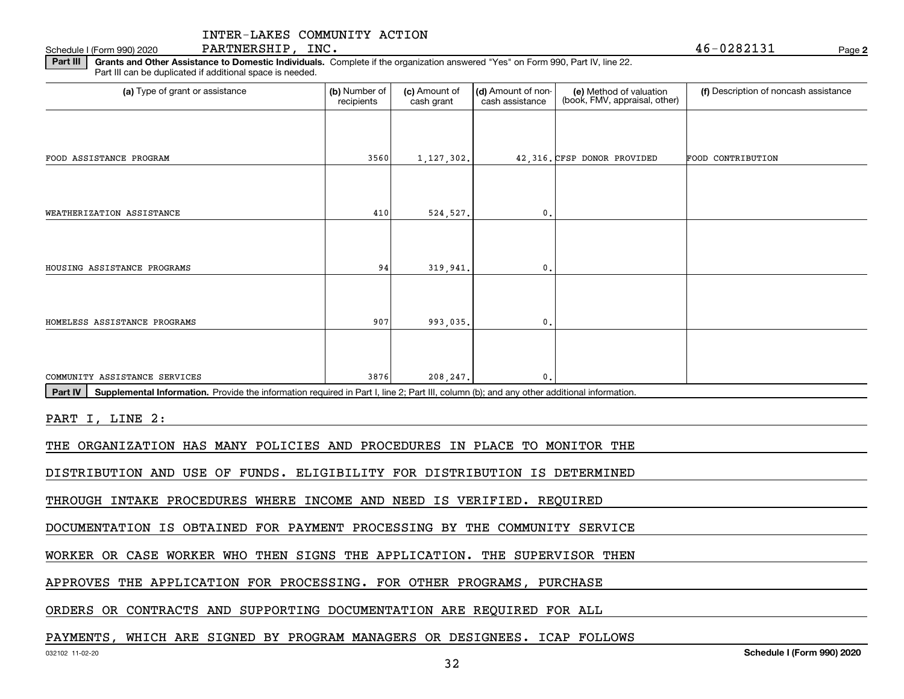**2**Schedule I (Form 990) 2020  $\texttt{PARTNERSHIP}$  ,  $\texttt{INC.}$  and the contract of the contract of the contract of the contract of the contract of the contract of the contract of the contract of the contract of the contract of

**Part III | Grants and Other Assistance to Domestic Individuals. Complete if the organization answered "Yes" on Form 990, Part IV, line 22.** Part III can be duplicated if additional space is needed.

| (a) Type of grant or assistance                                                                                                                      | (b) Number of<br>recipients | (c) Amount of<br>cash grant | (d) Amount of non-<br>cash assistance | (e) Method of valuation<br>(book, FMV, appraisal, other) | (f) Description of noncash assistance |
|------------------------------------------------------------------------------------------------------------------------------------------------------|-----------------------------|-----------------------------|---------------------------------------|----------------------------------------------------------|---------------------------------------|
|                                                                                                                                                      |                             |                             |                                       |                                                          |                                       |
| FOOD ASSISTANCE PROGRAM                                                                                                                              | 3560                        | 1,127,302.                  |                                       | 42,316. CFSP DONOR PROVIDED                              | FOOD CONTRIBUTION                     |
|                                                                                                                                                      |                             |                             |                                       |                                                          |                                       |
| WEATHERIZATION ASSISTANCE                                                                                                                            | 410                         | 524,527.                    | 0.                                    |                                                          |                                       |
|                                                                                                                                                      |                             |                             |                                       |                                                          |                                       |
| HOUSING ASSISTANCE PROGRAMS                                                                                                                          | 94                          | 319,941.                    | 0.                                    |                                                          |                                       |
| HOMELESS ASSISTANCE PROGRAMS                                                                                                                         | 907                         | 993,035.                    | 0.                                    |                                                          |                                       |
|                                                                                                                                                      |                             |                             |                                       |                                                          |                                       |
| COMMUNITY ASSISTANCE SERVICES                                                                                                                        | 3876                        | 208,247.                    | 0.                                    |                                                          |                                       |
| Supplemental Information. Provide the information required in Part I, line 2; Part III, column (b); and any other additional information.<br>Part IV |                             |                             |                                       |                                                          |                                       |
| PART I, LINE 2:                                                                                                                                      |                             |                             |                                       |                                                          |                                       |
| THE ORGANIZATION HAS MANY POLICIES AND PROCEDURES IN PLACE TO MONITOR THE                                                                            |                             |                             |                                       |                                                          |                                       |
| DISTRIBUTION AND USE OF FUNDS. ELIGIBILITY FOR DISTRIBUTION IS DETERMINED                                                                            |                             |                             |                                       |                                                          |                                       |
| THROUGH INTAKE PROCEDURES WHERE INCOME AND NEED IS VERIFIED. REQUIRED                                                                                |                             |                             |                                       |                                                          |                                       |
| DOCUMENTATION IS OBTAINED FOR PAYMENT PROCESSING BY THE COMMUNITY SERVICE                                                                            |                             |                             |                                       |                                                          |                                       |
| WORKER OR CASE WORKER WHO THEN SIGNS THE APPLICATION. THE SUPERVISOR THEN                                                                            |                             |                             |                                       |                                                          |                                       |

APPROVES THE APPLICATION FOR PROCESSING. FOR OTHER PROGRAMS, PURCHASE

ORDERS OR CONTRACTS AND SUPPORTING DOCUMENTATION ARE REQUIRED FOR ALL

### PAYMENTS, WHICH ARE SIGNED BY PROGRAM MANAGERS OR DESIGNEES. ICAP FOLLOWS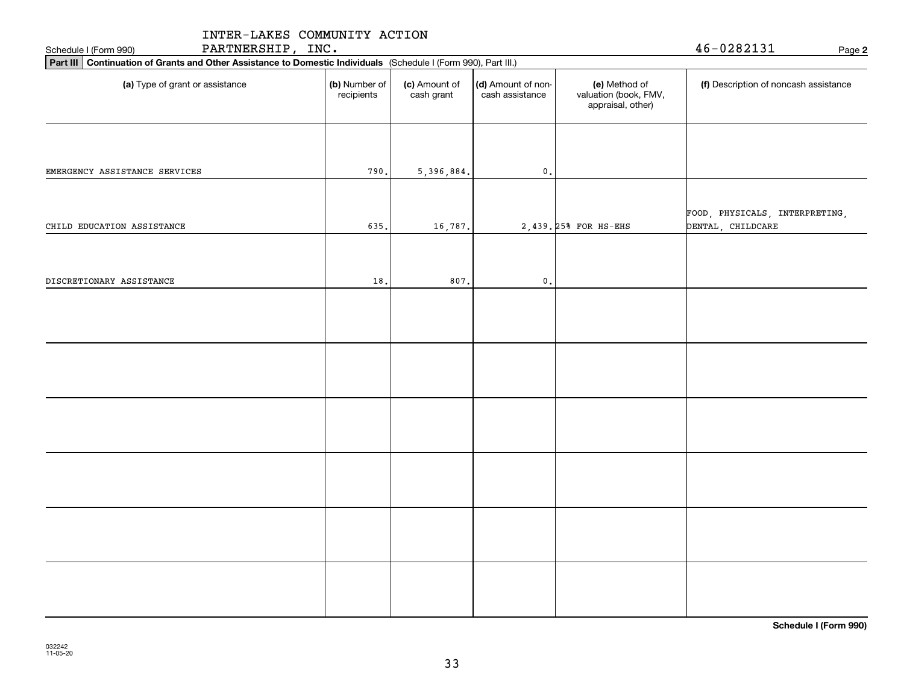| INTER-LAKES COMMUNITY ACTION                                                                                    |                             |                             |                                       |                                                             |                                                     |
|-----------------------------------------------------------------------------------------------------------------|-----------------------------|-----------------------------|---------------------------------------|-------------------------------------------------------------|-----------------------------------------------------|
| PARTNERSHIP, INC.<br>Schedule I (Form 990)                                                                      |                             |                             |                                       |                                                             | 46-0282131<br>Page 2                                |
| Part III Continuation of Grants and Other Assistance to Domestic Individuals (Schedule I (Form 990), Part III.) |                             |                             |                                       |                                                             |                                                     |
| (a) Type of grant or assistance                                                                                 | (b) Number of<br>recipients | (c) Amount of<br>cash grant | (d) Amount of non-<br>cash assistance | (e) Method of<br>valuation (book, FMV,<br>appraisal, other) | (f) Description of noncash assistance               |
| EMERGENCY ASSISTANCE SERVICES                                                                                   | 790.                        | 5,396,884.                  | $\mathfrak o$ .                       |                                                             |                                                     |
|                                                                                                                 |                             |                             |                                       |                                                             |                                                     |
| CHILD EDUCATION ASSISTANCE                                                                                      | 635.                        | 16,787.                     |                                       | 2,439. 25% FOR HS-EHS                                       | FOOD, PHYSICALS, INTERPRETING,<br>DENTAL, CHILDCARE |
| DISCRETIONARY ASSISTANCE                                                                                        | 18.                         | 807.                        | $\mathbf{0}$ .                        |                                                             |                                                     |
|                                                                                                                 |                             |                             |                                       |                                                             |                                                     |
|                                                                                                                 |                             |                             |                                       |                                                             |                                                     |
|                                                                                                                 |                             |                             |                                       |                                                             |                                                     |
|                                                                                                                 |                             |                             |                                       |                                                             |                                                     |
|                                                                                                                 |                             |                             |                                       |                                                             |                                                     |
|                                                                                                                 |                             |                             |                                       |                                                             |                                                     |

**Schedule I (Form 990)**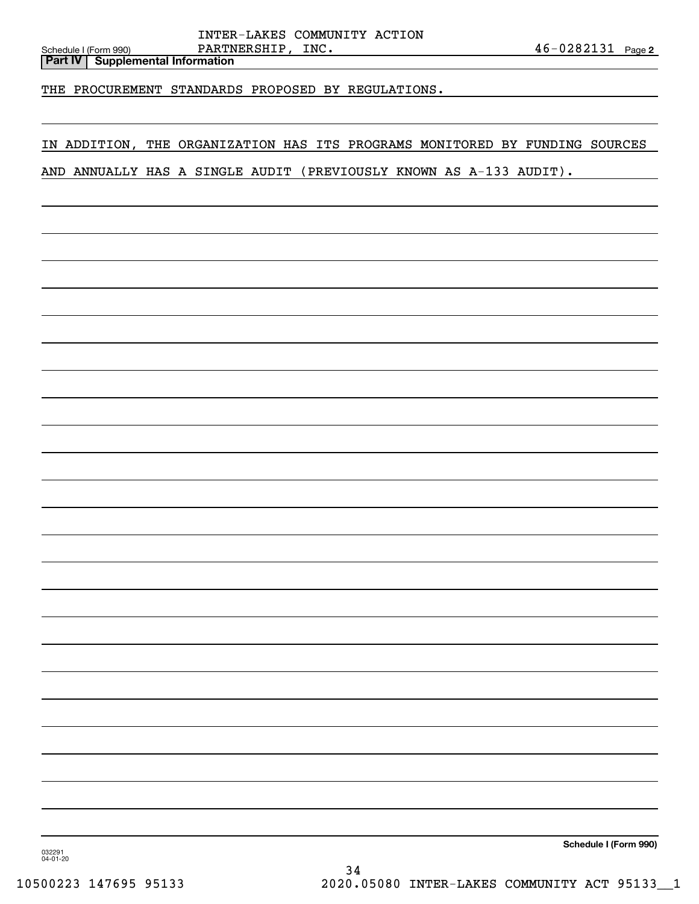**Part IV Supplemental Information**

THE PROCUREMENT STANDARDS PROPOSED BY REGULATIONS.

# IN ADDITION, THE ORGANIZATION HAS ITS PROGRAMS MONITORED BY FUNDING SOURCES

AND ANNUALLY HAS A SINGLE AUDIT (PREVIOUSLY KNOWN AS A-133 AUDIT).

**Schedule I (Form 990)**

032291 04-01-20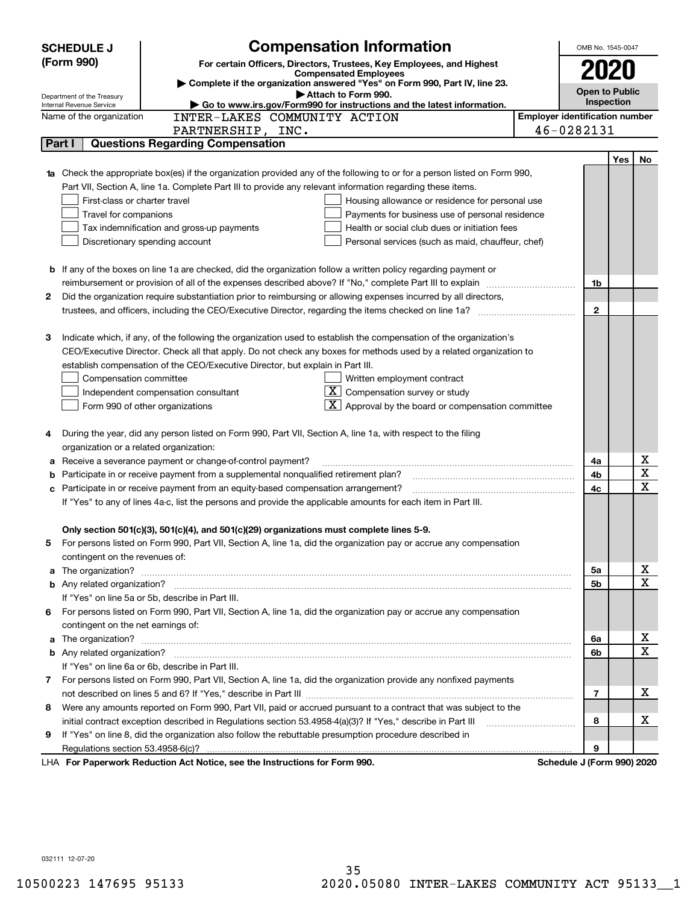|   | <b>SCHEDULE J</b>                       | <b>Compensation Information</b>                                                                                                                                                                                                      | OMB No. 1545-0047                     |     |    |
|---|-----------------------------------------|--------------------------------------------------------------------------------------------------------------------------------------------------------------------------------------------------------------------------------------|---------------------------------------|-----|----|
|   | (Form 990)                              | For certain Officers, Directors, Trustees, Key Employees, and Highest                                                                                                                                                                |                                       |     |    |
|   |                                         | <b>Compensated Employees</b><br>Complete if the organization answered "Yes" on Form 990, Part IV, line 23.                                                                                                                           | 2020                                  |     |    |
|   | Department of the Treasury              | Attach to Form 990.                                                                                                                                                                                                                  | <b>Open to Public</b>                 |     |    |
|   | Internal Revenue Service                | Go to www.irs.gov/Form990 for instructions and the latest information.                                                                                                                                                               | Inspection                            |     |    |
|   | Name of the organization                | INTER-LAKES COMMUNITY ACTION                                                                                                                                                                                                         | <b>Employer identification number</b> |     |    |
|   |                                         | PARTNERSHIP, INC.                                                                                                                                                                                                                    | 46-0282131                            |     |    |
|   | Part I                                  | <b>Questions Regarding Compensation</b>                                                                                                                                                                                              |                                       |     |    |
|   |                                         |                                                                                                                                                                                                                                      |                                       | Yes | No |
|   |                                         | Check the appropriate box(es) if the organization provided any of the following to or for a person listed on Form 990,                                                                                                               |                                       |     |    |
|   |                                         | Part VII, Section A, line 1a. Complete Part III to provide any relevant information regarding these items.                                                                                                                           |                                       |     |    |
|   | First-class or charter travel           | Housing allowance or residence for personal use                                                                                                                                                                                      |                                       |     |    |
|   | Travel for companions                   | Payments for business use of personal residence                                                                                                                                                                                      |                                       |     |    |
|   |                                         | Tax indemnification and gross-up payments<br>Health or social club dues or initiation fees                                                                                                                                           |                                       |     |    |
|   |                                         | Discretionary spending account<br>Personal services (such as maid, chauffeur, chef)                                                                                                                                                  |                                       |     |    |
|   |                                         | <b>b</b> If any of the boxes on line 1a are checked, did the organization follow a written policy regarding payment or                                                                                                               |                                       |     |    |
|   |                                         | reimbursement or provision of all of the expenses described above? If "No," complete Part III to explain                                                                                                                             | 1b                                    |     |    |
| 2 |                                         | Did the organization require substantiation prior to reimbursing or allowing expenses incurred by all directors,                                                                                                                     |                                       |     |    |
|   |                                         |                                                                                                                                                                                                                                      | $\mathbf{2}$                          |     |    |
|   |                                         |                                                                                                                                                                                                                                      |                                       |     |    |
| З |                                         | Indicate which, if any, of the following the organization used to establish the compensation of the organization's                                                                                                                   |                                       |     |    |
|   |                                         | CEO/Executive Director. Check all that apply. Do not check any boxes for methods used by a related organization to                                                                                                                   |                                       |     |    |
|   |                                         | establish compensation of the CEO/Executive Director, but explain in Part III.                                                                                                                                                       |                                       |     |    |
|   | Compensation committee                  | Written employment contract                                                                                                                                                                                                          |                                       |     |    |
|   |                                         | $X$ Compensation survey or study<br>Independent compensation consultant                                                                                                                                                              |                                       |     |    |
|   |                                         | $\overline{\mathbf{X}}$ Approval by the board or compensation committee<br>Form 990 of other organizations                                                                                                                           |                                       |     |    |
|   |                                         |                                                                                                                                                                                                                                      |                                       |     |    |
| 4 |                                         | During the year, did any person listed on Form 990, Part VII, Section A, line 1a, with respect to the filing                                                                                                                         |                                       |     |    |
|   | organization or a related organization: |                                                                                                                                                                                                                                      |                                       |     |    |
| а |                                         | Receive a severance payment or change-of-control payment?                                                                                                                                                                            | 4a                                    |     | х  |
| b |                                         | Participate in or receive payment from a supplemental nonqualified retirement plan?                                                                                                                                                  | 4b                                    |     | X  |
| c |                                         | Participate in or receive payment from an equity-based compensation arrangement?                                                                                                                                                     | 4c                                    |     | X  |
|   |                                         | If "Yes" to any of lines 4a-c, list the persons and provide the applicable amounts for each item in Part III.                                                                                                                        |                                       |     |    |
|   |                                         |                                                                                                                                                                                                                                      |                                       |     |    |
|   |                                         | Only section 501(c)(3), 501(c)(4), and 501(c)(29) organizations must complete lines 5-9.                                                                                                                                             |                                       |     |    |
|   |                                         | For persons listed on Form 990, Part VII, Section A, line 1a, did the organization pay or accrue any compensation                                                                                                                    |                                       |     |    |
|   | contingent on the revenues of:          |                                                                                                                                                                                                                                      |                                       |     |    |
| a |                                         | The organization? <b>With the contract of the contract of the contract of the contract of the contract of the contract of the contract of the contract of the contract of the contract of the contract of the contract of the co</b> | 5a                                    |     | x  |
|   |                                         |                                                                                                                                                                                                                                      | 5b                                    |     | X  |
|   |                                         | If "Yes" on line 5a or 5b, describe in Part III.                                                                                                                                                                                     |                                       |     |    |
|   |                                         | 6 For persons listed on Form 990, Part VII, Section A, line 1a, did the organization pay or accrue any compensation                                                                                                                  |                                       |     |    |
|   | contingent on the net earnings of:      |                                                                                                                                                                                                                                      |                                       |     |    |
| a |                                         |                                                                                                                                                                                                                                      | 6a                                    |     | x  |
|   |                                         |                                                                                                                                                                                                                                      | 6b                                    |     | X  |
|   |                                         | If "Yes" on line 6a or 6b, describe in Part III.                                                                                                                                                                                     |                                       |     |    |
|   |                                         | 7 For persons listed on Form 990, Part VII, Section A, line 1a, did the organization provide any nonfixed payments                                                                                                                   |                                       |     |    |
|   |                                         |                                                                                                                                                                                                                                      | $\overline{7}$                        |     | х  |
|   |                                         | 8 Were any amounts reported on Form 990, Part VII, paid or accrued pursuant to a contract that was subject to the                                                                                                                    |                                       |     |    |
|   |                                         | initial contract exception described in Regulations section 53.4958-4(a)(3)? If "Yes," describe in Part III                                                                                                                          | 8                                     |     | х  |
| 9 |                                         | If "Yes" on line 8, did the organization also follow the rebuttable presumption procedure described in                                                                                                                               |                                       |     |    |
|   | Regulations section 53.4958-6(c)?       |                                                                                                                                                                                                                                      | 9                                     |     |    |
|   |                                         | LHA For Paperwork Reduction Act Notice, see the Instructions for Form 990.                                                                                                                                                           | Schedule J (Form 990) 2020            |     |    |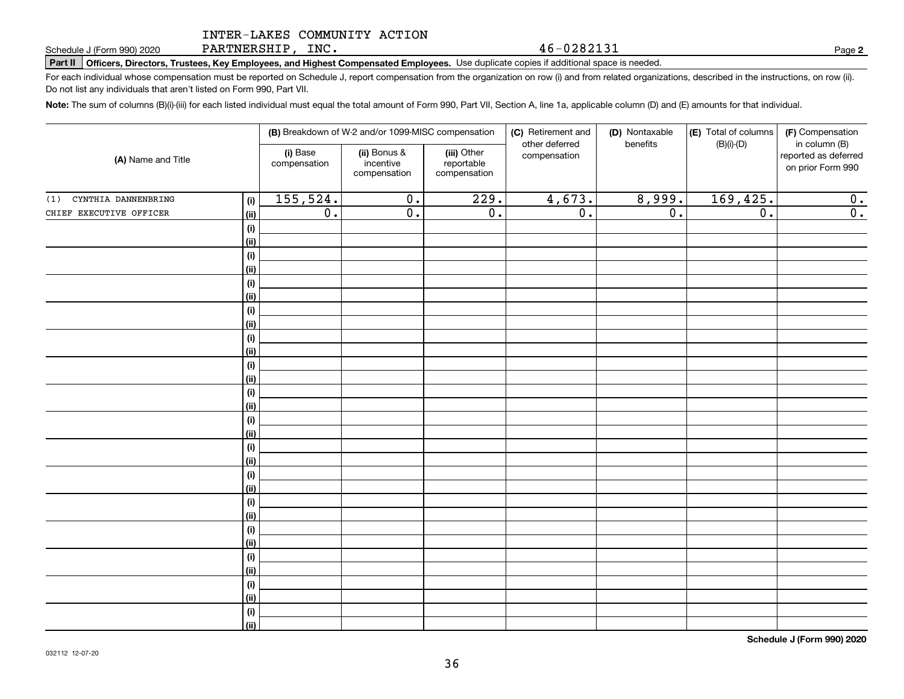PARTNERSHIP, INC.

**Part II Officers, Directors, Trustees, Key Employees, and Highest Compensated Employees.**  Schedule J (Form 990) 2020 Page Use duplicate copies if additional space is needed.

For each individual whose compensation must be reported on Schedule J, report compensation from the organization on row (i) and from related organizations, described in the instructions, on row (ii). Do not list any individuals that aren't listed on Form 990, Part VII.

**Note:**  The sum of columns (B)(i)-(iii) for each listed individual must equal the total amount of Form 990, Part VII, Section A, line 1a, applicable column (D) and (E) amounts for that individual.

| (A) Name and Title         |             |                          | (B) Breakdown of W-2 and/or 1099-MISC compensation |                                           | (C) Retirement and<br>other deferred | (D) Nontaxable<br>benefits | (E) Total of columns<br>$(B)(i)-(D)$ |                                                            |  |
|----------------------------|-------------|--------------------------|----------------------------------------------------|-------------------------------------------|--------------------------------------|----------------------------|--------------------------------------|------------------------------------------------------------|--|
|                            |             | (i) Base<br>compensation | (ii) Bonus &<br>incentive<br>compensation          | (iii) Other<br>reportable<br>compensation | compensation                         |                            |                                      | in column (B)<br>reported as deferred<br>on prior Form 990 |  |
| CYNTHIA DANNENBRING<br>(1) | (i)         | 155, 524.                | $\overline{0}$ .                                   | 229.                                      | 4,673.                               | 8,999.                     | 169, 425.                            | 0.                                                         |  |
| CHIEF EXECUTIVE OFFICER    | (ii)        | $\overline{0}$ .         | $\overline{0}$ .                                   | $\overline{0}$ .                          | $\overline{0}$ .                     | $\overline{0}$ .           | $\overline{0}$ .                     | $\overline{0}$ .                                           |  |
|                            | (i)         |                          |                                                    |                                           |                                      |                            |                                      |                                                            |  |
|                            | (ii)        |                          |                                                    |                                           |                                      |                            |                                      |                                                            |  |
|                            | (i)         |                          |                                                    |                                           |                                      |                            |                                      |                                                            |  |
|                            | (ii)        |                          |                                                    |                                           |                                      |                            |                                      |                                                            |  |
|                            | (i)         |                          |                                                    |                                           |                                      |                            |                                      |                                                            |  |
|                            | (ii)        |                          |                                                    |                                           |                                      |                            |                                      |                                                            |  |
|                            | $(\sf{i})$  |                          |                                                    |                                           |                                      |                            |                                      |                                                            |  |
|                            | (ii)        |                          |                                                    |                                           |                                      |                            |                                      |                                                            |  |
|                            | (i)<br>(ii) |                          |                                                    |                                           |                                      |                            |                                      |                                                            |  |
|                            | (i)         |                          |                                                    |                                           |                                      |                            |                                      |                                                            |  |
|                            | (ii)        |                          |                                                    |                                           |                                      |                            |                                      |                                                            |  |
|                            | (i)         |                          |                                                    |                                           |                                      |                            |                                      |                                                            |  |
|                            | (ii)        |                          |                                                    |                                           |                                      |                            |                                      |                                                            |  |
|                            | (i)         |                          |                                                    |                                           |                                      |                            |                                      |                                                            |  |
|                            | (ii)        |                          |                                                    |                                           |                                      |                            |                                      |                                                            |  |
|                            | (i)         |                          |                                                    |                                           |                                      |                            |                                      |                                                            |  |
|                            | (ii)        |                          |                                                    |                                           |                                      |                            |                                      |                                                            |  |
|                            | (i)         |                          |                                                    |                                           |                                      |                            |                                      |                                                            |  |
|                            | (ii)        |                          |                                                    |                                           |                                      |                            |                                      |                                                            |  |
|                            | (i)         |                          |                                                    |                                           |                                      |                            |                                      |                                                            |  |
|                            | (ii)        |                          |                                                    |                                           |                                      |                            |                                      |                                                            |  |
|                            | (i)         |                          |                                                    |                                           |                                      |                            |                                      |                                                            |  |
|                            | (ii)        |                          |                                                    |                                           |                                      |                            |                                      |                                                            |  |
|                            | (i)<br>(ii) |                          |                                                    |                                           |                                      |                            |                                      |                                                            |  |
|                            | (i)         |                          |                                                    |                                           |                                      |                            |                                      |                                                            |  |
|                            | (ii)        |                          |                                                    |                                           |                                      |                            |                                      |                                                            |  |
|                            | (i)         |                          |                                                    |                                           |                                      |                            |                                      |                                                            |  |
|                            | (ii)        |                          |                                                    |                                           |                                      |                            |                                      |                                                            |  |
|                            |             |                          |                                                    |                                           |                                      |                            |                                      |                                                            |  |

**Schedule J (Form 990) 2020**

**2**

46-0282131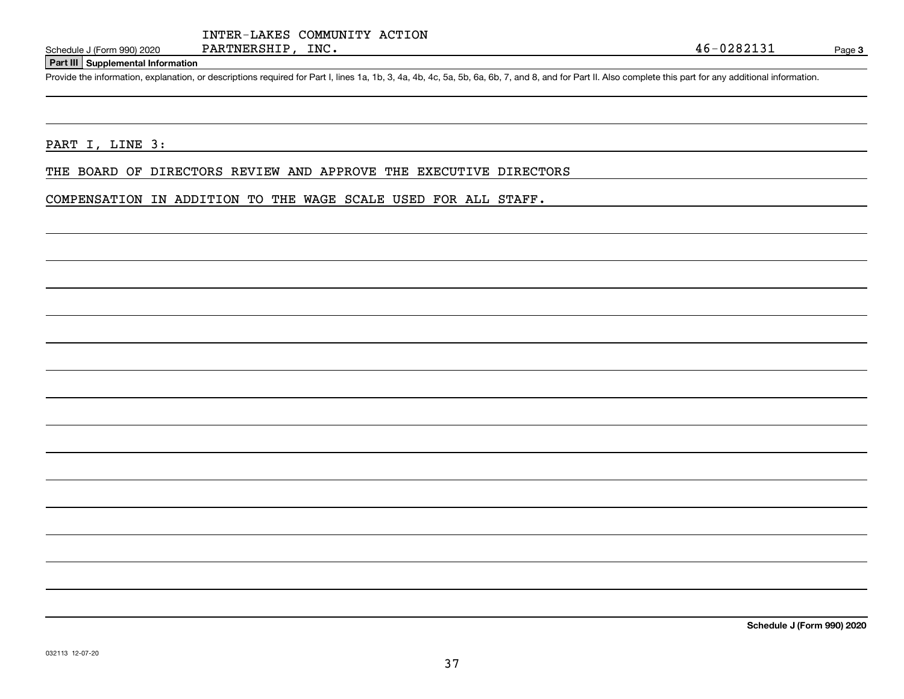### **Part III Supplemental Information**

Schedule J (Form 990) 2020 PARTNERSHIP, INC.<br>Part III Supplemental Information<br>Provide the information, explanation, or descriptions required for Part I, lines 1a, 1b, 3, 4a, 4b, 4c, 5a, 5b, 6a, 6b, 7, and 8, and for Part

#### PART I, LINE 3:

THE BOARD OF DIRECTORS REVIEW AND APPROVE THE EXECUTIVE DIRECTORS

# COMPENSATION IN ADDITION TO THE WAGE SCALE USED FOR ALL STAFF.

**Schedule J (Form 990) 2020**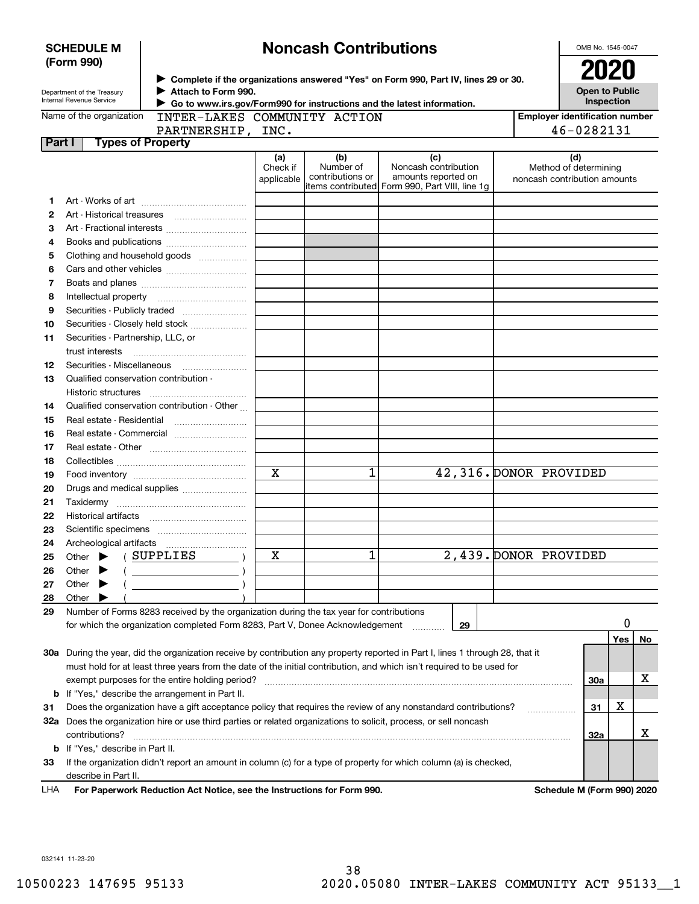|        | <b>SCHEDULE M</b>                                                                                                                                                                                                                                             |                                                                                         |                               | <b>Noncash Contributions</b>         |                                                                                                                                |                        | OMB No. 1545-0047                                            |     |                               |
|--------|---------------------------------------------------------------------------------------------------------------------------------------------------------------------------------------------------------------------------------------------------------------|-----------------------------------------------------------------------------------------|-------------------------------|--------------------------------------|--------------------------------------------------------------------------------------------------------------------------------|------------------------|--------------------------------------------------------------|-----|-------------------------------|
|        | (Form 990)<br>▶ Complete if the organizations answered "Yes" on Form 990, Part IV, lines 29 or 30.<br>Attach to Form 990.<br>Department of the Treasury<br>Internal Revenue Service<br>Go to www.irs.gov/Form990 for instructions and the latest information. |                                                                                         |                               |                                      |                                                                                                                                |                        |                                                              |     | 2020<br><b>Open to Public</b> |
|        | Name of the organization                                                                                                                                                                                                                                      | INTER-LAKES COMMUNITY ACTION                                                            |                               |                                      |                                                                                                                                |                        | <b>Employer identification number</b>                        |     |                               |
|        |                                                                                                                                                                                                                                                               | PARTNERSHIP, INC.                                                                       |                               |                                      |                                                                                                                                |                        | 46-0282131                                                   |     |                               |
| Part I |                                                                                                                                                                                                                                                               | <b>Types of Property</b>                                                                |                               |                                      |                                                                                                                                |                        |                                                              |     |                               |
|        |                                                                                                                                                                                                                                                               |                                                                                         | (a)<br>Check if<br>applicable | (b)<br>Number of<br>contributions or | (c)<br>Noncash contribution<br>amounts reported on<br>items contributed Form 990, Part VIII, line 1g                           |                        | (d)<br>Method of determining<br>noncash contribution amounts |     |                               |
| 1.     |                                                                                                                                                                                                                                                               |                                                                                         |                               |                                      |                                                                                                                                |                        |                                                              |     |                               |
| 2      |                                                                                                                                                                                                                                                               |                                                                                         |                               |                                      |                                                                                                                                |                        |                                                              |     |                               |
| 3      |                                                                                                                                                                                                                                                               |                                                                                         |                               |                                      |                                                                                                                                |                        |                                                              |     |                               |
| 4      |                                                                                                                                                                                                                                                               |                                                                                         |                               |                                      |                                                                                                                                |                        |                                                              |     |                               |
| 5      |                                                                                                                                                                                                                                                               | Clothing and household goods                                                            |                               |                                      |                                                                                                                                |                        |                                                              |     |                               |
| 6      |                                                                                                                                                                                                                                                               |                                                                                         |                               |                                      |                                                                                                                                |                        |                                                              |     |                               |
| 7      |                                                                                                                                                                                                                                                               |                                                                                         |                               |                                      |                                                                                                                                |                        |                                                              |     |                               |
| 8      |                                                                                                                                                                                                                                                               |                                                                                         |                               |                                      |                                                                                                                                |                        |                                                              |     |                               |
| 9      |                                                                                                                                                                                                                                                               |                                                                                         |                               |                                      |                                                                                                                                |                        |                                                              |     |                               |
| 10     |                                                                                                                                                                                                                                                               | Securities - Closely held stock                                                         |                               |                                      |                                                                                                                                |                        |                                                              |     |                               |
| 11     | Securities - Partnership, LLC, or                                                                                                                                                                                                                             |                                                                                         |                               |                                      |                                                                                                                                |                        |                                                              |     |                               |
|        | trust interests                                                                                                                                                                                                                                               |                                                                                         |                               |                                      |                                                                                                                                |                        |                                                              |     |                               |
| 12     |                                                                                                                                                                                                                                                               | Securities - Miscellaneous                                                              |                               |                                      |                                                                                                                                |                        |                                                              |     |                               |
| 13     |                                                                                                                                                                                                                                                               | Qualified conservation contribution -                                                   |                               |                                      |                                                                                                                                |                        |                                                              |     |                               |
|        | Historic structures                                                                                                                                                                                                                                           |                                                                                         |                               |                                      |                                                                                                                                |                        |                                                              |     |                               |
| 14     |                                                                                                                                                                                                                                                               | Qualified conservation contribution - Other                                             |                               |                                      |                                                                                                                                |                        |                                                              |     |                               |
| 15     | Real estate - Residential                                                                                                                                                                                                                                     |                                                                                         |                               |                                      |                                                                                                                                |                        |                                                              |     |                               |
| 16     |                                                                                                                                                                                                                                                               | Real estate - Commercial                                                                |                               |                                      |                                                                                                                                |                        |                                                              |     |                               |
| 17     |                                                                                                                                                                                                                                                               |                                                                                         |                               |                                      |                                                                                                                                |                        |                                                              |     |                               |
| 18     |                                                                                                                                                                                                                                                               |                                                                                         |                               |                                      |                                                                                                                                |                        |                                                              |     |                               |
| 19     |                                                                                                                                                                                                                                                               |                                                                                         | $\mathbf x$                   | 1                                    |                                                                                                                                | 42,316. DONOR PROVIDED |                                                              |     |                               |
| 20     |                                                                                                                                                                                                                                                               | Drugs and medical supplies                                                              |                               |                                      |                                                                                                                                |                        |                                                              |     |                               |
| 21     |                                                                                                                                                                                                                                                               |                                                                                         |                               |                                      |                                                                                                                                |                        |                                                              |     |                               |
| 22     |                                                                                                                                                                                                                                                               |                                                                                         |                               |                                      |                                                                                                                                |                        |                                                              |     |                               |
|        |                                                                                                                                                                                                                                                               |                                                                                         |                               |                                      |                                                                                                                                |                        |                                                              |     |                               |
| 23     |                                                                                                                                                                                                                                                               |                                                                                         |                               |                                      |                                                                                                                                |                        |                                                              |     |                               |
| 24     | Archeological artifacts                                                                                                                                                                                                                                       |                                                                                         | х                             | 1                                    |                                                                                                                                | 2,439. DONOR PROVIDED  |                                                              |     |                               |
| 25     | Other                                                                                                                                                                                                                                                         | SUPPLIES                                                                                |                               |                                      |                                                                                                                                |                        |                                                              |     |                               |
| 26     | Other                                                                                                                                                                                                                                                         |                                                                                         |                               |                                      |                                                                                                                                |                        |                                                              |     |                               |
| 27     | Other                                                                                                                                                                                                                                                         |                                                                                         |                               |                                      |                                                                                                                                |                        |                                                              |     |                               |
| 28     | Other                                                                                                                                                                                                                                                         |                                                                                         |                               |                                      |                                                                                                                                |                        |                                                              |     |                               |
| 29     |                                                                                                                                                                                                                                                               | Number of Forms 8283 received by the organization during the tax year for contributions |                               |                                      |                                                                                                                                |                        |                                                              | 0   |                               |
|        |                                                                                                                                                                                                                                                               | for which the organization completed Form 8283, Part V, Donee Acknowledgement           |                               |                                      | 29                                                                                                                             |                        |                                                              |     |                               |
|        |                                                                                                                                                                                                                                                               |                                                                                         |                               |                                      |                                                                                                                                |                        |                                                              | Yes | No                            |
|        |                                                                                                                                                                                                                                                               |                                                                                         |                               |                                      | 30a During the year, did the organization receive by contribution any property reported in Part I, lines 1 through 28, that it |                        |                                                              |     |                               |
|        |                                                                                                                                                                                                                                                               |                                                                                         |                               |                                      | must hold for at least three years from the date of the initial contribution, and which isn't required to be used for          |                        |                                                              |     |                               |
|        |                                                                                                                                                                                                                                                               | exempt purposes for the entire holding period?                                          |                               |                                      |                                                                                                                                |                        | 30a                                                          |     | х                             |
| b      |                                                                                                                                                                                                                                                               | If "Yes," describe the arrangement in Part II.                                          |                               |                                      |                                                                                                                                |                        |                                                              |     |                               |
| 31     |                                                                                                                                                                                                                                                               |                                                                                         |                               |                                      | Does the organization have a gift acceptance policy that requires the review of any nonstandard contributions?                 |                        | 31                                                           | X   |                               |
| 32a    |                                                                                                                                                                                                                                                               |                                                                                         |                               |                                      | Does the organization hire or use third parties or related organizations to solicit, process, or sell noncash                  |                        |                                                              |     |                               |
|        | contributions?                                                                                                                                                                                                                                                |                                                                                         |                               |                                      |                                                                                                                                |                        | 32a                                                          |     | х                             |
| b      | If "Yes," describe in Part II.                                                                                                                                                                                                                                |                                                                                         |                               |                                      |                                                                                                                                |                        |                                                              |     |                               |
| 33     |                                                                                                                                                                                                                                                               |                                                                                         |                               |                                      | If the organization didn't report an amount in column (c) for a type of property for which column (a) is checked,              |                        |                                                              |     |                               |
|        | describe in Part II.                                                                                                                                                                                                                                          |                                                                                         |                               |                                      |                                                                                                                                |                        |                                                              |     |                               |
| LHA    |                                                                                                                                                                                                                                                               | For Paperwork Reduction Act Notice, see the Instructions for Form 990.                  |                               |                                      |                                                                                                                                |                        | Schedule M (Form 990) 2020                                   |     |                               |

032141 11-23-20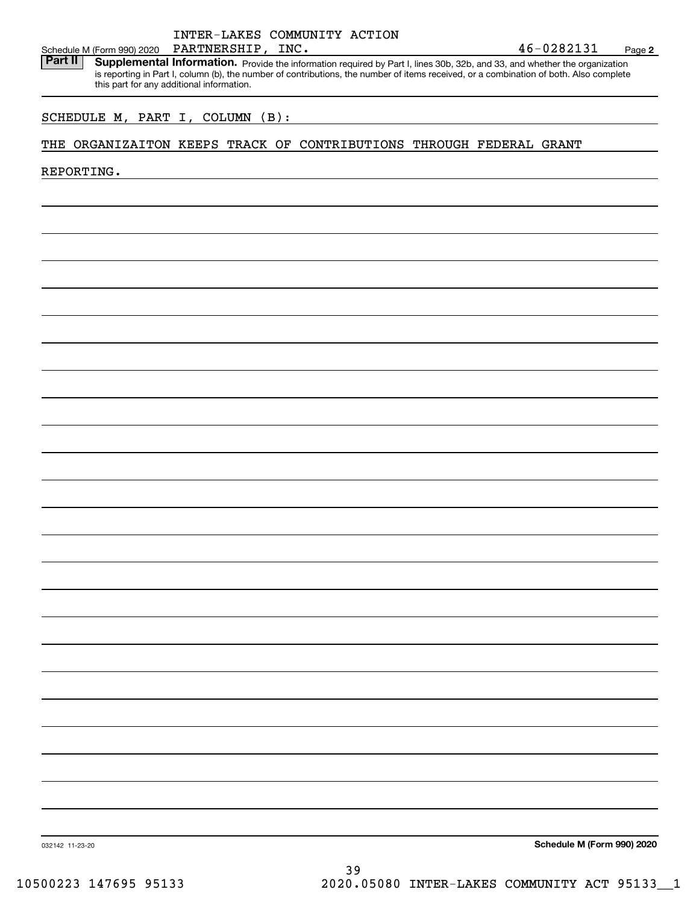# INTER-LAKES COMMUNITY ACTION PARTNERSHIP,

**2**

Schedule M (Form 990) 2020 PARTNERSHIP, INC.<br>**Part II** Supplemental Information. Provide the information required by Part I. lines 30b. 32b. and 33, and whether the organ Part II | Supplemental Information. Provide the information required by Part I, lines 30b, 32b, and 33, and whether the organization is reporting in Part I, column (b), the number of contributions, the number of items received, or a combination of both. Also complete this part for any additional information.

# SCHEDULE M, PART I, COLUMN (B):

# THE ORGANIZAITON KEEPS TRACK OF CONTRIBUTIONS THROUGH FEDERAL GRANT

REPORTING.

**Schedule M (Form 990) 2020**

032142 11-23-20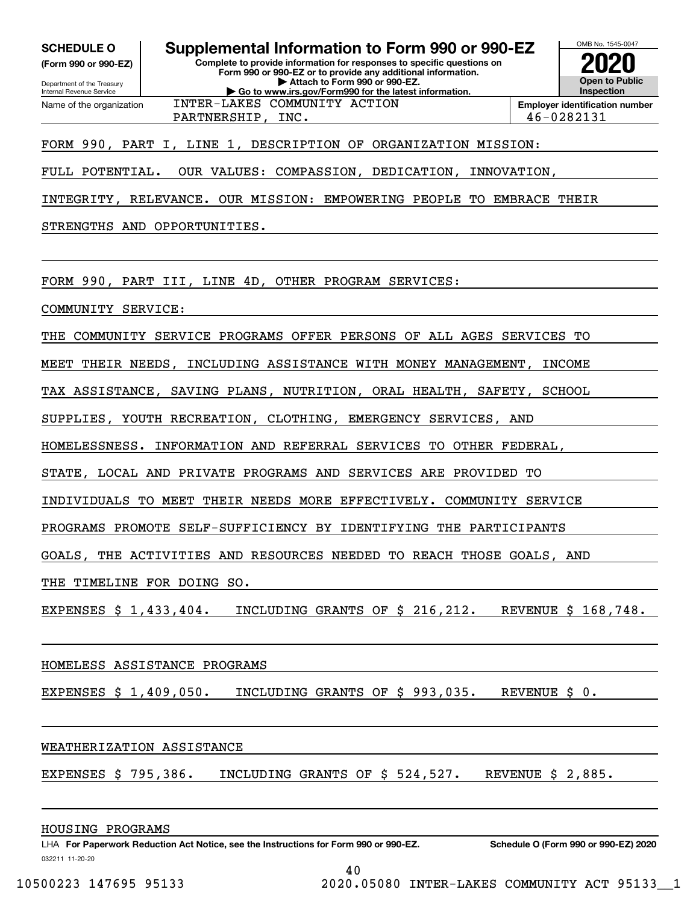**(Form 990 or 990-EZ)**

Department of the Treasury Internal Revenue Service Name of the organization

# **Complete to provide information for responses to specific questions on SCHEDULE O Supplemental Information to Form 990 or 990-EZ**

**Form 990 or 990-EZ or to provide any additional information. | Attach to Form 990 or 990-EZ. | Go to www.irs.gov/Form990 for the latest information.** INTER-LAKES COMMUNITY ACTION

PARTNERSHIP, INC. 1888 1991 1202 131

# FORM 990, PART I, LINE 1, DESCRIPTION OF ORGANIZATION MISSION:

FULL POTENTIAL. OUR VALUES: COMPASSION, DEDICATION, INNOVATION,

INTEGRITY, RELEVANCE. OUR MISSION: EMPOWERING PEOPLE TO EMBRACE THEIR

STRENGTHS AND OPPORTUNITIES.

FORM 990, PART III, LINE 4D, OTHER PROGRAM SERVICES:

COMMUNITY SERVICE:

THE COMMUNITY SERVICE PROGRAMS OFFER PERSONS OF ALL AGES SERVICES TO

MEET THEIR NEEDS, INCLUDING ASSISTANCE WITH MONEY MANAGEMENT, INCOME

TAX ASSISTANCE, SAVING PLANS, NUTRITION, ORAL HEALTH, SAFETY, SCHOOL

SUPPLIES, YOUTH RECREATION, CLOTHING, EMERGENCY SERVICES, AND

HOMELESSNESS. INFORMATION AND REFERRAL SERVICES TO OTHER FEDERAL,

STATE, LOCAL AND PRIVATE PROGRAMS AND SERVICES ARE PROVIDED TO

INDIVIDUALS TO MEET THEIR NEEDS MORE EFFECTIVELY. COMMUNITY SERVICE

PROGRAMS PROMOTE SELF-SUFFICIENCY BY IDENTIFYING THE PARTICIPANTS

GOALS, THE ACTIVITIES AND RESOURCES NEEDED TO REACH THOSE GOALS, AND

THE TIMELINE FOR DOING SO.

EXPENSES \$ 1,433,404. INCLUDING GRANTS OF \$ 216,212. REVENUE \$ 168,748.

# HOMELESS ASSISTANCE PROGRAMS

EXPENSES \$ 1,409,050. INCLUDING GRANTS OF \$ 993,035. REVENUE \$ 0.

# WEATHERIZATION ASSISTANCE

EXPENSES \$ 795,386. INCLUDING GRANTS OF \$ 524,527. REVENUE \$ 2,885.

HOUSING PROGRAMS

OMB No. 1545-0047

**2020**

**Open to Public Inspection**

**Employer identification number**

40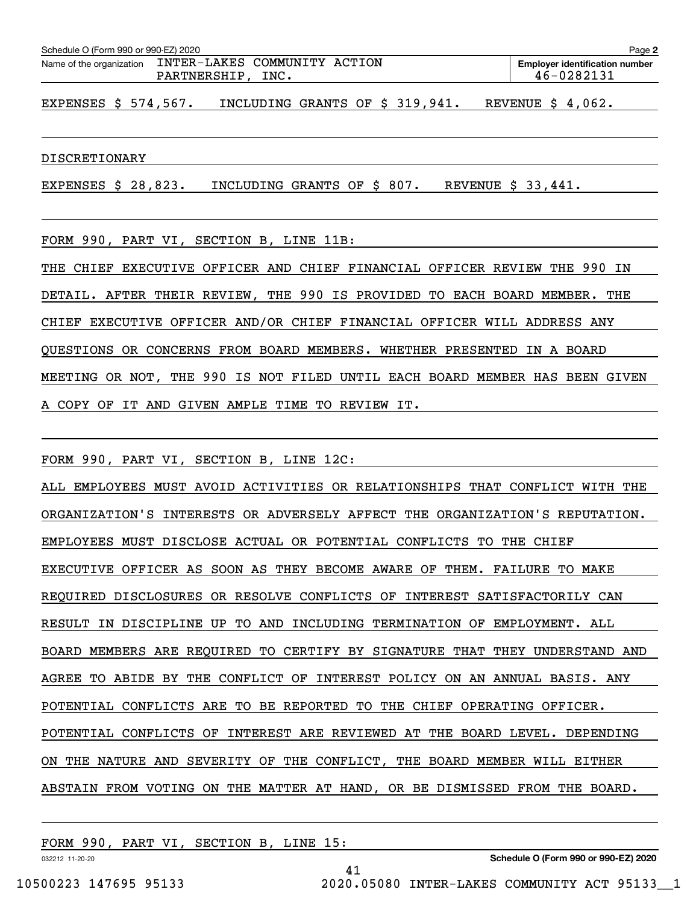| Schedule O (Form 990 or 990-EZ) 2020 |                                                     | Page 2                                              |
|--------------------------------------|-----------------------------------------------------|-----------------------------------------------------|
| Name of the organization             | INTER-LAKES COMMUNITY ACTION<br>INC.<br>PARTNERSHIP | <b>Employer identification number</b><br>46-0282131 |

EXPENSES \$ 574,567. INCLUDING GRANTS OF \$ 319,941. REVENUE \$ 4,062.

#### DISCRETIONARY

EXPENSES \$ 28,823. INCLUDING GRANTS OF \$ 807. REVENUE \$ 33,441.

FORM 990, PART VI, SECTION B, LINE 11B:

THE CHIEF EXECUTIVE OFFICER AND CHIEF FINANCIAL OFFICER REVIEW THE 990 IN DETAIL. AFTER THEIR REVIEW, THE 990 IS PROVIDED TO EACH BOARD MEMBER. THE CHIEF EXECUTIVE OFFICER AND/OR CHIEF FINANCIAL OFFICER WILL ADDRESS ANY QUESTIONS OR CONCERNS FROM BOARD MEMBERS. WHETHER PRESENTED IN A BOARD MEETING OR NOT, THE 990 IS NOT FILED UNTIL EACH BOARD MEMBER HAS BEEN GIVEN A COPY OF IT AND GIVEN AMPLE TIME TO REVIEW IT.

FORM 990, PART VI, SECTION B, LINE 12C:

ALL EMPLOYEES MUST AVOID ACTIVITIES OR RELATIONSHIPS THAT CONFLICT WITH THE ORGANIZATION'S INTERESTS OR ADVERSELY AFFECT THE ORGANIZATION'S REPUTATION. EMPLOYEES MUST DISCLOSE ACTUAL OR POTENTIAL CONFLICTS TO THE CHIEF EXECUTIVE OFFICER AS SOON AS THEY BECOME AWARE OF THEM. FAILURE TO MAKE REQUIRED DISCLOSURES OR RESOLVE CONFLICTS OF INTEREST SATISFACTORILY CAN RESULT IN DISCIPLINE UP TO AND INCLUDING TERMINATION OF EMPLOYMENT. ALL BOARD MEMBERS ARE REQUIRED TO CERTIFY BY SIGNATURE THAT THEY UNDERSTAND AND AGREE TO ABIDE BY THE CONFLICT OF INTEREST POLICY ON AN ANNUAL BASIS. ANY POTENTIAL CONFLICTS ARE TO BE REPORTED TO THE CHIEF OPERATING OFFICER. POTENTIAL CONFLICTS OF INTEREST ARE REVIEWED AT THE BOARD LEVEL. DEPENDING ON THE NATURE AND SEVERITY OF THE CONFLICT, THE BOARD MEMBER WILL EITHER ABSTAIN FROM VOTING ON THE MATTER AT HAND, OR BE DISMISSED FROM THE BOARD.

41

FORM 990, PART VI, SECTION B, LINE 15:

032212 11-20-20

**Schedule O (Form 990 or 990-EZ) 2020**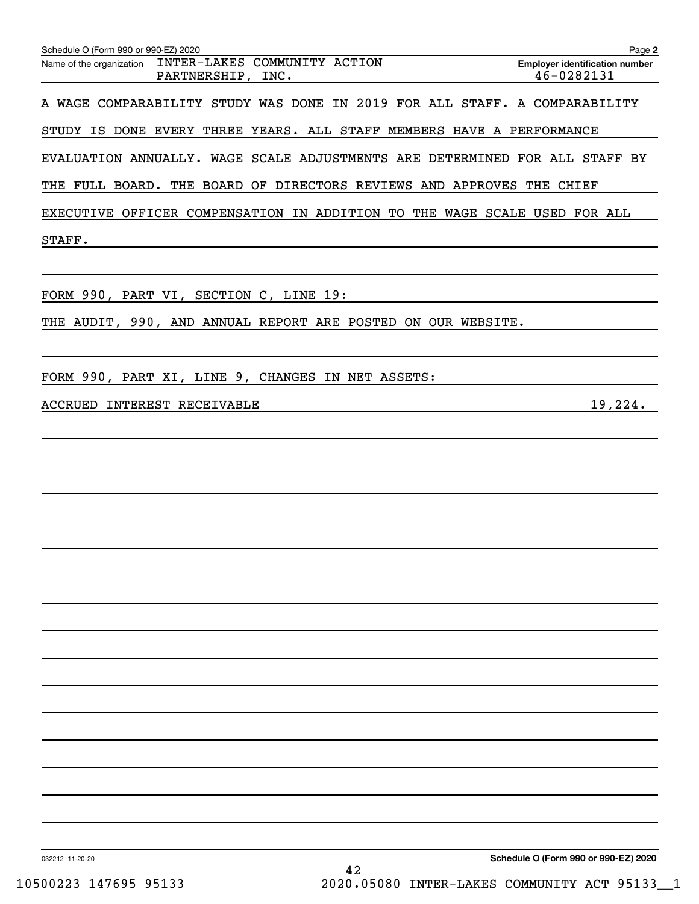| Schedule O (Form 990 or 990-EZ) 2020                                        | Page 2                                              |
|-----------------------------------------------------------------------------|-----------------------------------------------------|
| Name of the organization INTER-LAKES COMMUNITY ACTION<br>PARTNERSHIP, INC.  | <b>Employer identification number</b><br>46-0282131 |
| A WAGE COMPARABILITY STUDY WAS DONE IN 2019 FOR ALL STAFF. A COMPARABILITY  |                                                     |
| STUDY IS DONE EVERY THREE YEARS. ALL STAFF MEMBERS HAVE A PERFORMANCE       |                                                     |
| EVALUATION ANNUALLY. WAGE SCALE ADJUSTMENTS ARE DETERMINED FOR ALL STAFF BY |                                                     |
| THE FULL BOARD. THE BOARD OF DIRECTORS REVIEWS AND APPROVES THE CHIEF       |                                                     |
| EXECUTIVE OFFICER COMPENSATION IN ADDITION TO THE WAGE SCALE USED FOR ALL   |                                                     |
| STAFF.                                                                      |                                                     |
|                                                                             |                                                     |
| FORM 990, PART VI, SECTION C, LINE 19:                                      |                                                     |
| THE AUDIT, 990, AND ANNUAL REPORT ARE POSTED ON OUR WEBSITE.                |                                                     |
|                                                                             |                                                     |
| FORM 990, PART XI, LINE 9, CHANGES IN NET ASSETS:                           |                                                     |
| ACCRUED INTEREST RECEIVABLE                                                 | 19,224.                                             |
|                                                                             |                                                     |
|                                                                             |                                                     |
|                                                                             |                                                     |
|                                                                             |                                                     |
|                                                                             |                                                     |
|                                                                             |                                                     |
|                                                                             |                                                     |
|                                                                             |                                                     |
|                                                                             |                                                     |
|                                                                             |                                                     |
|                                                                             |                                                     |
|                                                                             |                                                     |
|                                                                             |                                                     |
|                                                                             |                                                     |
|                                                                             |                                                     |
|                                                                             |                                                     |
| 032212 11-20-20                                                             | Schedule O (Form 990 or 990-EZ) 2020                |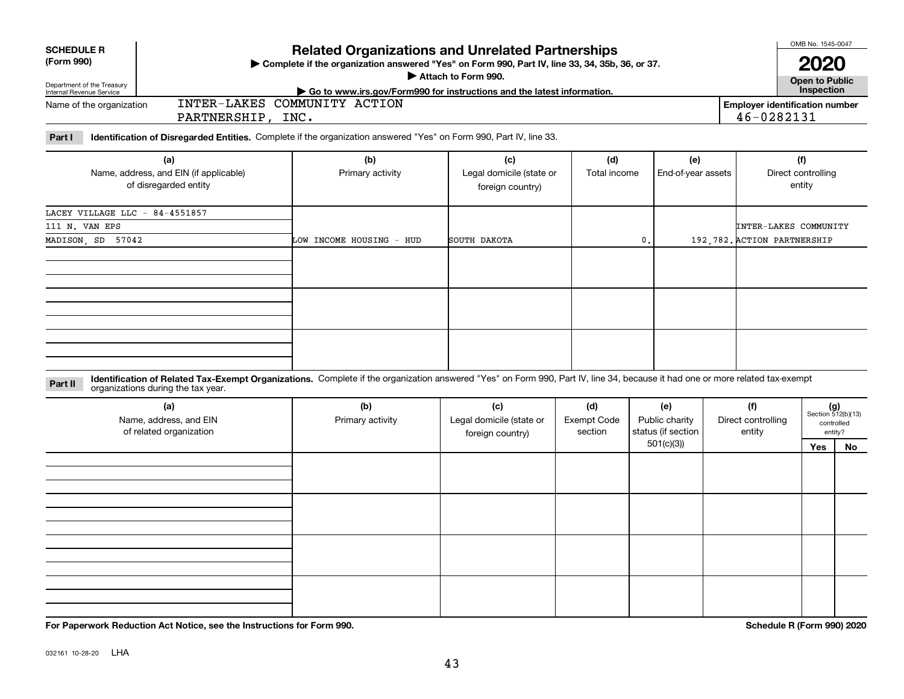Department of the Treasury Internal Revenue Service

Name of the organization

**SCHEDULE R (Form 990)**

| <b>Related Organizations and Unrelated Partnerships</b>                                          |
|--------------------------------------------------------------------------------------------------|
| ► Complete if the organization answered "Yes" on Form 990, Part IV, line 33, 34, 35b, 36, or 37, |
| Attach to Form 990.                                                                              |

**| Go to www.irs.gov/Form990 for instructions and the latest information. Inspection**

**Open to Public**

**Employer identification number** 46-0282131

**Part I Identification of Disregarded Entities.**  Complete if the organization answered "Yes" on Form 990, Part IV, line 33.

INTER-LAKES COMMUNITY ACTION

PARTNERSHIP, INC.

| (a)<br>Name, address, and EIN (if applicable)<br>of disregarded entity | (b)<br>Primary activity  | (c)<br>Legal domicile (state or<br>foreign country) | (d)<br>Total income | (e)<br>End-of-year assets | (f)<br>Direct controlling<br>entity |
|------------------------------------------------------------------------|--------------------------|-----------------------------------------------------|---------------------|---------------------------|-------------------------------------|
| LACEY VILLAGE LLC - 84-4551857                                         |                          |                                                     |                     |                           |                                     |
| 111 N. VAN EPS                                                         |                          |                                                     |                     |                           | INTER-LAKES COMMUNITY               |
| 57042<br>MADISON, SD                                                   | LOW INCOME HOUSING - HUD | SOUTH DAKOTA                                        | 0.                  |                           | 192, 782. ACTION PARTNERSHIP        |
|                                                                        |                          |                                                     |                     |                           |                                     |
|                                                                        |                          |                                                     |                     |                           |                                     |
|                                                                        |                          |                                                     |                     |                           |                                     |

**Identification of Related Tax-Exempt Organizations.** Complete if the organization answered "Yes" on Form 990, Part IV, line 34, because it had one or more related tax-exempt **Part II** organizations during the tax year.

| (a)<br>Name, address, and EIN<br>of related organization | (b)<br>Primary activity | (c)<br>Legal domicile (state or<br>foreign country) | (d)<br>Exempt Code<br>section | (e)<br>Public charity<br>status (if section | (f)<br>Direct controlling<br>entity |     | $(g)$<br>Section 512(b)(13)<br>controlled<br>entity? |
|----------------------------------------------------------|-------------------------|-----------------------------------------------------|-------------------------------|---------------------------------------------|-------------------------------------|-----|------------------------------------------------------|
|                                                          |                         |                                                     |                               | 501(c)(3))                                  |                                     | Yes | No                                                   |
|                                                          |                         |                                                     |                               |                                             |                                     |     |                                                      |
|                                                          |                         |                                                     |                               |                                             |                                     |     |                                                      |
|                                                          |                         |                                                     |                               |                                             |                                     |     |                                                      |
|                                                          |                         |                                                     |                               |                                             |                                     |     |                                                      |
|                                                          |                         |                                                     |                               |                                             |                                     |     |                                                      |
|                                                          |                         |                                                     |                               |                                             |                                     |     |                                                      |
|                                                          |                         |                                                     |                               |                                             |                                     |     |                                                      |
|                                                          |                         |                                                     |                               |                                             |                                     |     |                                                      |
|                                                          |                         |                                                     |                               |                                             |                                     |     |                                                      |
|                                                          |                         |                                                     |                               |                                             |                                     |     |                                                      |
|                                                          |                         |                                                     |                               |                                             |                                     |     |                                                      |
|                                                          |                         |                                                     |                               |                                             |                                     |     |                                                      |

**For Paperwork Reduction Act Notice, see the Instructions for Form 990. Schedule R (Form 990) 2020**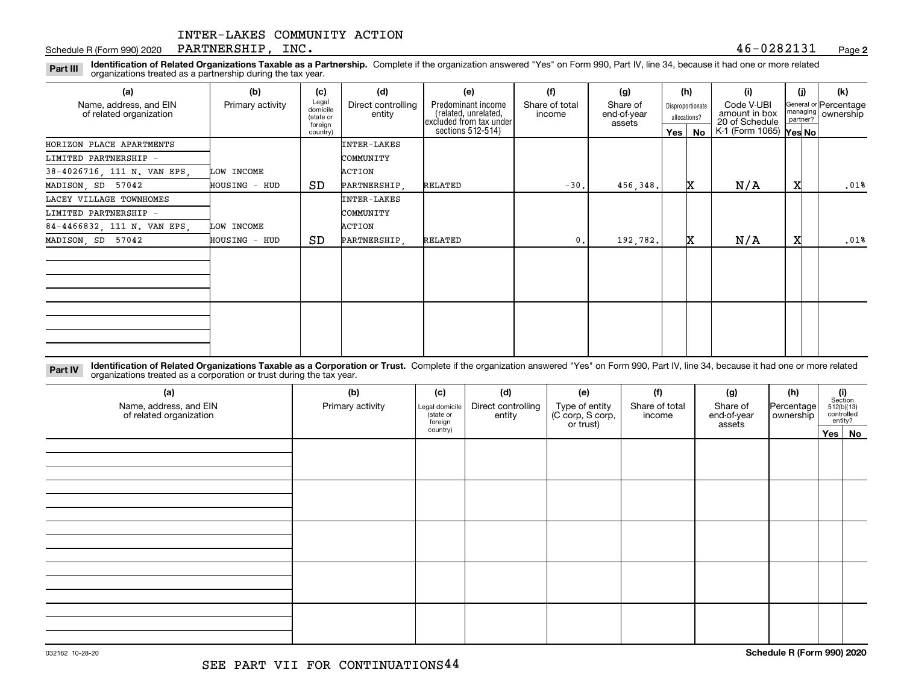#### Schedule R (Form 990) 2020 Page PARTNERSHIP, INC. 46-0282131

**2**

**Identification of Related Organizations Taxable as a Partnership.** Complete if the organization answered "Yes" on Form 990, Part IV, line 34, because it had one or more related **Part III** organizations treated as a partnership during the tax year.

| (a)                                               | (b)              | (c)                                       | (d)                          | (e)                                                                   | (f)                      | (g)                               |     | (h)                              | (i)                                           | (i) | (k)                                         |
|---------------------------------------------------|------------------|-------------------------------------------|------------------------------|-----------------------------------------------------------------------|--------------------------|-----------------------------------|-----|----------------------------------|-----------------------------------------------|-----|---------------------------------------------|
| Name, address, and EIN<br>of related organization | Primary activity | Legal<br>domicile<br>(state or<br>foreign | Direct controlling<br>entity | Predominant income<br>related, unrelated,<br> excluded from tax under | Share of total<br>income | Share of<br>end-of-year<br>assets |     | Disproportionate<br>allocations? | Code V-UBI<br>amount in box<br>20 of Schedule |     | General or Percentage<br>managing ownership |
|                                                   |                  | country)                                  |                              | sections 512-514)                                                     |                          |                                   | Yes | No                               | K-1 (Form 1065) Yes No                        |     |                                             |
| HORIZON PLACE APARTMENTS                          |                  |                                           | <b>INTER-LAKES</b>           |                                                                       |                          |                                   |     |                                  |                                               |     |                                             |
| LIMITED PARTNERSHIP -                             |                  |                                           | COMMUNITY                    |                                                                       |                          |                                   |     |                                  |                                               |     |                                             |
| 38-4026716, 111 N. VAN EPS,                       | LOW INCOME       |                                           | ACTION                       |                                                                       |                          |                                   |     |                                  |                                               |     |                                             |
| MADISON, SD 57042                                 | HOUSING - HUD    | SD                                        | PARTNERSHIP,                 | RELATED                                                               | $-30.$                   | 456,348.                          |     | x                                | N/A                                           | X   | .01%                                        |
| LACEY VILLAGE TOWNHOMES                           |                  |                                           | INTER-LAKES                  |                                                                       |                          |                                   |     |                                  |                                               |     |                                             |
| LIMITED PARTNERSHIP -                             |                  |                                           | COMMUNITY                    |                                                                       |                          |                                   |     |                                  |                                               |     |                                             |
| 84-4466832, 111 N. VAN EPS,                       | LOW INCOME       |                                           | ACTION                       |                                                                       |                          |                                   |     |                                  |                                               |     |                                             |
| MADISON, SD 57042                                 | HOUSING - HUD    | SD                                        | PARTNERSHIP.                 | RELATED                                                               | $\mathbf{0}$ .           | 192,782.                          |     | x                                | N/A                                           | x   | .01%                                        |
|                                                   |                  |                                           |                              |                                                                       |                          |                                   |     |                                  |                                               |     |                                             |
|                                                   |                  |                                           |                              |                                                                       |                          |                                   |     |                                  |                                               |     |                                             |
|                                                   |                  |                                           |                              |                                                                       |                          |                                   |     |                                  |                                               |     |                                             |
|                                                   |                  |                                           |                              |                                                                       |                          |                                   |     |                                  |                                               |     |                                             |
|                                                   |                  |                                           |                              |                                                                       |                          |                                   |     |                                  |                                               |     |                                             |
|                                                   |                  |                                           |                              |                                                                       |                          |                                   |     |                                  |                                               |     |                                             |
|                                                   |                  |                                           |                              |                                                                       |                          |                                   |     |                                  |                                               |     |                                             |
|                                                   |                  |                                           |                              |                                                                       |                          |                                   |     |                                  |                                               |     |                                             |

**Identification of Related Organizations Taxable as a Corporation or Trust.** Complete if the organization answered "Yes" on Form 990, Part IV, line 34, because it had one or more related **Part IV** organizations treated as a corporation or trust during the tax year.

| (a)<br>Name, address, and EIN<br>of related organization | (b)<br>Primary activity | (c)<br>Legal domicile<br>(state or<br>foreign | (d)<br>Direct controlling<br>entity | (e)<br>Type of entity<br>(C corp, S corp,<br>or trust) | (f)<br>Share of total<br>income | (g)<br>Share of<br>end-of-year<br>assets | (h)<br> Percentage <br>ownership | $\begin{array}{c} \textbf{(i)}\\ \text{Section}\\ 512 \text{(b)} \text{(13)}\\ \text{controlled}\\ \text{entity?} \end{array}$ |
|----------------------------------------------------------|-------------------------|-----------------------------------------------|-------------------------------------|--------------------------------------------------------|---------------------------------|------------------------------------------|----------------------------------|--------------------------------------------------------------------------------------------------------------------------------|
|                                                          |                         | country)                                      |                                     |                                                        |                                 |                                          |                                  | Yes No                                                                                                                         |
|                                                          |                         |                                               |                                     |                                                        |                                 |                                          |                                  |                                                                                                                                |
|                                                          |                         |                                               |                                     |                                                        |                                 |                                          |                                  |                                                                                                                                |
|                                                          |                         |                                               |                                     |                                                        |                                 |                                          |                                  |                                                                                                                                |
|                                                          |                         |                                               |                                     |                                                        |                                 |                                          |                                  |                                                                                                                                |
|                                                          |                         |                                               |                                     |                                                        |                                 |                                          |                                  |                                                                                                                                |
|                                                          |                         |                                               |                                     |                                                        |                                 |                                          |                                  |                                                                                                                                |
|                                                          |                         |                                               |                                     |                                                        |                                 |                                          |                                  |                                                                                                                                |
|                                                          |                         |                                               |                                     |                                                        |                                 |                                          |                                  |                                                                                                                                |
|                                                          |                         |                                               |                                     |                                                        |                                 |                                          |                                  |                                                                                                                                |
|                                                          |                         |                                               |                                     |                                                        |                                 |                                          |                                  |                                                                                                                                |
|                                                          |                         |                                               |                                     |                                                        |                                 |                                          |                                  |                                                                                                                                |
|                                                          |                         |                                               |                                     |                                                        |                                 |                                          |                                  |                                                                                                                                |
|                                                          |                         |                                               |                                     |                                                        |                                 |                                          |                                  |                                                                                                                                |
|                                                          |                         |                                               |                                     |                                                        |                                 |                                          |                                  |                                                                                                                                |
|                                                          |                         |                                               |                                     |                                                        |                                 |                                          |                                  |                                                                                                                                |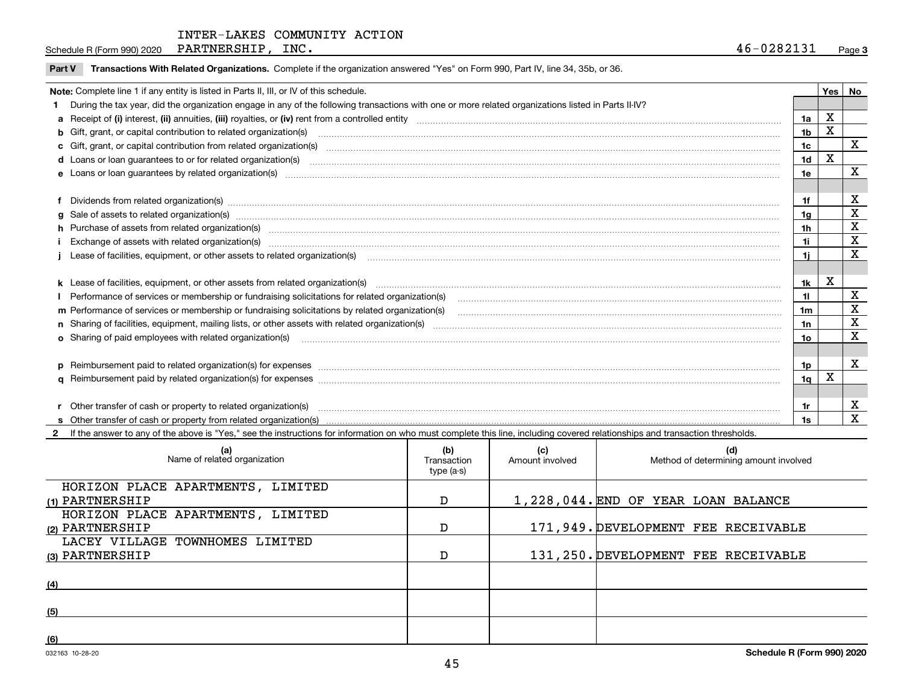Schedule R (Form 990) 2020 Page PARTNERSHIP, INC. 46-0282131

#### **Part V** T**ransactions With Related Organizations.** Complete if the organization answered "Yes" on Form 990, Part IV, line 34, 35b, or 36.

| Note: Complete line 1 if any entity is listed in Parts II, III, or IV of this schedule.                                                                                                                                       |                                                                                                                                                                                                                                |                |   |              |  |  |
|-------------------------------------------------------------------------------------------------------------------------------------------------------------------------------------------------------------------------------|--------------------------------------------------------------------------------------------------------------------------------------------------------------------------------------------------------------------------------|----------------|---|--------------|--|--|
|                                                                                                                                                                                                                               | During the tax year, did the organization engage in any of the following transactions with one or more related organizations listed in Parts II-IV?                                                                            |                |   |              |  |  |
|                                                                                                                                                                                                                               |                                                                                                                                                                                                                                |                |   |              |  |  |
|                                                                                                                                                                                                                               | b Gift, grant, or capital contribution to related organization(s) manufaction contracts and contribution to related organization(s)                                                                                            |                |   |              |  |  |
|                                                                                                                                                                                                                               |                                                                                                                                                                                                                                | 1 <sub>c</sub> |   | $\mathbf{x}$ |  |  |
| d Loans or loan guarantees to or for related organization(s) committion contracts are constructed as a control or contract or contract or contract or contract or contract or contract or contract or contract or contract or |                                                                                                                                                                                                                                |                |   |              |  |  |
|                                                                                                                                                                                                                               |                                                                                                                                                                                                                                |                |   |              |  |  |
|                                                                                                                                                                                                                               |                                                                                                                                                                                                                                |                |   |              |  |  |
|                                                                                                                                                                                                                               | Dividends from related organization(s) manufactured and contract and contract and contract and contract and contract and contract and contract and contract and contract and contract and contract and contract and contract a | 1f             |   | X            |  |  |
|                                                                                                                                                                                                                               | g Sale of assets to related organization(s) www.assetsion.com/www.assetsion.com/www.assetsion.com/www.assetsion.com/www.assetsion.com/www.assetsion.com/www.assetsion.com/www.assetsion.com/www.assetsion.com/www.assetsion.co | 1a             |   | X            |  |  |
|                                                                                                                                                                                                                               | h Purchase of assets from related organization(s) manufactured content to content the content of the content of the content of the content of the content of the content of the content of the content of the content of the c | 1 <sub>h</sub> |   | X            |  |  |
|                                                                                                                                                                                                                               | i Exchange of assets with related organization(s) machinamic material contracts and a set of a set set of an anti-                                                                                                             | 1i             |   | $\mathbf X$  |  |  |
|                                                                                                                                                                                                                               | Lease of facilities, equipment, or other assets to related organization(s) material content and content and content and content and content and content and content and content and content and content and content and conten |                |   |              |  |  |
|                                                                                                                                                                                                                               |                                                                                                                                                                                                                                |                |   |              |  |  |
|                                                                                                                                                                                                                               |                                                                                                                                                                                                                                | 1k             | X |              |  |  |
|                                                                                                                                                                                                                               |                                                                                                                                                                                                                                | 11             |   | X            |  |  |
|                                                                                                                                                                                                                               | m Performance of services or membership or fundraising solicitations by related organization(s)                                                                                                                                | 1 <sub>m</sub> |   | X            |  |  |
|                                                                                                                                                                                                                               |                                                                                                                                                                                                                                | 1n             |   | X            |  |  |
|                                                                                                                                                                                                                               | <b>o</b> Sharing of paid employees with related organization(s)                                                                                                                                                                | 10             |   | X            |  |  |
|                                                                                                                                                                                                                               |                                                                                                                                                                                                                                |                |   |              |  |  |
|                                                                                                                                                                                                                               | p Reimbursement paid to related organization(s) for expenses [1111] and the content of the content of the content of the content of the content of the content of the content of the content of the content of the content of  | 1p             |   | X            |  |  |
|                                                                                                                                                                                                                               |                                                                                                                                                                                                                                | 1 <sub>q</sub> | x |              |  |  |
|                                                                                                                                                                                                                               |                                                                                                                                                                                                                                |                |   |              |  |  |
|                                                                                                                                                                                                                               | Other transfer of cash or property to related organization(s)                                                                                                                                                                  | 1r             |   | X            |  |  |
|                                                                                                                                                                                                                               |                                                                                                                                                                                                                                |                |   | X            |  |  |

**2**If the answer to any of the above is "Yes," see the instructions for information on who must complete this line, including covered relationships and transaction thresholds.

| (a)<br>Name of related organization | (b)<br>Transaction<br>type (a-s) | (c)<br>Amount involved | (d)<br>Method of determining amount involved |
|-------------------------------------|----------------------------------|------------------------|----------------------------------------------|
| HORIZON PLACE APARTMENTS, LIMITED   |                                  |                        |                                              |
| (1) PARTNERSHIP                     | D                                |                        | 1,228,044. END OF YEAR LOAN BALANCE          |
| HORIZON PLACE APARTMENTS, LIMITED   |                                  |                        |                                              |
| (2) PARTNERSHIP                     | D                                |                        | 171,949. DEVELOPMENT FEE RECEIVABLE          |
| LACEY VILLAGE TOWNHOMES LIMITED     |                                  |                        |                                              |
| (3) PARTNERSHIP                     | D                                |                        | 131, 250. DEVELOPMENT FEE RECEIVABLE         |
|                                     |                                  |                        |                                              |
| (4)                                 |                                  |                        |                                              |
|                                     |                                  |                        |                                              |
| (5)                                 |                                  |                        |                                              |
|                                     |                                  |                        |                                              |
| (6)                                 |                                  |                        |                                              |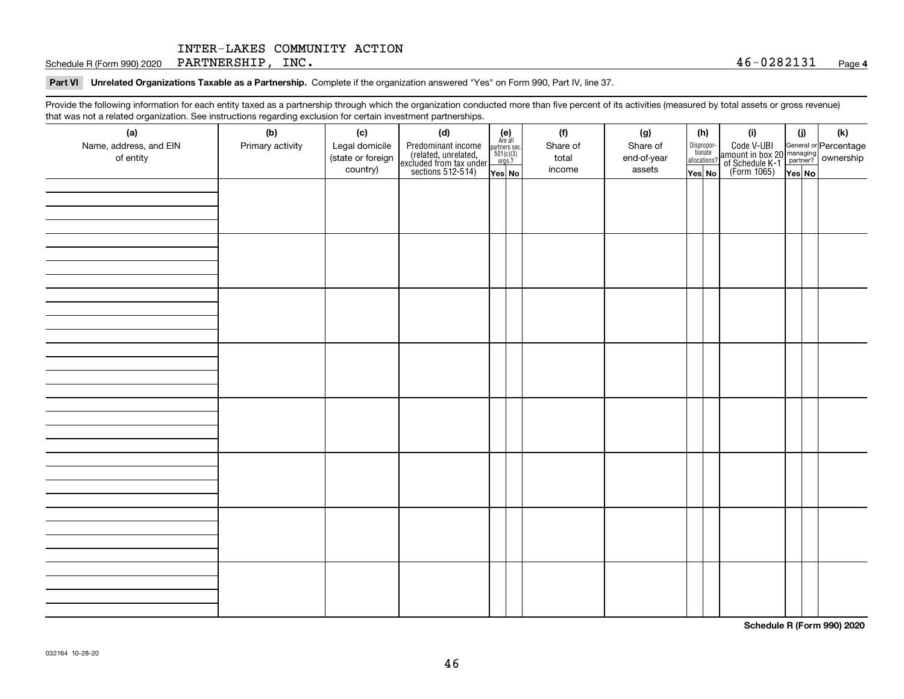Schedule R (Form 990) 2020 Page PARTNERSHIP, INC. 46-0282131

#### **Part VI Unrelated Organizations Taxable as a Partnership. Complete if the organization answered "Yes" on Form 990, Part IV, line 37.**

Provide the following information for each entity taxed as a partnership through which the organization conducted more than five percent of its activities (measured by total assets or gross revenue) that was not a related organization. See instructions regarding exclusion for certain investment partnerships.

| ັ<br>(a)<br>Name, address, and EIN<br>of entity | ັ<br>ັ<br>(b)<br>Primary activity | (c)<br>Legal domicile<br>(state or foreign<br>country) | (d)<br>Predominant income<br>(related, unrelated,<br>excluded from tax under<br>sections 512-514) | (e)<br>Are all<br>$\begin{array}{c}\n\text{partners} \sec.\n\\ \n501(c)(3)\n\\ \n0rgs.?\n\end{array}$<br>Yes No | (f)<br>Share of<br>total<br>income | (g)<br>Share of<br>end-of-year<br>assets | (h)<br>Dispropor-<br>tionate<br>allocations?<br>Yes No | (i)<br>Code V-UBI<br>amount in box 20 managing<br>of Schedule K-1<br>(Form 1065)<br>$\overline{Yes}$ No | (i)<br>Yes No | (k) |
|-------------------------------------------------|-----------------------------------|--------------------------------------------------------|---------------------------------------------------------------------------------------------------|-----------------------------------------------------------------------------------------------------------------|------------------------------------|------------------------------------------|--------------------------------------------------------|---------------------------------------------------------------------------------------------------------|---------------|-----|
|                                                 |                                   |                                                        |                                                                                                   |                                                                                                                 |                                    |                                          |                                                        |                                                                                                         |               |     |
|                                                 |                                   |                                                        |                                                                                                   |                                                                                                                 |                                    |                                          |                                                        |                                                                                                         |               |     |
|                                                 |                                   |                                                        |                                                                                                   |                                                                                                                 |                                    |                                          |                                                        |                                                                                                         |               |     |
|                                                 |                                   |                                                        |                                                                                                   |                                                                                                                 |                                    |                                          |                                                        |                                                                                                         |               |     |
|                                                 |                                   |                                                        |                                                                                                   |                                                                                                                 |                                    |                                          |                                                        |                                                                                                         |               |     |
|                                                 |                                   |                                                        |                                                                                                   |                                                                                                                 |                                    |                                          |                                                        |                                                                                                         |               |     |
|                                                 |                                   |                                                        |                                                                                                   |                                                                                                                 |                                    |                                          |                                                        |                                                                                                         |               |     |
|                                                 |                                   |                                                        |                                                                                                   |                                                                                                                 |                                    |                                          |                                                        |                                                                                                         |               |     |

**Schedule R (Form 990) 2020**